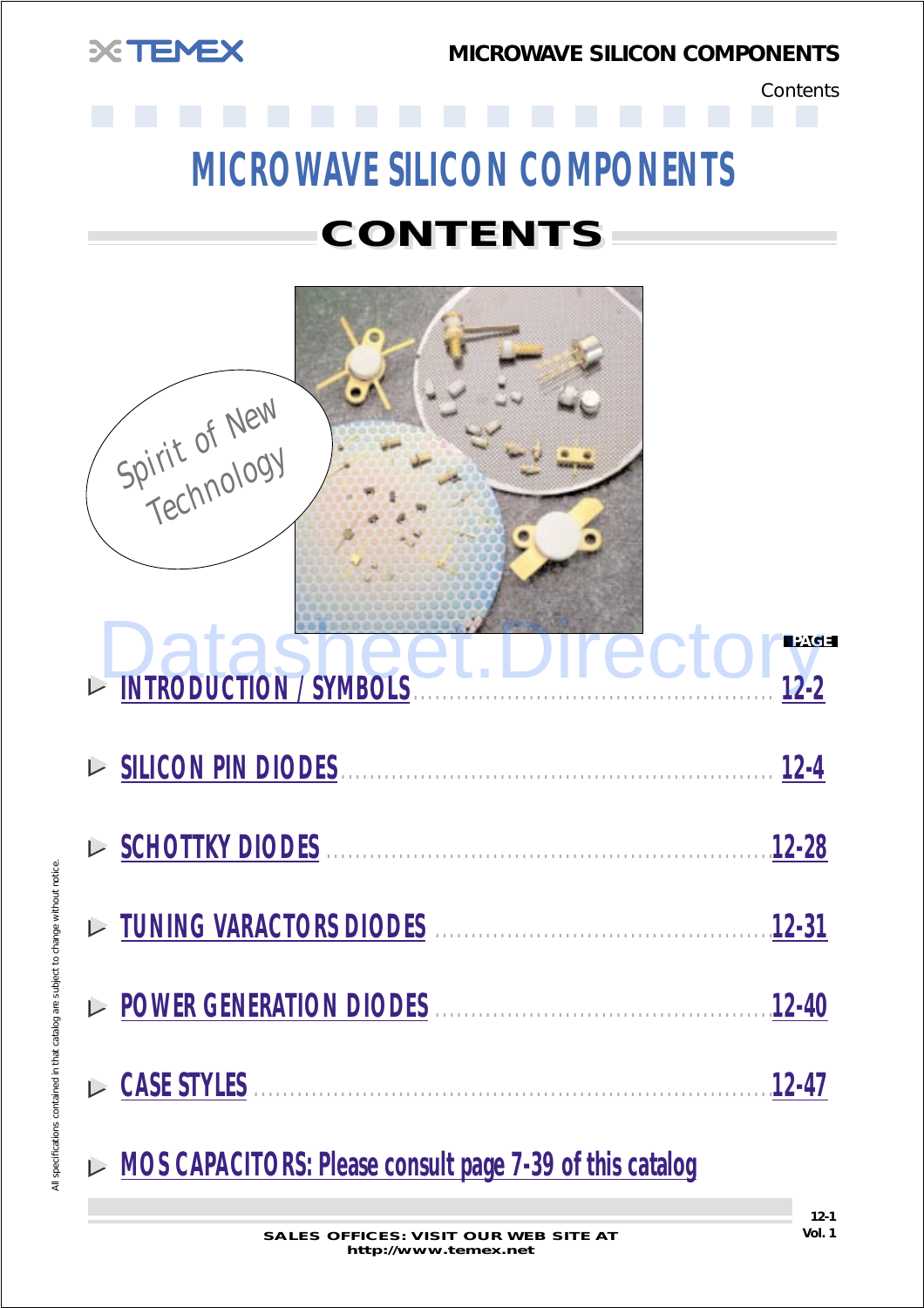

**Contents** 

# **MICROWAVE SILICON COMPONENTS**

# **CONTENTS CONTENTS**



**MOS CAPACITORS: Please consult page 7-39 of this catalog**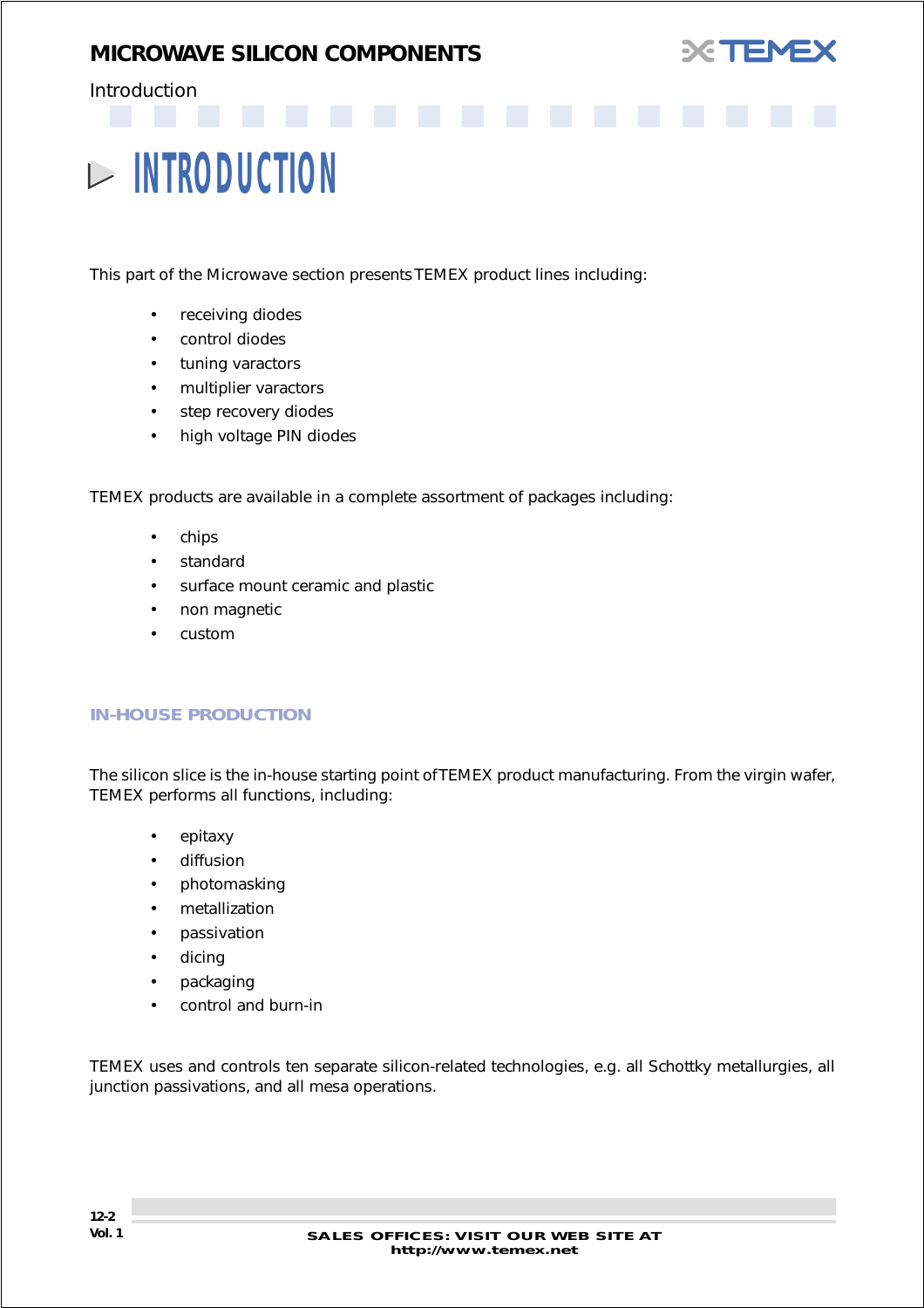

### <span id="page-1-0"></span>Introduction

# **INTRODUCTION**

This part of the Microwave section presents TEMEX product lines including:

- receiving diodes
- control diodes
- tuning varactors
- multiplier varactors
- step recovery diodes
- high voltage PIN diodes

TEMEX products are available in a complete assortment of packages including:

- chips
- **standard**
- surface mount ceramic and plastic
- non magnetic
- custom

#### *IN-HOUSE PRODUCTION*

The silicon slice is the in-house starting point of TEMEX product manufacturing. From the virgin wafer, TEMEX performs all functions, including:

- epitaxy
- diffusion
- photomasking
- metallization
- passivation
- dicing
- packaging
- control and burn-in

TEMEX uses and controls ten separate silicon-related technologies, e.g. all Schottky metallurgies, all junction passivations, and all mesa operations.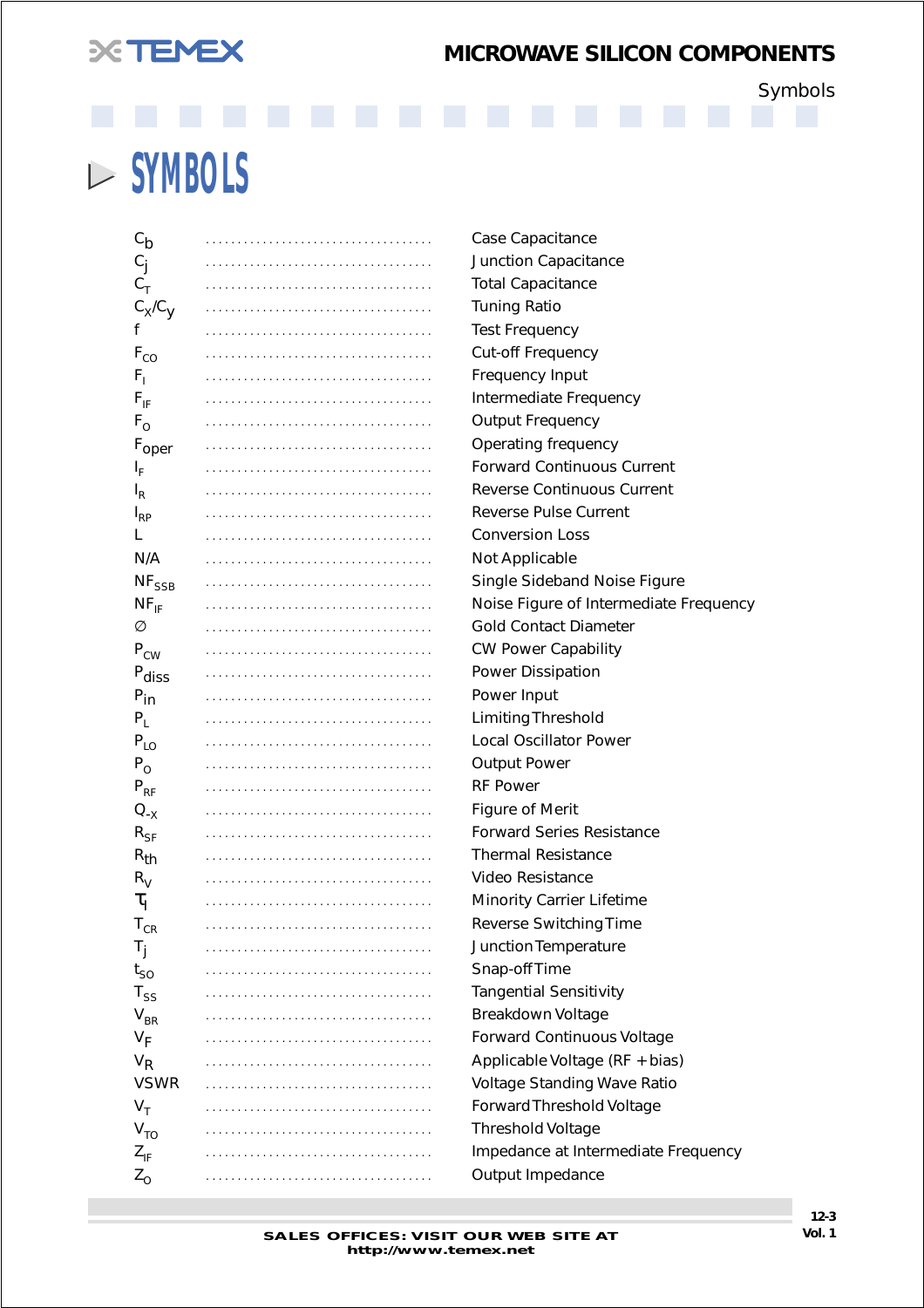# **XEMEX**

## *MICROWAVE SILICON COMPONENTS*

Symbols

# **SYMBOLS**

| $c_{\mathsf{b}}$         | Case Capacitance                       |
|--------------------------|----------------------------------------|
| $C_{\rm j}$              | Junction Capacitance                   |
| $C_T$                    | <b>Total Capacitance</b>               |
| $C_X/C_Y$                | <b>Tuning Ratio</b>                    |
| f                        | <b>Test Frequency</b>                  |
| $\mathsf{F}_{\text{CO}}$ | Cut-off Frequency                      |
| $F_1$                    | Frequency Input                        |
| $F_{IF}$                 | Intermediate Frequency                 |
| $F_{O}$                  | <b>Output Frequency</b>                |
| F <sub>oper</sub>        | Operating frequency                    |
| ı <sup>t</sup>           | <b>Forward Continuous Current</b>      |
| $I_R$                    | <b>Reverse Continuous Current</b>      |
| $I_{RP}$                 | Reverse Pulse Current                  |
| L                        | <b>Conversion Loss</b>                 |
| N/A                      | Not Applicable                         |
| $NF_{SSB}$               | Single Sideband Noise Figure           |
| $NF_{IF}$                | Noise Figure of Intermediate Frequency |
| Ø                        | <b>Gold Contact Diameter</b>           |
| $P_{CW}$                 | <b>CW Power Capability</b>             |
| P <sub>diss</sub>        | Power Dissipation                      |
| $P_{in}$                 | Power Input                            |
| $P_L$                    | <b>Limiting Threshold</b>              |
| $P_{LO}$                 | <b>Local Oscillator Power</b>          |
| $P_{O}$                  | <b>Output Power</b>                    |
| $P_{RF}$                 | <b>RF Power</b>                        |
| $Q_{-X}$                 | <b>Figure of Merit</b>                 |
| $R_{SF}$                 | <b>Forward Series Resistance</b>       |
| $R_{th}$                 | <b>Thermal Resistance</b>              |
| $R_V$                    | Video Resistance                       |
| $\tau_{\text{I}}$        | Minority Carrier Lifetime              |
| ${\sf T}_{\texttt{CR}}$  | Reverse Switching Time                 |
| T <sub>j</sub>           | Junction Temperature                   |
| $t_{SO}$                 | Snap-off Time                          |
| $T_{SS}$                 | <b>Tangential Sensitivity</b>          |
| $V_{BR}$                 | Breakdown Voltage                      |
| $V_F$                    | <b>Forward Continuous Voltage</b>      |
| $V_R$                    | Applicable Voltage (RF + bias)         |
| <b>VSWR</b>              | Voltage Standing Wave Ratio            |
| $V_T$                    | Forward Threshold Voltage              |
| V <sub>TO</sub>          | <b>Threshold Voltage</b>               |
| $Z_{IF}$                 | Impedance at Intermediate Frequency    |
| $Z_{\rm O}$              | Output Impedance                       |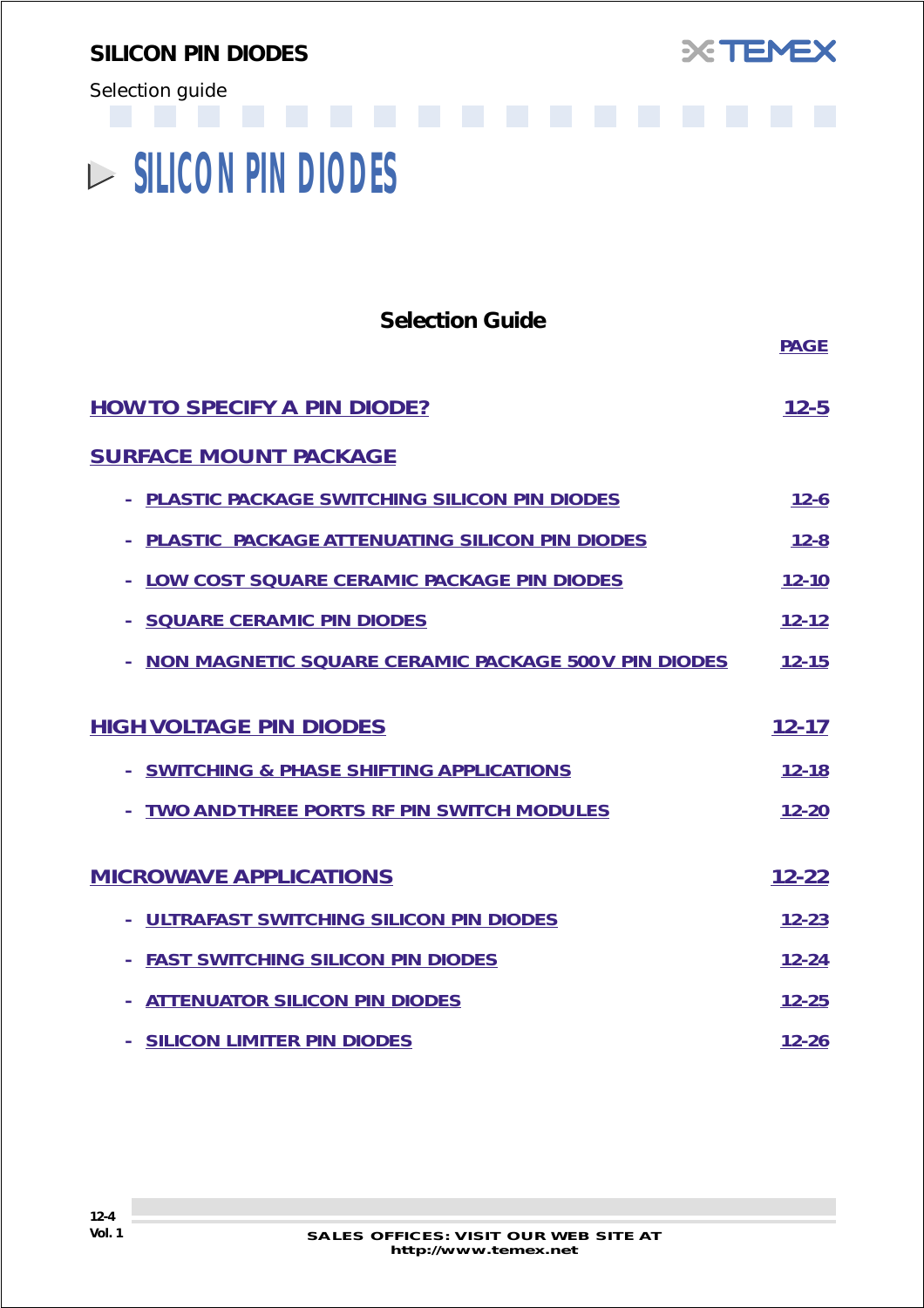<span id="page-3-0"></span>Selection guide



# **SILICON PIN DIODES**

| <b>Selection Guide</b>                                      | <b>PAGE</b> |
|-------------------------------------------------------------|-------------|
| <b>HOW TO SPECIFY A PIN DIODE?</b>                          | $12 - 5$    |
| <b>SURFACE MOUNT PACKAGE</b>                                |             |
| PLASTIC PACKAGE SWITCHING SILICON PIN DIODES                | $12 - 6$    |
| PLASTIC PACKAGE ATTENUATING SILICON PIN DIODES              | $12 - 8$    |
| LOW COST SQUARE CERAMIC PACKAGE PIN DIODES                  | $12 - 10$   |
| <b>SQUARE CERAMIC PIN DIODES</b>                            | $12 - 12$   |
| <b>NON MAGNETIC SQUARE CERAMIC PACKAGE 500 V PIN DIODES</b> | $12 - 15$   |
| <b>HIGH VOLTAGE PIN DIODES</b>                              | $12 - 17$   |
| - SWITCHING & PHASE SHIFTING APPLICATIONS                   | $12 - 18$   |
| TWO AND THREE PORTS RF PIN SWITCH MODULES                   | $12 - 20$   |
| <b>MICROWAVE APPLICATIONS</b>                               | $12 - 22$   |
| ULTRAFAST SWITCHING SILICON PIN DIODES                      | $12 - 23$   |
| <b>FAST SWITCHING SILICON PIN DIODES</b>                    | $12 - 24$   |
| <b>ATTENUATOR SILICON PIN DIODES</b>                        | $12 - 25$   |
| <b>SILICON LIMITER PIN DIODES</b>                           | $12 - 26$   |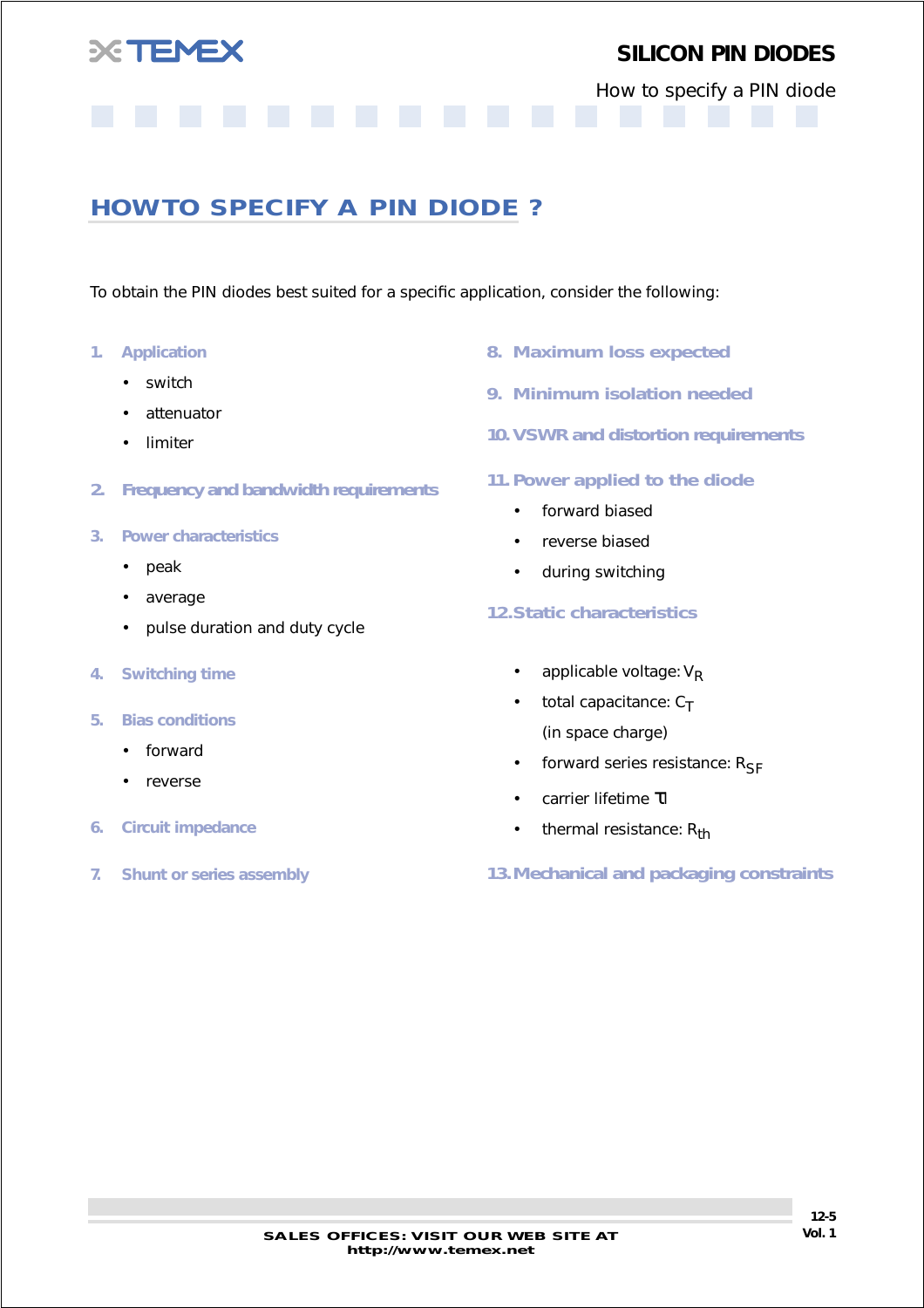<span id="page-4-0"></span>

How to specify a PIN diode

## **HOW TO SPECIFY A PIN DIODE ?**

To obtain the PIN diodes best suited for a specific application, consider the following:

- *1. Application*
	- switch
	- attenuator
	- limiter
- *2. Frequency and bandwidth requirements*
- *3. Power characteristics*
	- peak
	- average
	- pulse duration and duty cycle
- *4. Switching time*
- *5. Bias conditions*
	- forward
	- reverse
- *6. Circuit impedance*
- *7. Shunt or series assembly*
- *8. Maximum loss expected*
- *9. Minimum isolation needed*
- *10. VSWR and distortion requirements*
- *11. Power applied to the diode*
	- forward biased
	- reverse biased
	- during switching

#### *12.Static characteristics*

- applicable voltage:  $V_{\text{P}}$
- total capacitance:  $C_T$ (in space charge)
- forward series resistance:  $R_{SF}$
- carrier lifetime τl
- thermal resistance:  $R_{th}$

*13.Mechanical and packaging constraints*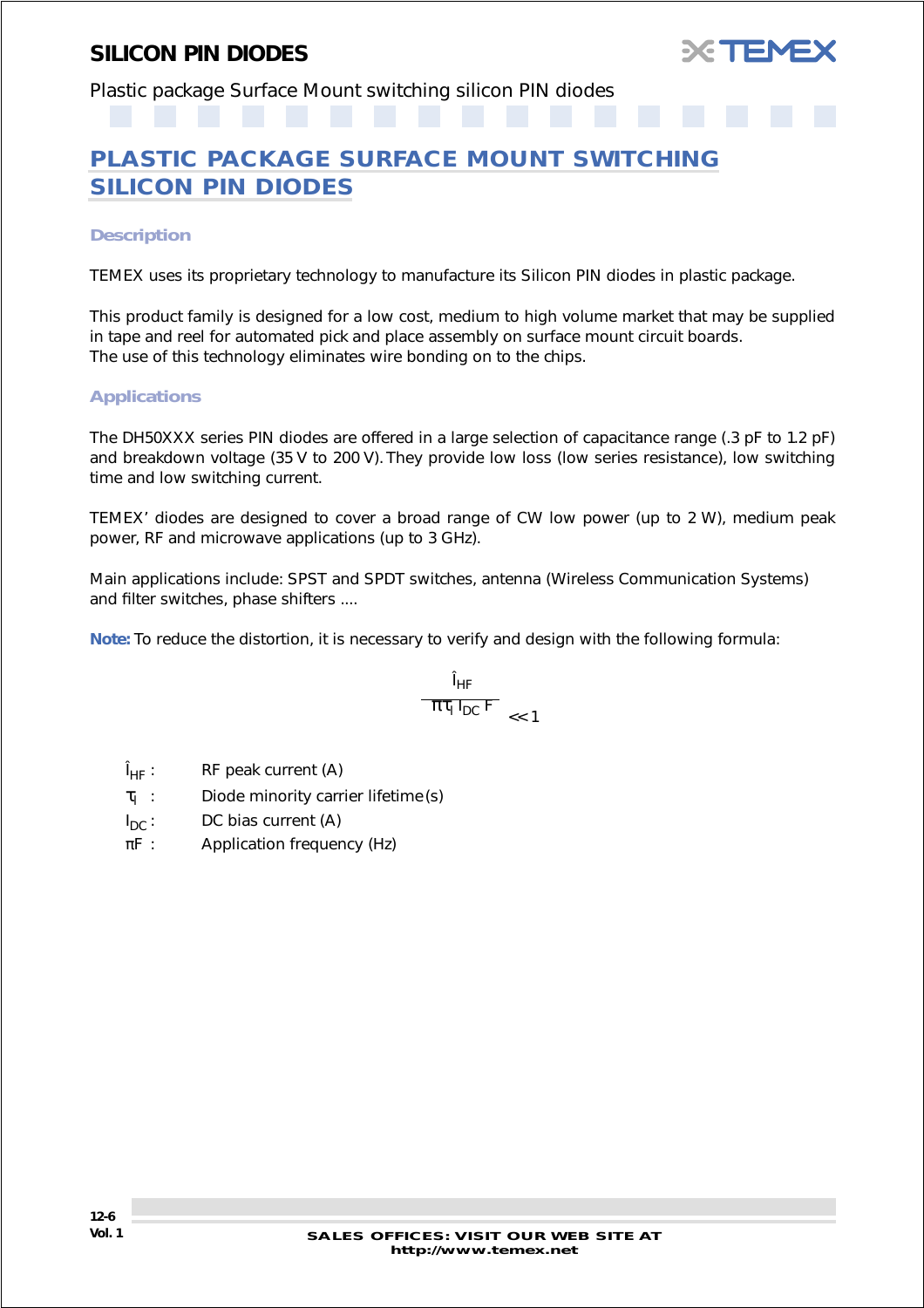

<span id="page-5-0"></span>Plastic package Surface Mount switching silicon PIN diodes

## **PLASTIC PACKAGE SURFACE MOUNT SWITCHING SILICON PIN DIODES**

#### *Description*

TEMEX uses its proprietary technology to manufacture its Silicon PIN diodes in plastic package.

This product family is designed for a low cost, medium to high volume market that may be supplied in tape and reel for automated pick and place assembly on surface mount circuit boards. The use of this technology eliminates wire bonding on to the chips.

#### *Applications*

The DH50XXX series PIN diodes are offered in a large selection of capacitance range (.3 pF to 1.2 pF) and breakdown voltage (35 V to 200 V). They provide low loss (low series resistance), low switching time and low switching current.

TEMEX' diodes are designed to cover a broad range of CW low power (up to 2 W), medium peak power, RF and microwave applications (up to 3 GHz).

Main applications include: SPST and SPDT switches, antenna (Wireless Communication Systems) and filter switches, phase shifters ....

**Note:** To reduce the distortion, it is necessary to verify and design with the following formula:

$$
\frac{I_{HF}}{\pi\tau_{I} I_{DC} F} \underset{<< 1}{}
$$

- $\hat{I}_{HF}$ : RF peak current (A)
- $\tau_1$  : Diode minority carrier lifetime (s)
- $I_{DC}$ : DC bias current (A)
- $\pi$ F : Application frequency (Hz)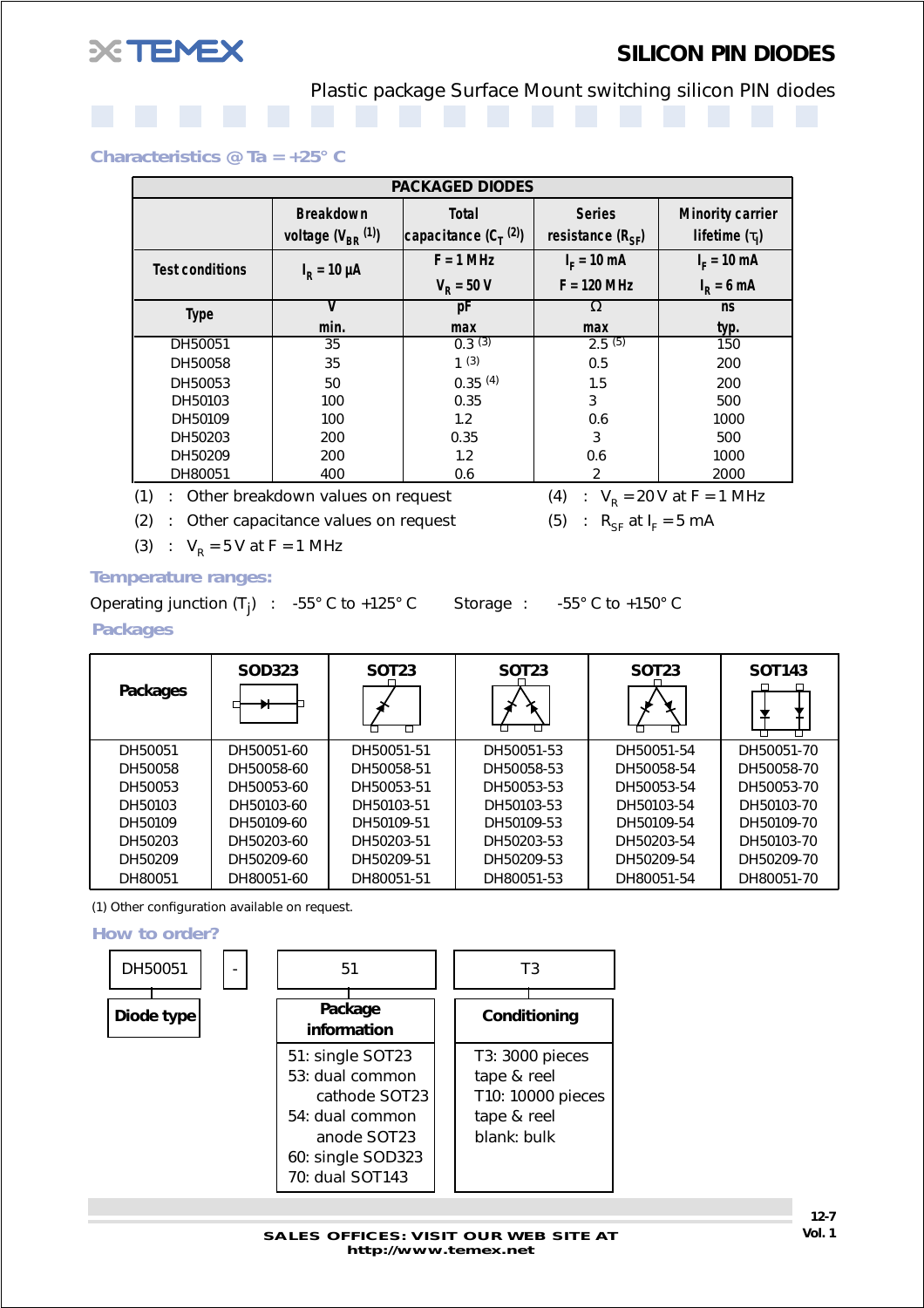

Plastic package Surface Mount switching silicon PIN diodes

#### *Characteristics @ Ta = +25° C*

| <b>PACKAGED DIODES</b> |                                              |                                           |                                        |                                                |  |  |  |
|------------------------|----------------------------------------------|-------------------------------------------|----------------------------------------|------------------------------------------------|--|--|--|
|                        | <b>Breakdown</b><br>voltage $(V_{BR}^{(1)})$ | <b>Total</b><br>capacitance $(C_T^{(2)})$ | <b>Series</b><br>resistance $(R_{SF})$ | <b>Minority carrier</b><br>lifetime $(\tau_1)$ |  |  |  |
| <b>Test conditions</b> | $I_{\rm R}$ = 10 µA                          | $F = 1$ MHz                               | $I_F = 10 \text{ mA}$                  | $I_F = 10$ mA                                  |  |  |  |
|                        |                                              | $V_{\rm p} = 50 V$                        | $F = 120$ MHz                          | $IR = 6 mA$                                    |  |  |  |
| <b>Type</b>            |                                              | рF                                        | $\Omega$                               | <b>ns</b>                                      |  |  |  |
|                        | min.                                         | max                                       | max                                    | typ.                                           |  |  |  |
| DH50051                | 35                                           | 0.3(3)                                    | 2.5(5)                                 | 150                                            |  |  |  |
| DH50058                | 35                                           | 1(3)                                      | 0.5                                    | 200                                            |  |  |  |
| DH50053                | 50                                           | 0.35(4)                                   | 1.5                                    | 200                                            |  |  |  |
| DH50103                | 100                                          | 0.35                                      | 3                                      | 500                                            |  |  |  |
| DH50109                | 100                                          | 1.2                                       | 0.6                                    | 1000                                           |  |  |  |
| DH50203                | 200                                          | 0.35                                      | 3                                      | 500                                            |  |  |  |
| DH50209                | 200                                          | 1.2                                       | 0.6                                    | 1000                                           |  |  |  |
| DH80051                | 400                                          | 0.6                                       | 2                                      | 2000                                           |  |  |  |

 $(1)$  : Other breakdown values on request

(2) : Other capacitance values on request (5) :  $R_{SF}$  at  $I_F = 5$  mA

(3) :  $V_R = 5 V$  at F = 1 MHz

#### *Temperature ranges:*

Operating junction  $(T_i)$  : -55° C to +125° C Storage :  $-55^\circ$  C to  $+150^\circ$  C *Packages*

| Packages | <b>SOD323</b> | <b>SOT23</b> | <b>SOT23</b> | <b>SOT23</b> | <b>SOT143</b> |
|----------|---------------|--------------|--------------|--------------|---------------|
| DH50051  | DH50051-60    | DH50051-51   | DH50051-53   | DH50051-54   | DH50051-70    |
| DH50058  | DH50058-60    | DH50058-51   | DH50058-53   | DH50058-54   | DH50058-70    |
| DH50053  | DH50053-60    | DH50053-51   | DH50053-53   | DH50053-54   | DH50053-70    |
| DH50103  | DH50103-60    | DH50103-51   | DH50103-53   | DH50103-54   | DH50103-70    |
| DH50109  | DH50109-60    | DH50109-51   | DH50109-53   | DH50109-54   | DH50109-70    |
| DH50203  | DH50203-60    | DH50203-51   | DH50203-53   | DH50203-54   | DH50103-70    |
| DH50209  | DH50209-60    | DH50209-51   | DH50209-53   | DH50209-54   | DH50209-70    |
| DH80051  | DH80051-60    | DH80051-51   | DH80051-53   | DH80051-54   | DH80051-70    |

(1) Other configuration available on request.

*How to order?*



(4) : 
$$
V_R
$$
 = 20 V at F = 1 MHz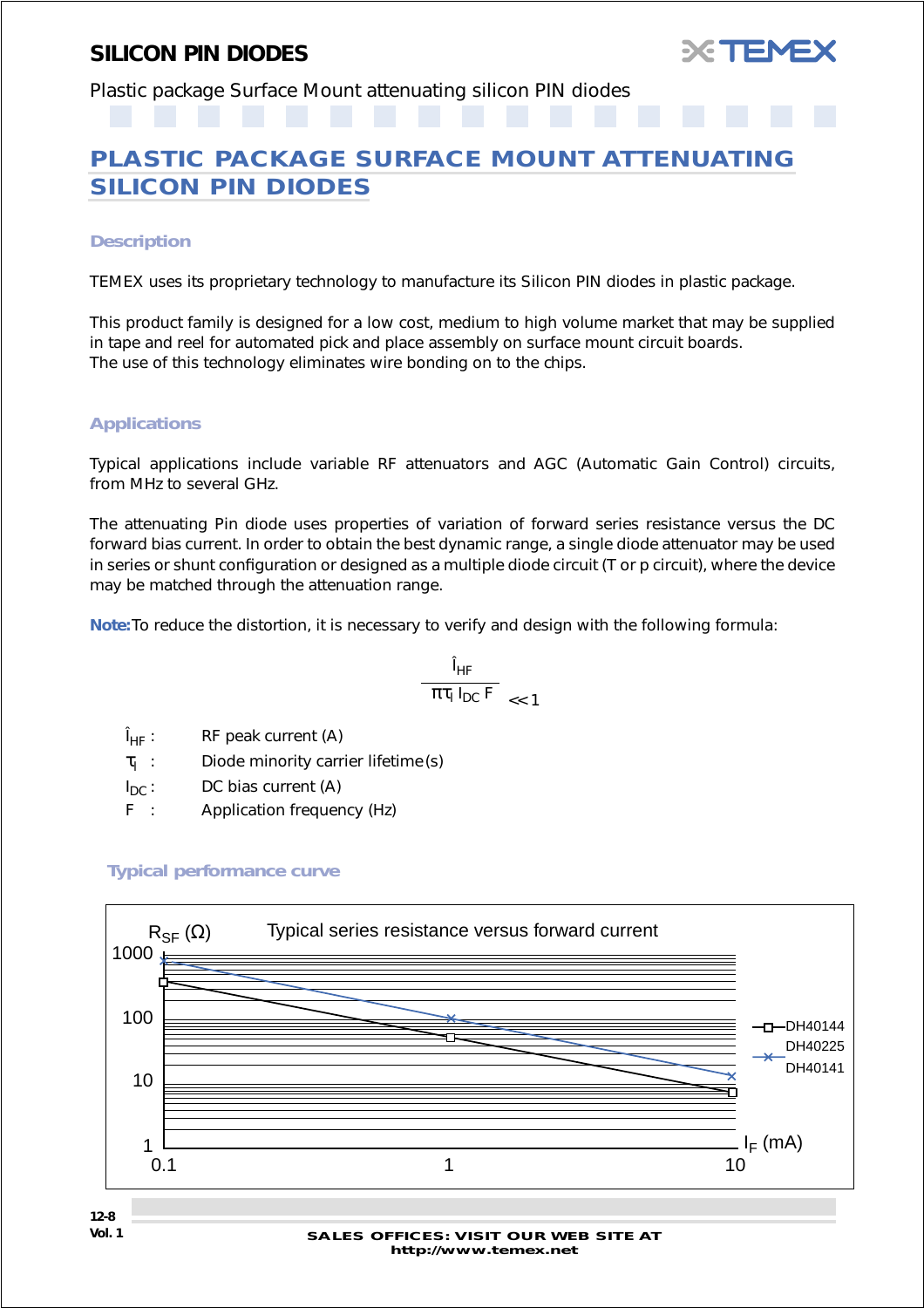

<span id="page-7-0"></span>Plastic package Surface Mount attenuating silicon PIN diodes

## **PLASTIC PACKAGE SURFACE MOUNT ATTENUATING SILICON PIN DIODES**

#### *Description*

TEMEX uses its proprietary technology to manufacture its Silicon PIN diodes in plastic package.

This product family is designed for a low cost, medium to high volume market that may be supplied in tape and reel for automated pick and place assembly on surface mount circuit boards. The use of this technology eliminates wire bonding on to the chips.

#### *Applications*

Typical applications include variable RF attenuators and AGC (Automatic Gain Control) circuits, from MHz to several GHz.

The attenuating Pin diode uses properties of variation of forward series resistance versus the DC forward bias current. In order to obtain the best dynamic range, a single diode attenuator may be used in series or shunt configuration or designed as a multiple diode circuit (T or p circuit), where the device may be matched through the attenuation range.

**Note:**To reduce the distortion, it is necessary to verify and design with the following formula:

$$
\frac{\hat{I}_{HF}}{\pi\tau_{I} I_{DC} F} \underset{<< 1}{}
$$

 $\hat{I}_{HF}$ : RF peak current (A)

 $\tau_1$  : Diode minority carrier lifetime (s)

 $I_{DC}$ : DC bias current (A)

F : Application frequency (Hz)



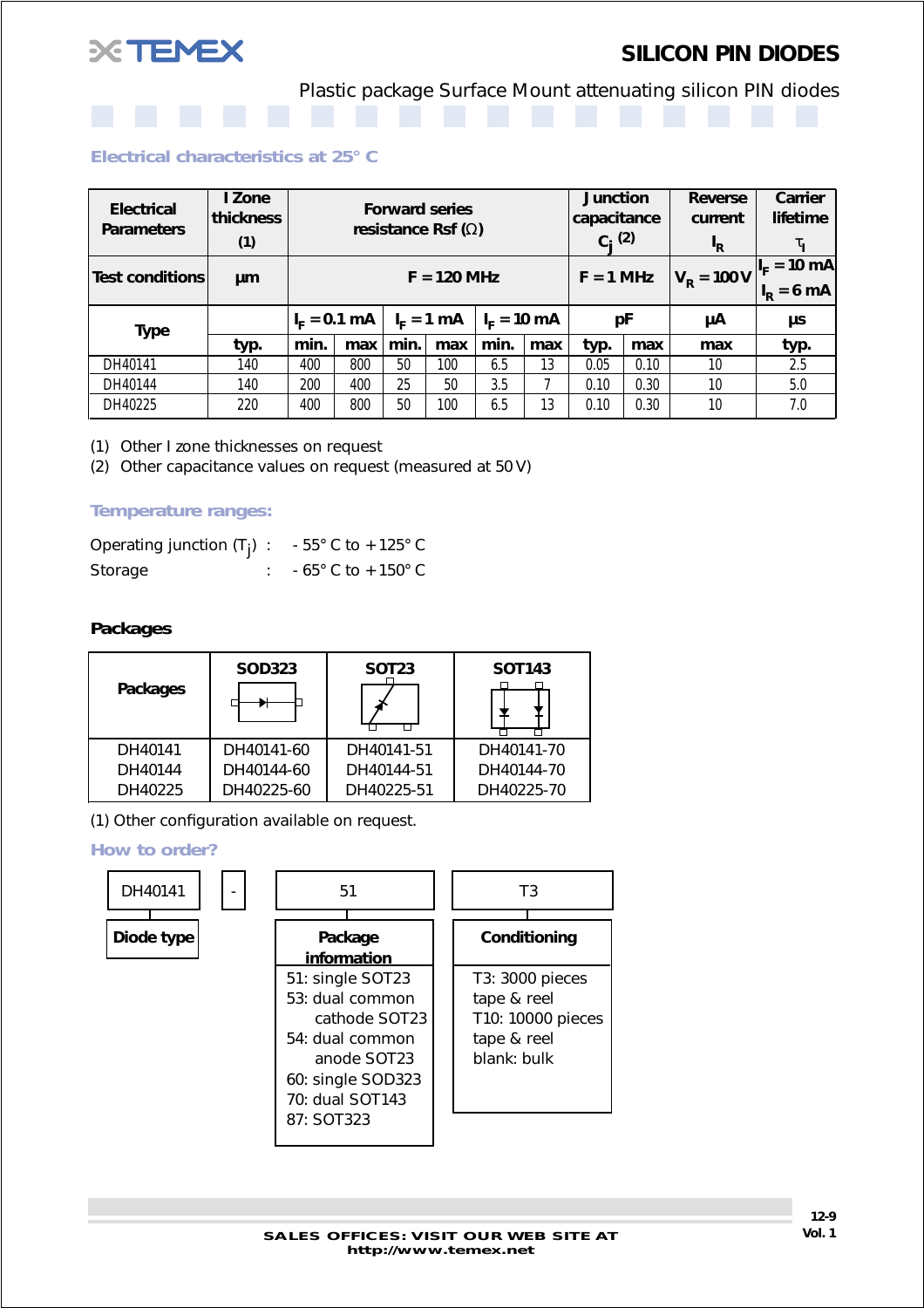

Plastic package Surface Mount attenuating silicon PIN diodes

#### *Electrical characteristics at 25° C*

| <b>Electrical</b><br><b>Parameters</b> | I Zone<br>thickness<br>(1) | <b>Forward series</b><br>resistance Rsf $(\Omega)$ |               |             | <b>Junction</b><br>capacitance<br>$C_i^{(2)}$ |                         | <b>Reverse</b><br>current<br>$I_R$ | Carrier<br>lifetime<br>$\tau_{\rm I}$ |                     |                                              |      |
|----------------------------------------|----------------------------|----------------------------------------------------|---------------|-------------|-----------------------------------------------|-------------------------|------------------------------------|---------------------------------------|---------------------|----------------------------------------------|------|
| <b>Test conditions</b>                 | μm                         |                                                    | $F = 120$ MHz |             |                                               |                         | $F = 1$ MHz                        |                                       | $V_{\rm p} = 100 V$ | $I_F = 10 \overline{mA}$<br>$= 6 \text{ mA}$ |      |
| <b>Type</b>                            |                            | $I_{E} = 0.1$ mA                                   |               | $IF = 1 mA$ |                                               | $I_{E} = 10 \text{ mA}$ |                                    | рF                                    |                     | μA                                           | μs   |
|                                        | typ.                       | min.                                               | max           | min.        | max                                           | min.                    | max                                | typ.                                  | max                 | max                                          | typ. |
| DH40141                                | 140                        | 400                                                | 800           | 50          | 100                                           | 6.5                     | 13                                 | 0.05                                  | 0.10                | 10                                           | 2.5  |
| DH40144                                | 140                        | 200                                                | 400           | 25          | 50                                            | 3.5                     |                                    | 0.10                                  | 0.30                | 10                                           | 5.0  |
| DH40225                                | 220                        | 400                                                | 800           | 50          | 100                                           | 6.5                     | 13                                 | 0.10                                  | 0.30                | 10                                           | 7.0  |

(1) Other I zone thicknesses on request

(2) Other capacitance values on request (measured at 50 V)

#### *Temperature ranges:*

| Operating junction $(T_i)$ : - 55° C to + 125° C |                                     |
|--------------------------------------------------|-------------------------------------|
| Storage                                          | $-65^{\circ}$ C to $+150^{\circ}$ C |

#### *Packages*

| <b>Packages</b> | <b>SOD323</b> | <b>SOT23</b> | <b>SOT143</b> |
|-----------------|---------------|--------------|---------------|
| DH40141         | DH40141-60    | DH40141-51   | DH40141-70    |
| DH40144         | DH40144-60    | DH40144-51   | DH40144-70    |
| DH40225         | DH40225-60    | DH40225-51   | DH40225-70    |

(1) Other configuration available on request.

#### *How to order?*

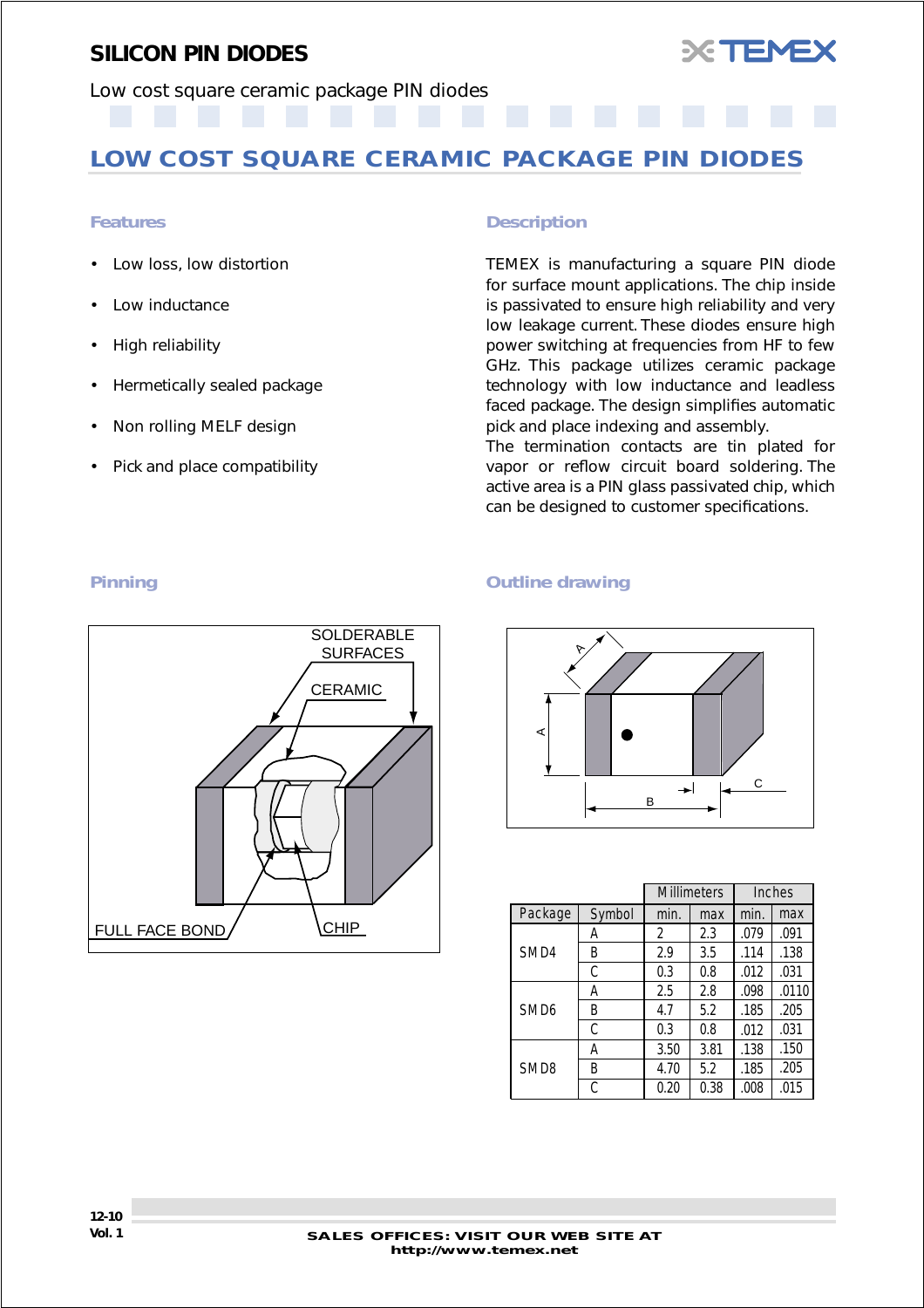

<span id="page-9-0"></span>Low cost square ceramic package PIN diodes

## **LOW COST SQUARE CERAMIC PACKAGE PIN DIODES**

- Low loss, low distortion
- Low inductance
- High reliability
- Hermetically sealed package
- Non rolling MELF design
- Pick and place compatibility

#### *Features Description*

TEMEX is manufacturing a square PIN diode for surface mount applications. The chip inside is passivated to ensure high reliability and very low leakage current. These diodes ensure high power switching at frequencies from HF to few GHz. This package utilizes ceramic package technology with low inductance and leadless faced package. The design simplifies automatic pick and place indexing and assembly.

The termination contacts are tin plated for vapor or reflow circuit board soldering. The active area is a PIN glass passivated chip, which can be designed to customer specifications.

#### *Pinning Outline drawing*



|                  |        |      | <b>Millimeters</b> | Inches |       |
|------------------|--------|------|--------------------|--------|-------|
| Package          | Symbol | min. | max                | min.   | max   |
|                  | Α      | 2    | 2.3                | .079   | .091  |
| SMD4             | B      | 2.9  | 3.5                | .114   | .138  |
|                  | С      | 0.3  | 0.8                | .012   | .031  |
|                  | Α      | 2.5  | 2.8                | .098   | .0110 |
| SMD <sub>6</sub> | Β      | 4.7  | 5.2                | .185   | .205  |
|                  | C      | 0.3  | 0.8                | .012   | .031  |
| SMD <sub>8</sub> | Α      | 3.50 | 3.81               | .138   | .150  |
|                  | B      | 4.70 | 5.2                | .185   | .205  |
|                  | C      | 0.20 | 0.38               | .008   | .015  |

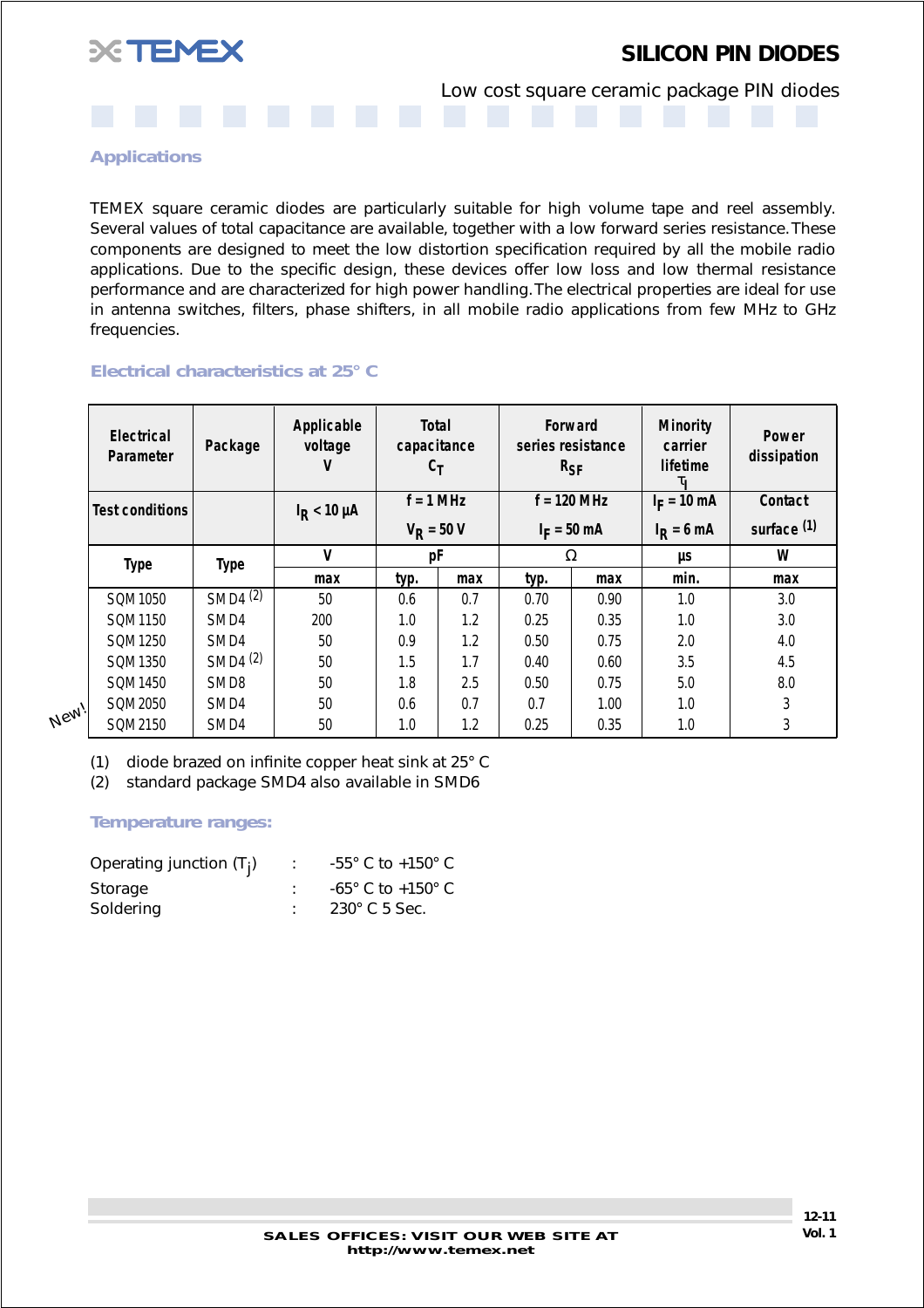

Low cost square ceramic package PIN diodes

*Applications*

TEMEX square ceramic diodes are particularly suitable for high volume tape and reel assembly. Several values of total capacitance are available, together with a low forward series resistance. These components are designed to meet the low distortion specification required by all the mobile radio applications. Due to the specific design, these devices offer low loss and low thermal resistance performance and are characterized for high power handling. The electrical properties are ideal for use in antenna switches, filters, phase shifters, in all mobile radio applications from few MHz to GHz frequencies.

#### *Electrical characteristics at 25° C*

| Electrical<br>Parameter | Package             | Applicable<br>voltage<br>v | <b>Total</b><br>capacitance<br>$c_{\text{T}}$ |     | Forward<br>series resistance<br>$R_{SF}$ |      | <b>Minority</b><br>carrier<br>lifetime<br>τι | <b>Power</b><br>dissipation |               |         |
|-------------------------|---------------------|----------------------------|-----------------------------------------------|-----|------------------------------------------|------|----------------------------------------------|-----------------------------|---------------|---------|
| <b>Test conditions</b>  |                     | $I_R < 10 \mu A$           | $f = 1$ MHz                                   |     |                                          |      | $f = 120$ MHz                                |                             | $I_F = 10$ mA | Contact |
|                         |                     |                            | $V_{R}$ = 50 V                                |     | $I_F = 50$ mA                            |      | $I_R = 6$ mA                                 | surface <sup>(1)</sup>      |               |         |
| <b>Type</b>             | <b>Type</b>         | V                          | рF                                            |     | Ω                                        |      | μs                                           | W                           |               |         |
|                         |                     | max                        | typ.                                          | max | typ.                                     | max  | min.                                         | max                         |               |         |
| SQM1050                 | SMD4 $\overline{2}$ | 50                         | 0.6                                           | 0.7 | 0.70                                     | 0.90 | 1.0                                          | 3.0                         |               |         |
| SQM1150                 | SMD4                | 200                        | 1.0                                           | 1.2 | 0.25                                     | 0.35 | 1.0                                          | 3.0                         |               |         |
| SQM1250                 | SMD4                | 50                         | 0.9                                           | 1.2 | 0.50                                     | 0.75 | 2.0                                          | 4.0                         |               |         |
| SOM1350                 | SMD4 <sup>(2)</sup> | 50                         | 1.5                                           | 1.7 | 0.40                                     | 0.60 | 3.5                                          | 4.5                         |               |         |
| SQM1450                 | SMD <sub>8</sub>    | 50                         | 1.8                                           | 2.5 | 0.50                                     | 0.75 | 5.0                                          | 8.0                         |               |         |
| SQM2050                 | SMD4                | 50                         | 0.6                                           | 0.7 | 0.7                                      | 1.00 | 1.0                                          | 3                           |               |         |
| SQM2150                 | SMD4                | 50                         | 1.0                                           | 1.2 | 0.25                                     | 0.35 | 1.0                                          | 3                           |               |         |

**New!** 

(1) diode brazed on infinite copper heat sink at 25° C

(2) standard package SMD4 also available in SMD6

#### *Temperature ranges:*

| Operating junction $(T_i)$ | $-55^{\circ}$ C to $+150^{\circ}$ C |
|----------------------------|-------------------------------------|
| Storage                    | $-65^{\circ}$ C to $+150^{\circ}$ C |
| Soldering                  | $230^\circ$ C 5 Sec.                |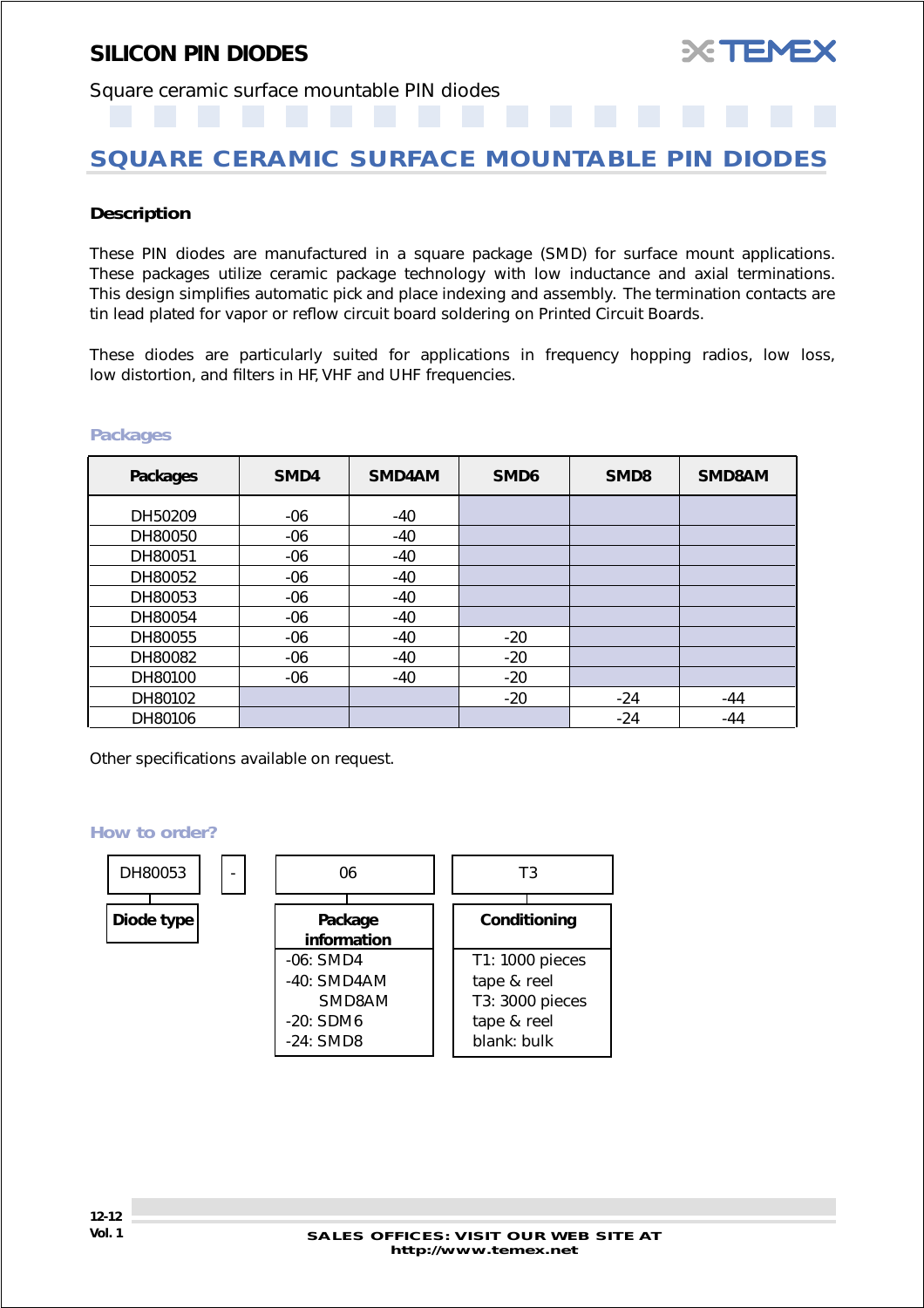

### <span id="page-11-0"></span>Square ceramic surface mountable PIN diodes

## **SQUARE CERAMIC SURFACE MOUNTABLE PIN DIODES**

#### *Description*

These PIN diodes are manufactured in a square package (SMD) for surface mount applications. These packages utilize ceramic package technology with low inductance and axial terminations. This design simplifies automatic pick and place indexing and assembly. The termination contacts are tin lead plated for vapor or reflow circuit board soldering on Printed Circuit Boards.

These diodes are particularly suited for applications in frequency hopping radios, low loss, low distortion, and filters in HF, VHF and UHF frequencies.

#### *Packages*

| <b>Packages</b> | SMD4  | SMD4AM | SMD <sub>6</sub> | SMD <sub>8</sub> | SMD8AM |
|-----------------|-------|--------|------------------|------------------|--------|
| DH50209         | $-06$ | -40    |                  |                  |        |
| DH80050         | $-06$ | -40    |                  |                  |        |
| DH80051         | $-06$ | -40    |                  |                  |        |
| DH80052         | $-06$ | -40    |                  |                  |        |
| DH80053         | $-06$ | $-40$  |                  |                  |        |
| DH80054         | $-06$ | -40    |                  |                  |        |
| DH80055         | $-06$ | $-40$  | $-20$            |                  |        |
| DH80082         | $-06$ | -40    | $-20$            |                  |        |
| DH80100         | $-06$ | $-40$  | $-20$            |                  |        |
| DH80102         |       |        | $-20$            | $-24$            | $-44$  |
| DH80106         |       |        |                  | $-24$            | $-44$  |

Other specifications available on request.

#### *How to order?*

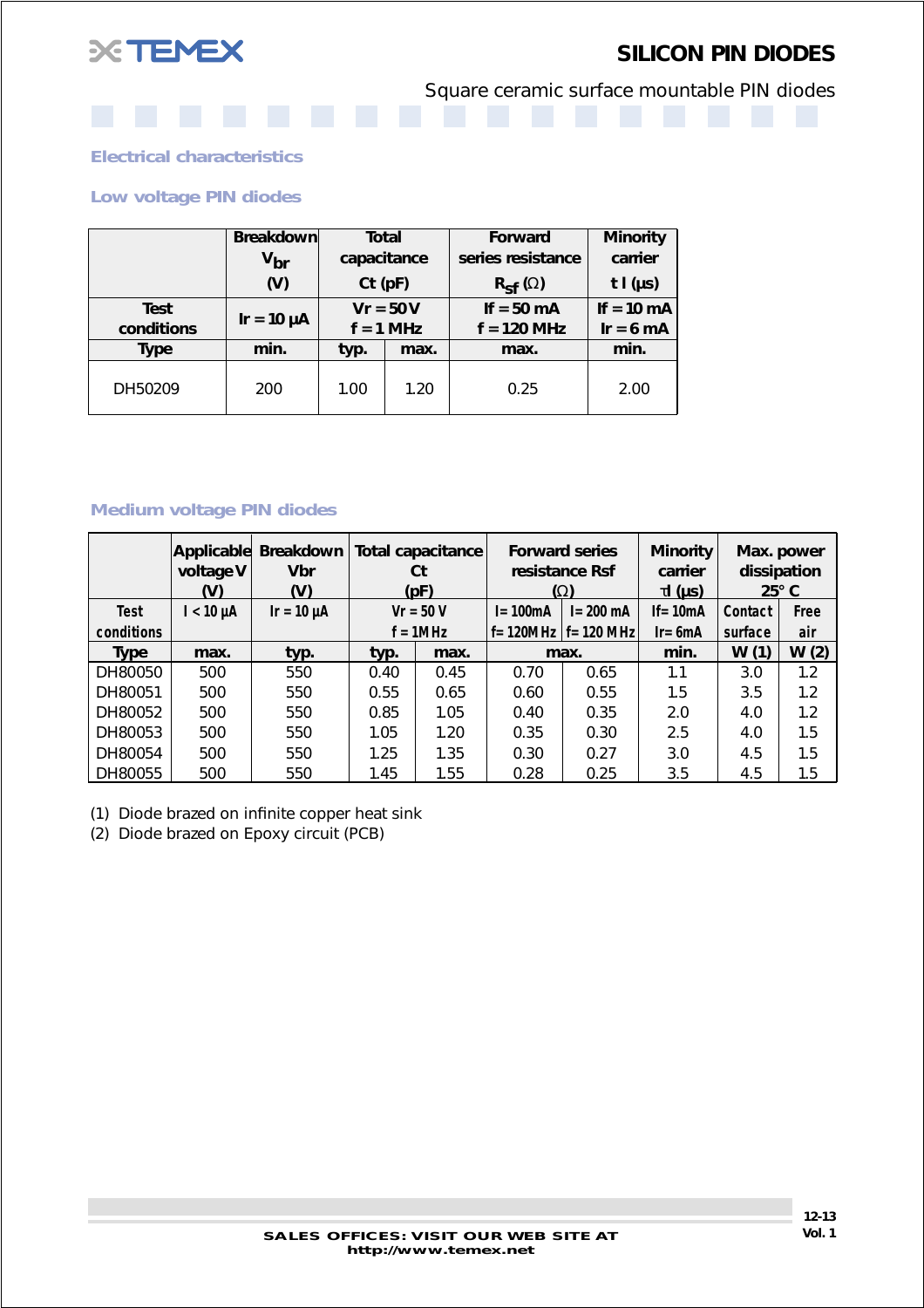

Square ceramic surface mountable PIN diodes

*Electrical characteristics*

*Low voltage PIN diodes*

|             | Breakdown                         | Total         |                              | <b>Forward</b>                      | <b>Minority</b> |
|-------------|-----------------------------------|---------------|------------------------------|-------------------------------------|-----------------|
|             | $\bm{{\mathsf{v}}}_{\textsf{br}}$ | capacitance   |                              | series resistance                   |                 |
|             | (V)                               | $Ct$ ( $pF$ ) |                              | $R_{\mathsf{S} \mathsf{f}}(\Omega)$ | t $I(\mu s)$    |
| Test        |                                   | $Vr = 50V$    |                              | If = $50 \text{ mA}$                | If $= 10$ mA    |
| conditions  | $Ir = 10 \mu A$                   |               | $f = 1$ MHz<br>$f = 120$ MHz |                                     | $Ir = 6 mA$     |
| <b>Type</b> | min.                              | typ.<br>max.  |                              | max.                                | min.            |
| DH50209     | 200                               | 1.00          | 1.20                         | 0.25                                | 2.00            |

#### *Medium voltage PIN diodes*

|             | Applicable<br>voltage V<br>(V) | Breakdown<br><b>Vbr</b><br>(V) |              | <b>Total capacitance</b><br>Ct<br>(pF) |             | <b>Forward series</b><br>resistance Rsf<br>$(\Omega)$ | <b>Minority</b><br>carrier<br><u>τΙ (μs)</u> | dissipation | Max. power<br>$25^\circ$ C |
|-------------|--------------------------------|--------------------------------|--------------|----------------------------------------|-------------|-------------------------------------------------------|----------------------------------------------|-------------|----------------------------|
| <b>Test</b> | $l < 10 \mu A$                 | $Ir = 10 \mu A$                |              | $Vr = 50 V$                            | $I = 100mA$ | $I = 200$ mA                                          | If= $10mA$                                   | Contact     | Free                       |
| conditions  |                                |                                |              | $f = 1$ MHz                            |             | $f = 120MHz$ $f = 120 MHz$                            | $Ir = 6mA$                                   | surface     | air                        |
| <b>Type</b> | max.                           | typ.                           | typ.         | max.                                   |             | max.                                                  | min.                                         | W(1)        | W(2)                       |
| DH80050     | 500                            | 550                            | 0.40         | 0.45                                   | 0.70        | 0.65                                                  | 1.1                                          | 3.0         | 1.2                        |
| DH80051     | 500                            | 550                            | 0.55         | 0.65                                   | 0.60        | 0.55                                                  | 1.5                                          | 3.5         | 1.2                        |
| DH80052     | 500                            | 550                            | 0.85         | 1.05                                   | 0.40        | 0.35                                                  | 2.0                                          | 4.0         | 1.2                        |
| DH80053     | 500                            | 550                            | 1.05<br>1.20 |                                        | 0.35        | 0.30                                                  | 2.5                                          | 4.0         | 1.5                        |
| DH80054     | 500                            | 550                            | 1.25<br>1.35 |                                        | 0.30        | 0.27                                                  | 3.0                                          | 4.5         | 1.5                        |
| DH80055     | 500                            | 550                            | 1.45         | 1.55                                   | 0.28        | 0.25                                                  | 3.5                                          | 4.5         | 1.5                        |

(1) Diode brazed on infinite copper heat sink

(2) Diode brazed on Epoxy circuit (PCB)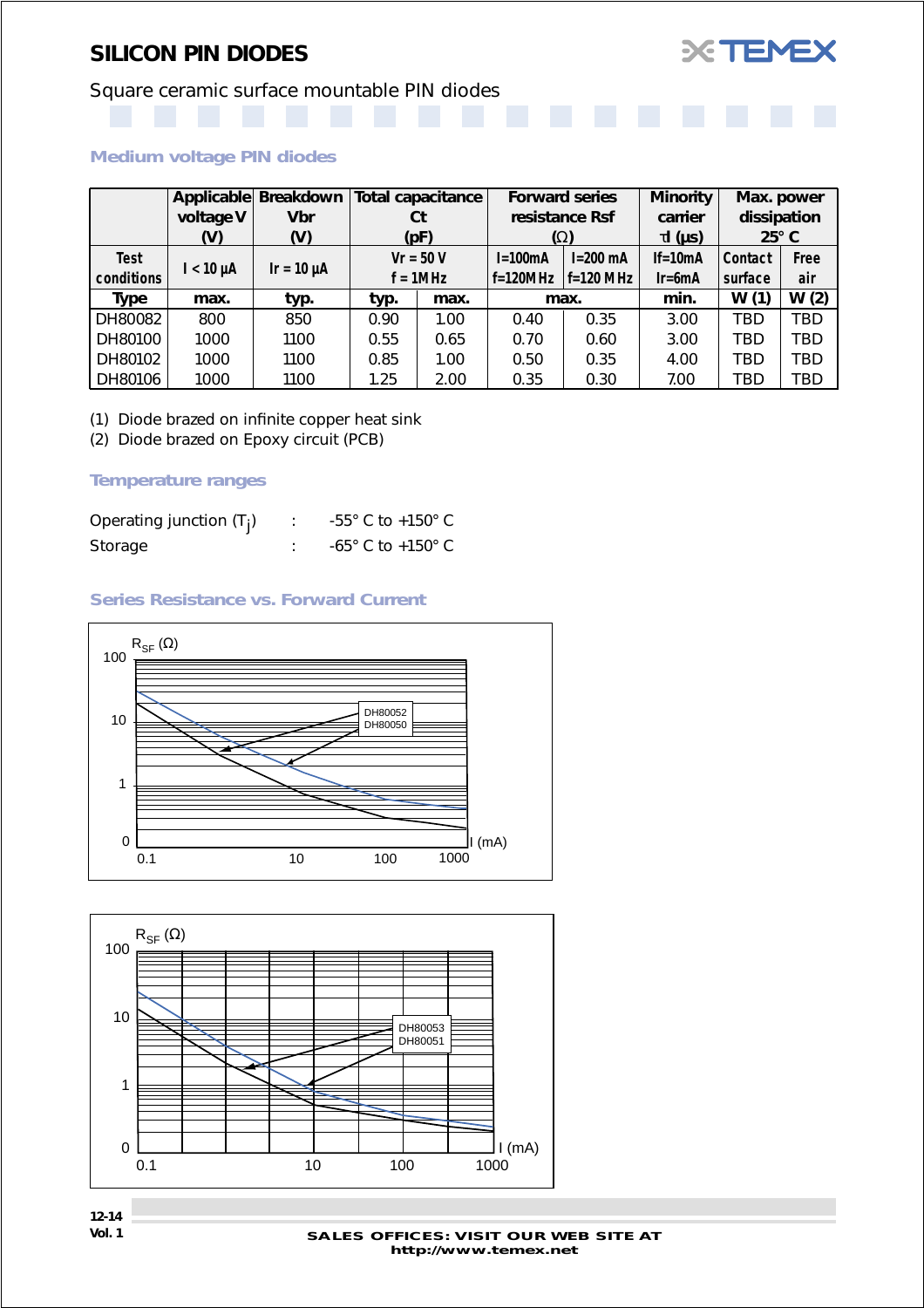

# Square ceramic surface mountable PIN diodes

#### *Medium voltage PIN diodes*

|             | Applicable     | Breakdown       |              | <b>Total capacitance</b>        |            | <b>Forward series</b> | <b>Minority</b> | Max. power   |      |
|-------------|----------------|-----------------|--------------|---------------------------------|------------|-----------------------|-----------------|--------------|------|
|             | voltage V      | <b>Vbr</b>      |              | resistance Rsf<br>Ct<br>carrier |            |                       | dissipation     |              |      |
|             | (V)            | (V)             |              | (pF)                            |            | $(\Omega)$            | $\tau$ I (µs)   | $25^\circ$ C |      |
| <b>Test</b> |                |                 |              | $Vr = 50 V$                     | $I=100mA$  | $I=200$ mA            | $If = 10mA$     | Contact      | Free |
| conditions  | $I < 10 \mu A$ | $Ir = 10 \mu A$ |              | $f = 1MHz$                      | $f=120MHz$ | $f=120$ MHz           | $Ir=6mA$        | surface      | air  |
| Type        | max.           | typ.            | typ.         | max.                            |            | max.                  | min.            | W(1)         | W(2) |
| DH80082     | 800            | 850             | 0.90         | 1.00                            | 0.40       | 0.35                  | 3.00            | TBD          | TBD  |
| DH80100     | 1000           | 1100            | 0.55         | 0.65                            |            | 0.60                  | 3.00            | TBD          | TBD  |
| DH80102     | 1000           | 1100            | 0.85<br>1.00 |                                 | 0.50       | 0.35                  | 4.00            | TBD          | TBD  |
| DH80106     | 1000           | 1100            | 1.25         | 2.00                            | 0.35       | 0.30                  | 7.00            | TBD          | TBD  |

(1) Diode brazed on infinite copper heat sink

(2) Diode brazed on Epoxy circuit (PCB)

#### *Temperature ranges*

| Operating junction $(T_i)$ | $-55^{\circ}$ C to $+150^{\circ}$ C |
|----------------------------|-------------------------------------|
| Storage                    | $-65^{\circ}$ C to $+150^{\circ}$ C |

#### *Series Resistance vs. Forward Current*



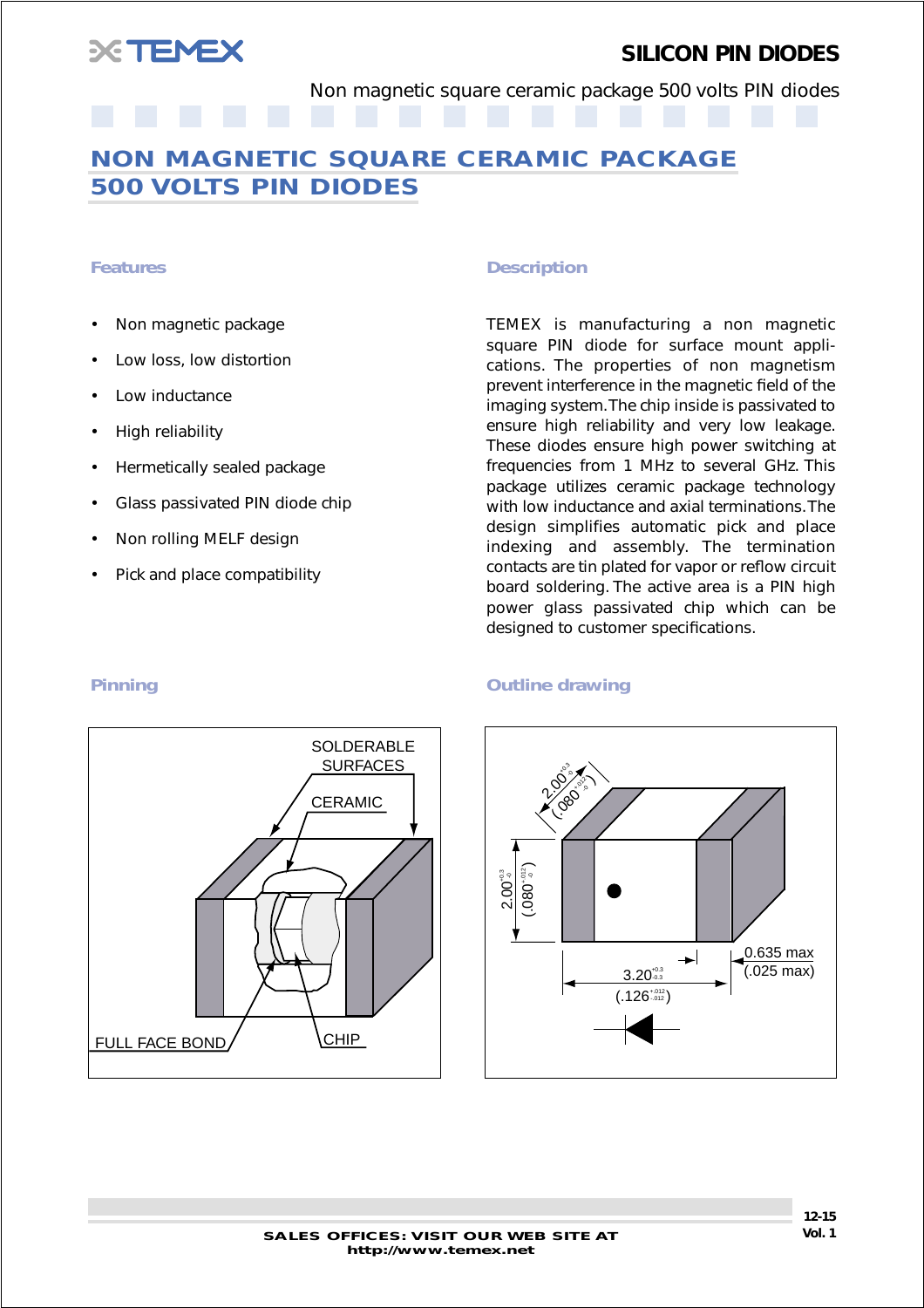<span id="page-14-0"></span>

Non magnetic square ceramic package 500 volts PIN diodes

## **NON MAGNETIC SQUARE CERAMIC PACKAGE 500 VOLTS PIN DIODES**

- Non magnetic package
- Low loss, low distortion
- Low inductance
- High reliability
- Hermetically sealed package
- Glass passivated PIN diode chip
- Non rolling MELF design
- Pick and place compatibility

#### *Features Description*

TEMEX is manufacturing a non magnetic square PIN diode for surface mount applications. The properties of non magnetism prevent interference in the magnetic field of the imaging system. The chip inside is passivated to ensure high reliability and very low leakage. These diodes ensure high power switching at frequencies from 1 MHz to several GHz. This package utilizes ceramic package technology with low inductance and axial terminations. The design simplifies automatic pick and place indexing and assembly. The termination contacts are tin plated for vapor or reflow circuit board soldering. The active area is a PIN high power glass passivated chip which can be designed to customer specifications.



#### **Pinning Community Community Principles Contains Containing Outline drawing**

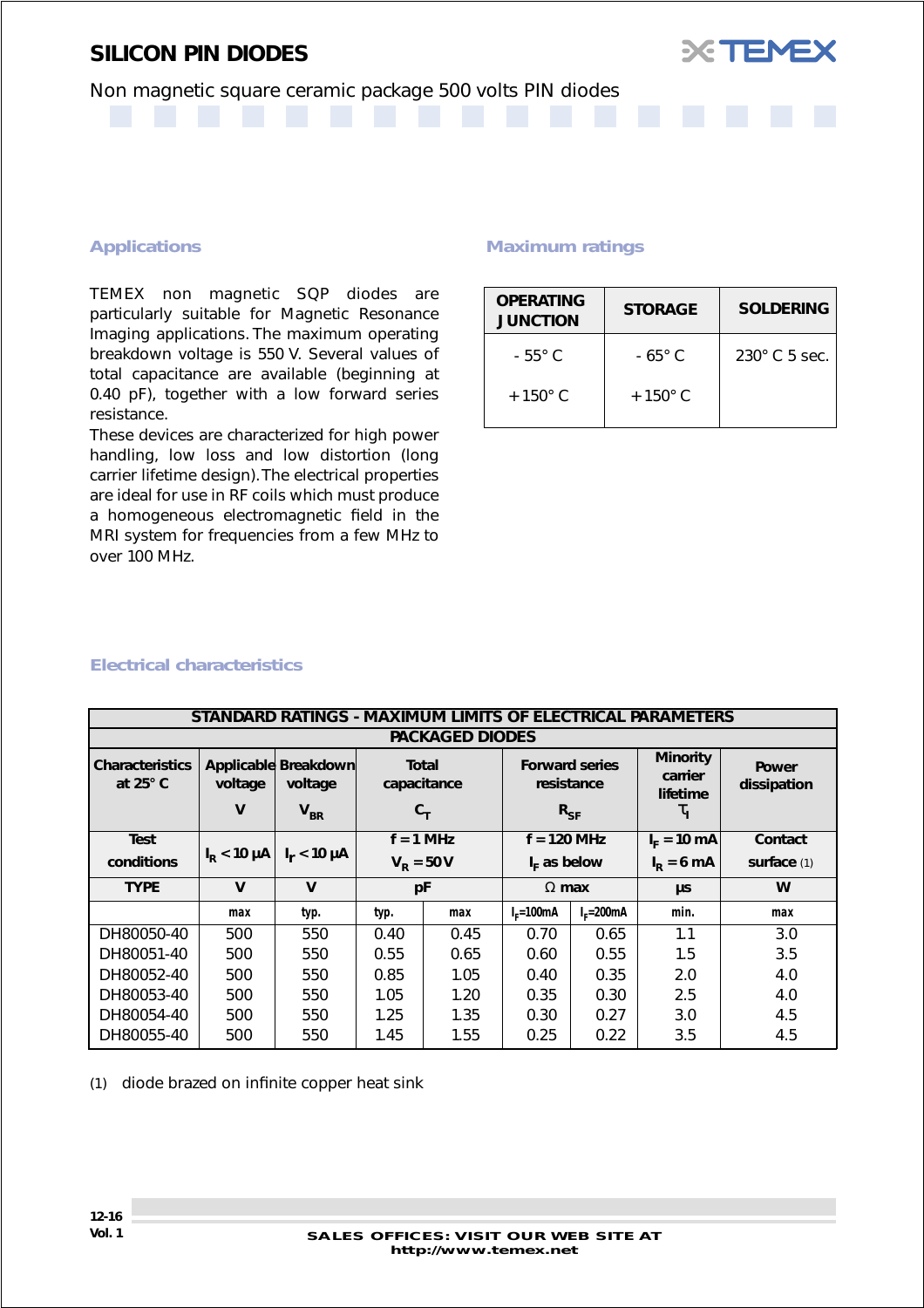

### Non magnetic square ceramic package 500 volts PIN diodes

#### *Applications*

TEMEX non magnetic SQP diodes are particularly suitable for Magnetic Resonance Imaging applications. The maximum operating breakdown voltage is 550 V. Several values of total capacitance are available (beginning at 0.40 pF), together with a low forward series resistance.

These devices are characterized for high power handling, low loss and low distortion (long carrier lifetime design). The electrical properties are ideal for use in RF coils which must produce a homogeneous electromagnetic field in the MRI system for frequencies from a few MHz to over 100 MHz.

#### *Maximum ratings*

| <b>OPERATING</b><br><b>JUNCTION</b> | <b>STORAGE</b>   | <b>SOLDERING</b>     |
|-------------------------------------|------------------|----------------------|
| $-55^{\circ}$ C                     | $-65^\circ$ C    | $230^\circ$ C 5 sec. |
| $+150^{\circ}$ C                    | $+150^{\circ}$ C |                      |

**XTEME** 

#### *Electrical characteristics*

|                                           |                     | STANDARD RATINGS - MAXIMUM LIMITS OF ELECTRICAL PARAMETERS |                    |                                                                                                                                                          |                |               |               |                             |
|-------------------------------------------|---------------------|------------------------------------------------------------|--------------------|----------------------------------------------------------------------------------------------------------------------------------------------------------|----------------|---------------|---------------|-----------------------------|
|                                           |                     |                                                            |                    | <b>PACKAGED DIODES</b>                                                                                                                                   |                |               |               |                             |
| <b>Characteristics</b><br>at $25^\circ$ C | voltage<br>V        | Applicable Breakdown<br>voltage<br>$V_{BR}$                |                    | <b>Minority</b><br><b>Forward series</b><br><b>Total</b><br>carrier<br>capacitance<br>resistance<br>lifetime<br>$R_{SF}$<br>$c_{\tau}$<br>$\tau_{\rm I}$ |                |               |               | <b>Power</b><br>dissipation |
| <b>Test</b>                               |                     |                                                            |                    | $f = 1$ MHz                                                                                                                                              | $f = 120$ MHz  |               | $I_F = 10$ mA | Contact                     |
| conditions                                | $I_{\rm p}$ < 10 µA | $I_r < 10 \mu A$                                           | $V_{\rm R} = 50 V$ |                                                                                                                                                          | $I_F$ as below |               | $I_p = 6$ mA  | surface $(1)$               |
| <b>TYPE</b>                               | $\mathbf v$         | $\mathbf v$                                                | pF                 |                                                                                                                                                          | $\Omega$ max   |               | μs            | W                           |
|                                           | max                 | typ.                                                       | typ.               | max                                                                                                                                                      | $Ir=100mA$     | $I_F = 200mA$ | min.          | max                         |
| DH80050-40                                | 500                 | 550                                                        | 0.40               | 0.45                                                                                                                                                     | 0.70           | 0.65          | 1.1           | 3.0                         |
| DH80051-40                                | 500                 | 550                                                        | 0.55               | 0.65                                                                                                                                                     | 0.60           | 0.55          | 1.5           | 3.5                         |
| DH80052-40                                | 500                 | 550                                                        | 0.85               | 1.05                                                                                                                                                     | 0.40           | 0.35          | 2.0           | 4.0                         |
| DH80053-40                                | 500                 | 550                                                        | 1.05<br>1.20       |                                                                                                                                                          | 0.35           | 0.30          | 2.5           | 4.0                         |
| DH80054-40                                | 500                 | 550                                                        | 1.25               | 1.35                                                                                                                                                     | 0.30           | 0.27          | 3.0           | 4.5                         |
| DH80055-40                                | 500                 | 550                                                        | 1.45               | 1.55                                                                                                                                                     | 0.25           | 0.22          | 3.5           | 4.5                         |

(1) diode brazed on infinite copper heat sink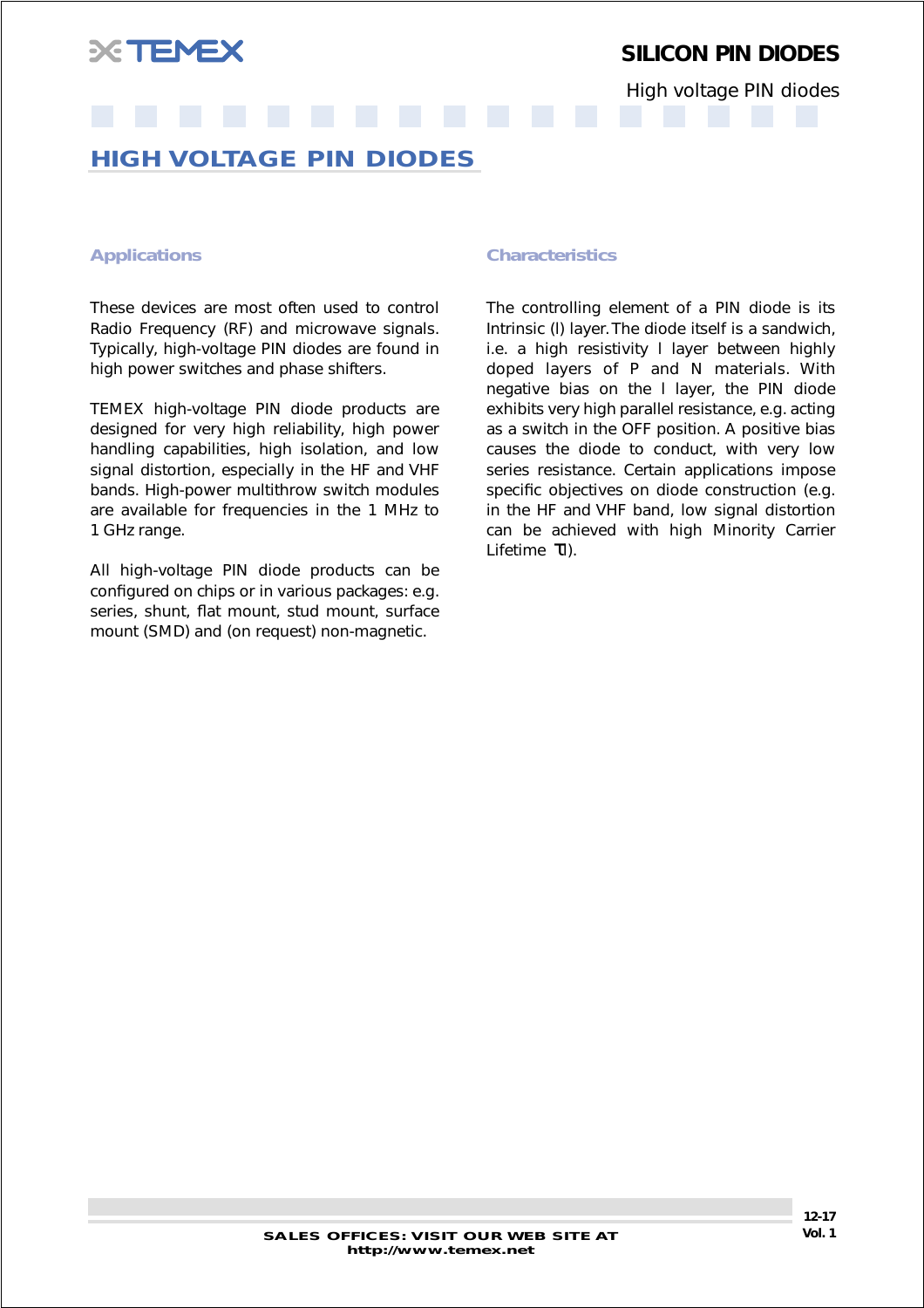<span id="page-16-0"></span>

High voltage PIN diodes

## **HIGH VOLTAGE PIN DIODES**

These devices are most often used to control Radio Frequency (RF) and microwave signals. Typically, high-voltage PIN diodes are found in high power switches and phase shifters.

TEMEX high-voltage PIN diode products are designed for very high reliability, high power handling capabilities, high isolation, and low signal distortion, especially in the HF and VHF bands. High-power multithrow switch modules are available for frequencies in the 1 MHz to 1 GHz range.

All high-voltage PIN diode products can be configured on chips or in various packages: e.g. series, shunt, flat mount, stud mount, surface mount (SMD) and (on request) non-magnetic.

#### *Applications Characteristics*

The controlling element of a PIN diode is its Intrinsic (l) layer. The diode itself is a sandwich, i.e. a high resistivity l layer between highly doped layers of P and N materials. With negative bias on the l layer, the PIN diode exhibits very high parallel resistance, e.g. acting as a switch in the OFF position. A positive bias causes the diode to conduct, with very low series resistance. Certain applications impose specific objectives on diode construction (e.g. in the HF and VHF band, low signal distortion can be achieved with high Minority Carrier Lifetime τl).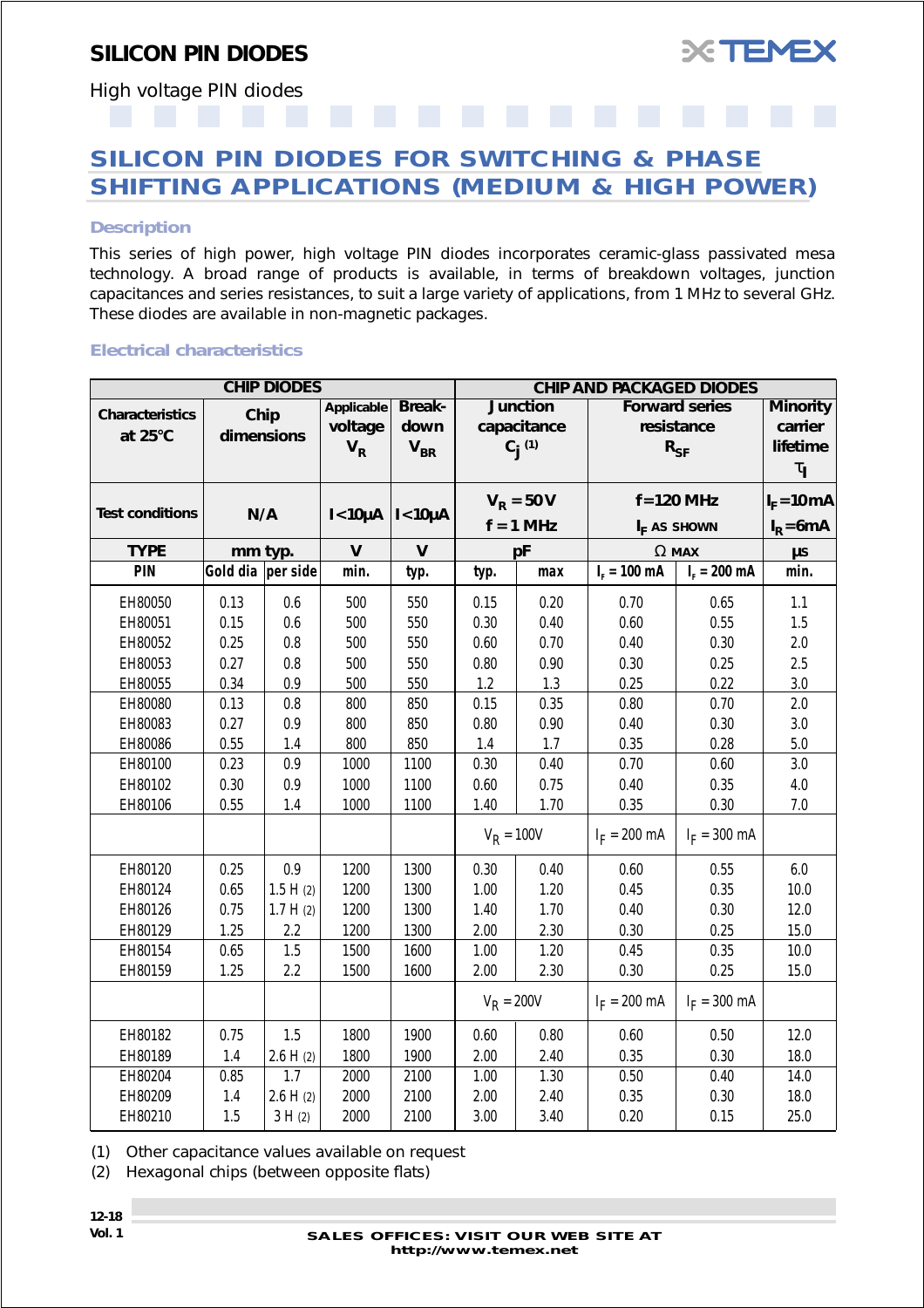

<span id="page-17-0"></span>High voltage PIN diodes

## **SILICON PIN DIODES FOR SWITCHING & PHASE SHIFTING APPLICATIONS (MEDIUM & HIGH POWER)**

#### *Description*

This series of high power, high voltage PIN diodes incorporates ceramic-glass passivated mesa technology. A broad range of products is available, in terms of breakdown voltages, junction capacitances and series resistances, to suit a large variety of applications, from 1 MHz to several GHz. These diodes are available in non-magnetic packages.

#### *Electrical characteristics*

|                                   |                    | <b>CHIP DIODES</b> |                                       |                                                     | <b>CHIP AND PACKAGED DIODES</b> |                                             |                        |                                                 |                                                              |  |  |
|-----------------------------------|--------------------|--------------------|---------------------------------------|-----------------------------------------------------|---------------------------------|---------------------------------------------|------------------------|-------------------------------------------------|--------------------------------------------------------------|--|--|
| <b>Characteristics</b><br>at 25°C | Chip<br>dimensions |                    | <b>Applicable</b><br>voltage<br>$V_R$ | <b>Break-</b><br>down<br>$\mathsf{V}_{\mathsf{BR}}$ |                                 | <b>Junction</b><br>capacitance<br>$C_i$ (1) |                        | <b>Forward series</b><br>resistance<br>$R_{SF}$ | <b>Minority</b><br>carrier<br>lifetime<br>$\tau_{\parallel}$ |  |  |
| <b>Test conditions</b>            | N/A                |                    | $I < 10\mu A$   $I < 10\mu A$         |                                                     |                                 | $V_R = 50 V$                                |                        | $f = 120$ MHz                                   | $I_F = 10 \text{ mA}$                                        |  |  |
|                                   |                    |                    |                                       |                                                     | $f = 1$ MHz                     |                                             | $I_F$ as shown         | $I_R = 6mA$                                     |                                                              |  |  |
| <b>TYPE</b>                       | mm typ.            |                    | $\mathsf{V}$                          | V                                                   |                                 | рF                                          |                        | $\Omega$ MAX                                    | $\mu s$                                                      |  |  |
| PIN                               | Gold dia per side  |                    | min.                                  | typ.                                                | typ.                            | max                                         | $I_r = 100 \text{ mA}$ | $I_{F} = 200$ mA                                | min.                                                         |  |  |
| EH80050                           | 0.13               | 0.6                | 500                                   | 550                                                 | 0.15                            | 0.20                                        | 0.70                   | 0.65                                            | 1.1                                                          |  |  |
| EH80051                           | 0.15               | 0.6                | 500                                   | 550                                                 | 0.30                            | 0.40                                        | 0.60                   | 0.55                                            | $1.5\,$                                                      |  |  |
| EH80052                           | 0.25               | $0.8\,$            | 500                                   | 550                                                 | 0.60                            | 0.70                                        | 0.40                   | 0.30                                            | 2.0                                                          |  |  |
| EH80053                           | 0.27               | $0.8\,$            | 500                                   | 550                                                 | 0.80                            | 0.90                                        | 0.30                   | 0.25                                            | 2.5                                                          |  |  |
| EH80055                           | 0.34               | 0.9                | 500                                   | 550                                                 | 1.2                             | 1.3                                         | 0.25                   | 0.22                                            | 3.0                                                          |  |  |
| EH80080                           | 0.13               | 0.8                | 800                                   | 850                                                 | 0.15                            | 0.35                                        | 0.80                   | 0.70                                            | 2.0                                                          |  |  |
| EH80083                           | 0.27               | 0.9                | 800                                   | 850                                                 | 0.80                            | 0.90                                        | 0.40                   | 0.30                                            | $3.0\,$                                                      |  |  |
| EH80086                           | 0.55               | 1.4                | 800                                   | 850                                                 | 1.4                             | 1.7                                         | 0.35                   | 0.28                                            | $5.0\,$                                                      |  |  |
| EH80100                           | 0.23               | 0.9                | 1000                                  | 1100                                                | 0.30                            | 0.40                                        | 0.70                   | 0.60                                            | 3.0                                                          |  |  |
| EH80102                           | 0.30               | 0.9                | 1000                                  | 1100                                                | 0.60                            | 0.75                                        | 0.40                   | 0.35                                            | 4.0                                                          |  |  |
| EH80106                           | 0.55               | 1.4                | 1000                                  | 1100                                                | 1.40                            | 1.70                                        | 0.35                   | 0.30                                            | 7.0                                                          |  |  |
|                                   |                    |                    |                                       |                                                     |                                 | $V_R = 100V$<br>$I_F = 200 \text{ mA}$      |                        | $I_F = 300$ mA                                  |                                                              |  |  |
| EH80120                           | 0.25               | 0.9                | 1200                                  | 1300                                                | 0.30                            | 0.40                                        | 0.60                   | 0.55                                            | 6.0                                                          |  |  |
| EH80124                           | 0.65               | 1.5 H(2)           | 1200                                  | 1300                                                | 1.00                            | 1.20                                        | 0.45                   | 0.35                                            | 10.0                                                         |  |  |
| EH80126                           | 0.75               | 1.7 H(2)           | 1200                                  | 1300                                                | 1.40                            | 1.70                                        | 0.40                   | 0.30                                            | 12.0                                                         |  |  |
| EH80129                           | 1.25               | 2.2                | 1200                                  | 1300                                                | 2.00                            | 2.30                                        | 0.30                   | 0.25                                            | 15.0                                                         |  |  |
| EH80154                           | 0.65               | 1.5                | 1500                                  | 1600                                                | 1.00                            | 1.20                                        | 0.45                   | 0.35                                            | 10.0                                                         |  |  |
| EH80159                           | 1.25               | 2.2                | 1500                                  | 1600                                                | 2.00                            | 2.30                                        | 0.30                   | 0.25                                            | 15.0                                                         |  |  |
|                                   |                    |                    |                                       |                                                     | $V_R = 200V$                    |                                             | $I_F = 200 \text{ mA}$ | $I_F = 300 \text{ mA}$                          |                                                              |  |  |
| EH80182                           | 0.75               | 1.5                | 1800                                  | 1900                                                | 0.60                            | 0.80                                        | 0.60                   | 0.50                                            | 12.0                                                         |  |  |
| EH80189                           | 1.4                | 2.6 H(2)           | 1800                                  | 1900                                                | 2.00                            | 2.40                                        | 0.35                   | 0.30                                            | 18.0                                                         |  |  |
| EH80204                           | 0.85               | 1.7                | 2000                                  | 2100                                                | 1.00                            | 1.30                                        | 0.50                   | 0.40                                            | 14.0                                                         |  |  |
| EH80209                           | 1.4                | 2.6 H(2)           | 2000                                  | 2100                                                | 2.00                            | 2.40                                        | 0.35                   | 0.30                                            | 18.0                                                         |  |  |
| EH80210                           | 1.5                | 3 H(2)             | 2000                                  | 2100                                                | 3.00                            | 3.40                                        | 0.20                   | 0.15                                            | 25.0                                                         |  |  |

(1) Other capacitance values available on request

(2) Hexagonal chips (between opposite flats)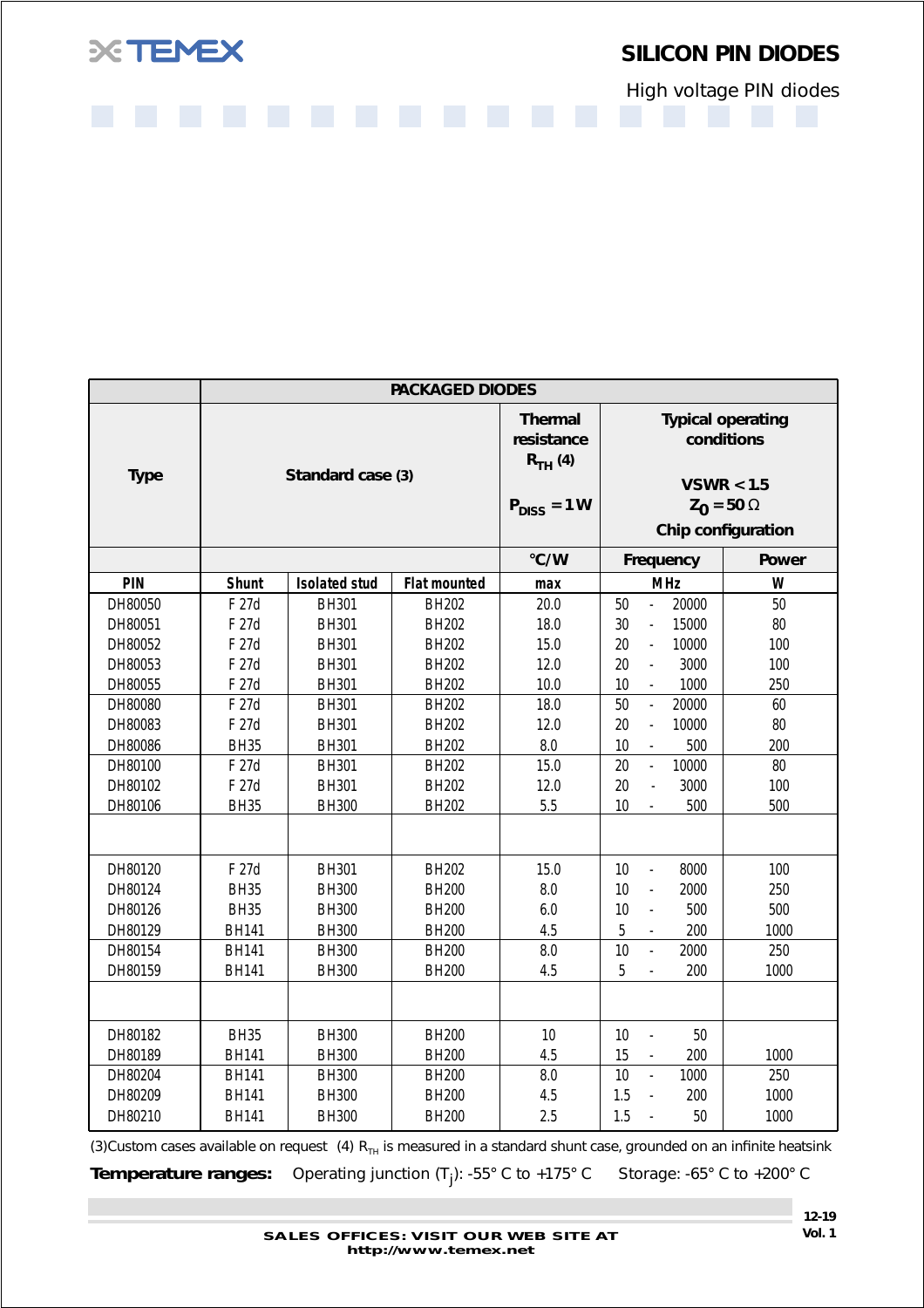

High voltage PIN diodes

|             |              |                      | <b>PACKAGED DIODES</b> |                                                                  |                                        |                                                                                                 |
|-------------|--------------|----------------------|------------------------|------------------------------------------------------------------|----------------------------------------|-------------------------------------------------------------------------------------------------|
| <b>Type</b> |              | Standard case (3)    |                        | <b>Thermal</b><br>resistance<br>$R_{TH}$ (4)<br>$P_{DISS} = 1 W$ |                                        | <b>Typical operating</b><br>conditions<br>VSWR < 1.5<br>$Z_0 = 50 \Omega$<br>Chip configuration |
|             |              |                      |                        | °C/W                                                             | Frequency                              | <b>Power</b>                                                                                    |
| <b>PIN</b>  | Shunt        | <b>Isolated stud</b> | <b>Flat mounted</b>    | max                                                              | <b>MHz</b>                             | W                                                                                               |
| DH80050     | F 27d        | BH301                | <b>BH202</b>           | 20.0                                                             | 20000<br>50<br>$\Box$                  | 50                                                                                              |
| DH80051     | F 27d        | BH301                | <b>BH202</b>           | 18.0                                                             | 30<br>15000<br>$\Box$                  | 80                                                                                              |
| DH80052     | F 27d        | BH301                | <b>BH202</b>           | 15.0                                                             | 20<br>10000<br>$\Box$                  | 100                                                                                             |
| DH80053     | F 27d        | BH301                | <b>BH202</b>           | 12.0                                                             | 20<br>3000<br>L.                       | 100                                                                                             |
| DH80055     | F 27d        | <b>BH301</b>         | <b>BH202</b>           | 10.0                                                             | 1000<br>10<br>$\mathbb{L}$             | 250                                                                                             |
| DH80080     | F 27d        | BH301                | <b>BH202</b>           | 18.0                                                             | 50<br>20000<br>$\mathbb{L}$            | 60                                                                                              |
| DH80083     | F 27d        | BH301                | <b>BH202</b>           | 12.0                                                             | 20<br>10000<br>$\Box$                  | 80                                                                                              |
| DH80086     | <b>BH35</b>  | <b>BH301</b>         | <b>BH202</b>           | 8.0                                                              | 500<br>10<br>$\mathbb{L}$              | 200                                                                                             |
| DH80100     | F 27d        | BH301                | <b>BH202</b>           | 15.0                                                             | 20<br>10000<br>L,                      | 80                                                                                              |
| DH80102     | F 27d        | BH301                | <b>BH202</b>           | 12.0                                                             | 20<br>3000<br>$\overline{a}$           | 100                                                                                             |
| DH80106     | <b>BH35</b>  | <b>BH300</b>         | <b>BH202</b>           | 5.5                                                              | 10<br>500<br>$\bar{\phantom{a}}$       | 500                                                                                             |
|             |              |                      |                        |                                                                  |                                        |                                                                                                 |
| DH80120     | F 27d        | BH301                | <b>BH202</b>           | 15.0                                                             | 10<br>8000<br>$\mathbb{L}$             | 100                                                                                             |
| DH80124     | <b>BH35</b>  | <b>BH300</b>         | <b>BH200</b>           | 8.0                                                              | 10<br>2000<br>$\overline{a}$           | 250                                                                                             |
| DH80126     | <b>BH35</b>  | <b>BH300</b>         | <b>BH200</b>           | 6.0                                                              | 10<br>500<br>$\overline{\phantom{a}}$  | 500                                                                                             |
| DH80129     | <b>BH141</b> | <b>BH300</b>         | <b>BH200</b>           | 4.5                                                              | 5<br>200                               | 1000                                                                                            |
| DH80154     | <b>BH141</b> | <b>BH300</b>         | <b>BH200</b>           | 8.0                                                              | 10<br>2000<br>$\overline{a}$           | 250                                                                                             |
| DH80159     | <b>BH141</b> | <b>BH300</b>         | <b>BH200</b>           | 4.5                                                              | 5<br>200<br>$\frac{1}{2}$              | 1000                                                                                            |
|             |              |                      |                        |                                                                  |                                        |                                                                                                 |
| DH80182     | <b>BH35</b>  | <b>BH300</b>         | <b>BH200</b>           | 10                                                               | 10<br>50<br>$\overline{a}$             |                                                                                                 |
| DH80189     | <b>BH141</b> | <b>BH300</b>         | <b>BH200</b>           | 4.5                                                              | 15<br>200<br>$\overline{\phantom{a}}$  | 1000                                                                                            |
| DH80204     | <b>BH141</b> | <b>BH300</b>         | <b>BH200</b>           | 8.0                                                              | 10<br>1000<br>$\overline{\phantom{a}}$ | 250                                                                                             |
| DH80209     | <b>BH141</b> | <b>BH300</b>         | <b>BH200</b>           | 4.5                                                              | 1.5<br>200<br>$\overline{\phantom{0}}$ | 1000                                                                                            |
| DH80210     | <b>BH141</b> | <b>BH300</b>         | <b>BH200</b>           | 2.5                                                              | 1.5<br>50<br>$\frac{1}{2}$             | 1000                                                                                            |

(3)Custom cases available on request (4)  $R_{TH}$  is measured in a standard shunt case, grounded on an infinite heatsink

**Temperature ranges:** Operating junction (T<sub>j</sub>): -55° C to +175° C Storage: -65° C to +200° C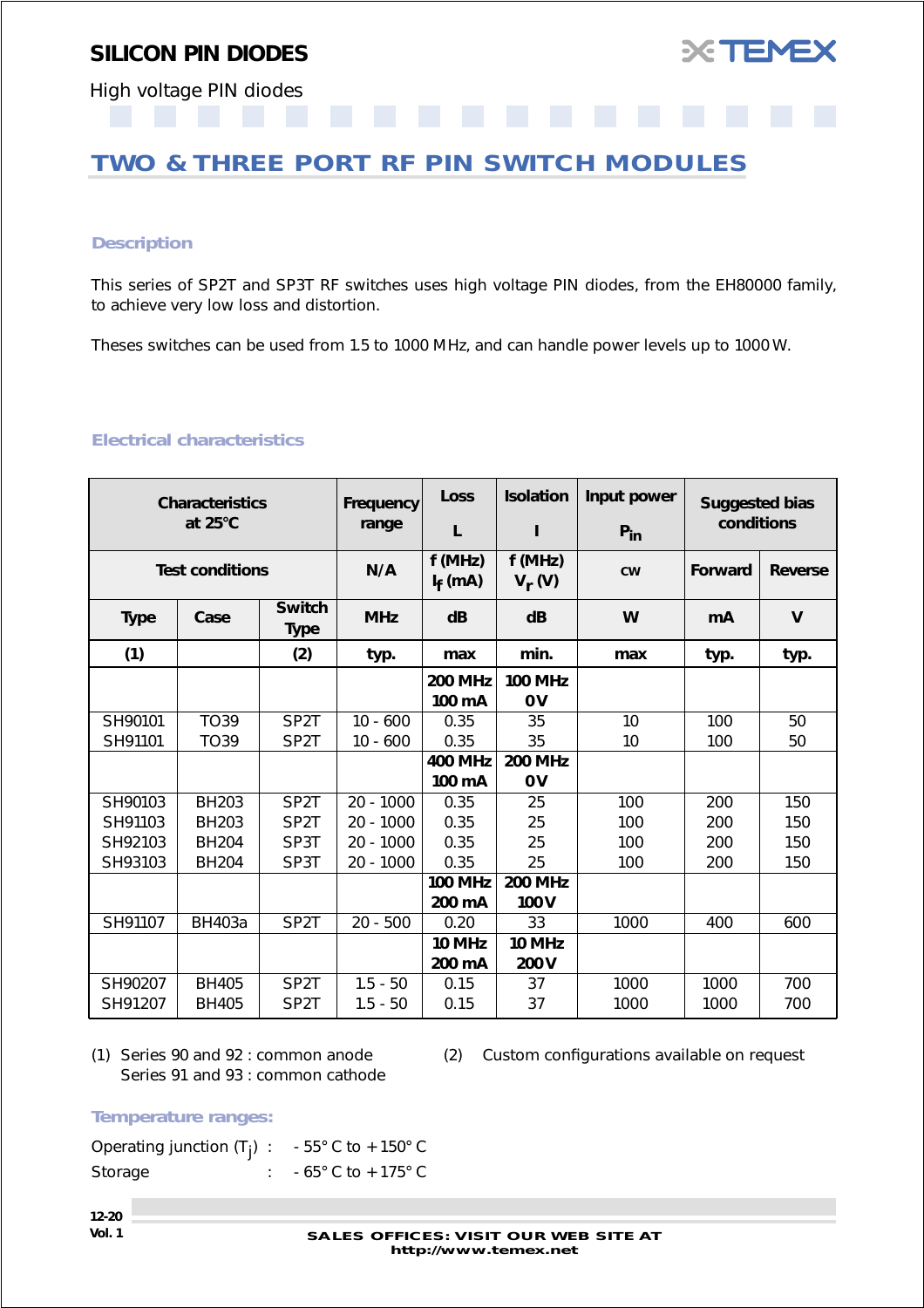

<span id="page-19-0"></span>High voltage PIN diodes

## **TWO & THREE PORT RF PIN SWITCH MODULES**

### *Description*

This series of SP2T and SP3T RF switches uses high voltage PIN diodes, from the EH80000 family, to achieve very low loss and distortion.

Theses switches can be used from 1.5 to 1000 MHz, and can handle power levels up to 1000 W.

## *Electrical characteristics*

|             | <b>Characteristics</b><br>at 25°C |                              | Frequency<br>range | <b>Loss</b><br>L         | <b>Isolation</b><br>I | Input power<br>$P_{in}$ | <b>Suggested bias</b><br>conditions |                |
|-------------|-----------------------------------|------------------------------|--------------------|--------------------------|-----------------------|-------------------------|-------------------------------------|----------------|
|             | <b>Test conditions</b>            |                              | N/A                | f(MHz)<br>$I_f$ (mA)     | f(MHz)<br>$V_r(V)$    | <b>CW</b>               | Forward                             | <b>Reverse</b> |
| <b>Type</b> | Case                              | <b>Switch</b><br><b>Type</b> | <b>MHz</b>         | dB                       | dB                    | W                       | mA                                  | $\mathbf v$    |
| (1)         |                                   | (2)                          | typ.               | max                      | min.                  | max                     | typ.                                | typ.           |
|             |                                   |                              |                    | <b>200 MHz</b><br>100 mA | <b>100 MHz</b><br>0V  |                         |                                     |                |
| SH90101     | <b>TO39</b>                       | SP <sub>2</sub> T            | $10 - 600$         | 0.35                     | 35                    | 10                      | 100                                 | 50             |
| SH91101     | <b>TO39</b>                       | SP <sub>2</sub> T            | $10 - 600$         | 0.35                     | 35                    | 10                      | 100                                 | 50             |
|             |                                   |                              |                    | <b>400 MHz</b>           | <b>200 MHz</b>        |                         |                                     |                |
|             |                                   |                              |                    | 100 mA                   | 0V                    |                         |                                     |                |
| SH90103     | <b>BH203</b>                      | SP <sub>2</sub> T            | $20 - 1000$        | 0.35                     | 25                    | 100                     | 200                                 | 150            |
| SH91103     | <b>BH203</b>                      | SP <sub>2</sub> T            | $20 - 1000$        | 0.35                     | 25                    | 100                     | 200                                 | 150            |
| SH92103     | <b>BH204</b>                      | SP3T                         | $20 - 1000$        | 0.35                     | 25                    | 100                     | 200                                 | 150            |
| SH93103     | <b>BH204</b>                      | SP3T                         | $20 - 1000$        | 0.35                     | 25                    | 100                     | 200                                 | 150            |
|             |                                   |                              |                    | <b>100 MHz</b>           | <b>200 MHz</b>        |                         |                                     |                |
|             |                                   |                              |                    | 200 mA                   | 100V                  |                         |                                     |                |
| SH91107     | <b>BH403a</b>                     | SP <sub>2</sub> T            | $20 - 500$         | 0.20                     | 33                    | 1000                    | 400                                 | 600            |
|             |                                   |                              |                    | 10 MHz                   | 10 MHz                |                         |                                     |                |
|             |                                   |                              |                    | 200 mA                   | 200V                  |                         |                                     |                |
| SH90207     | <b>BH405</b>                      | SP <sub>2</sub> T            | $1.5 - 50$         | 0.15                     | 37                    | 1000                    | 1000                                | 700            |
| SH91207     | <b>BH405</b>                      | SP <sub>2</sub> T            | $1.5 - 50$         | 0.15                     | 37                    | 1000                    | 1000                                | 700            |

Series 91 and 93 : common cathode

(1) Series 90 and 92 : common anode (2) Custom configurations available on request

*Temperature ranges:*

| Operating junction $(T_i)$ : - 55° C to + 150° C |                                     |
|--------------------------------------------------|-------------------------------------|
| Storage                                          | $-65^{\circ}$ C to $+175^{\circ}$ C |

**12-20**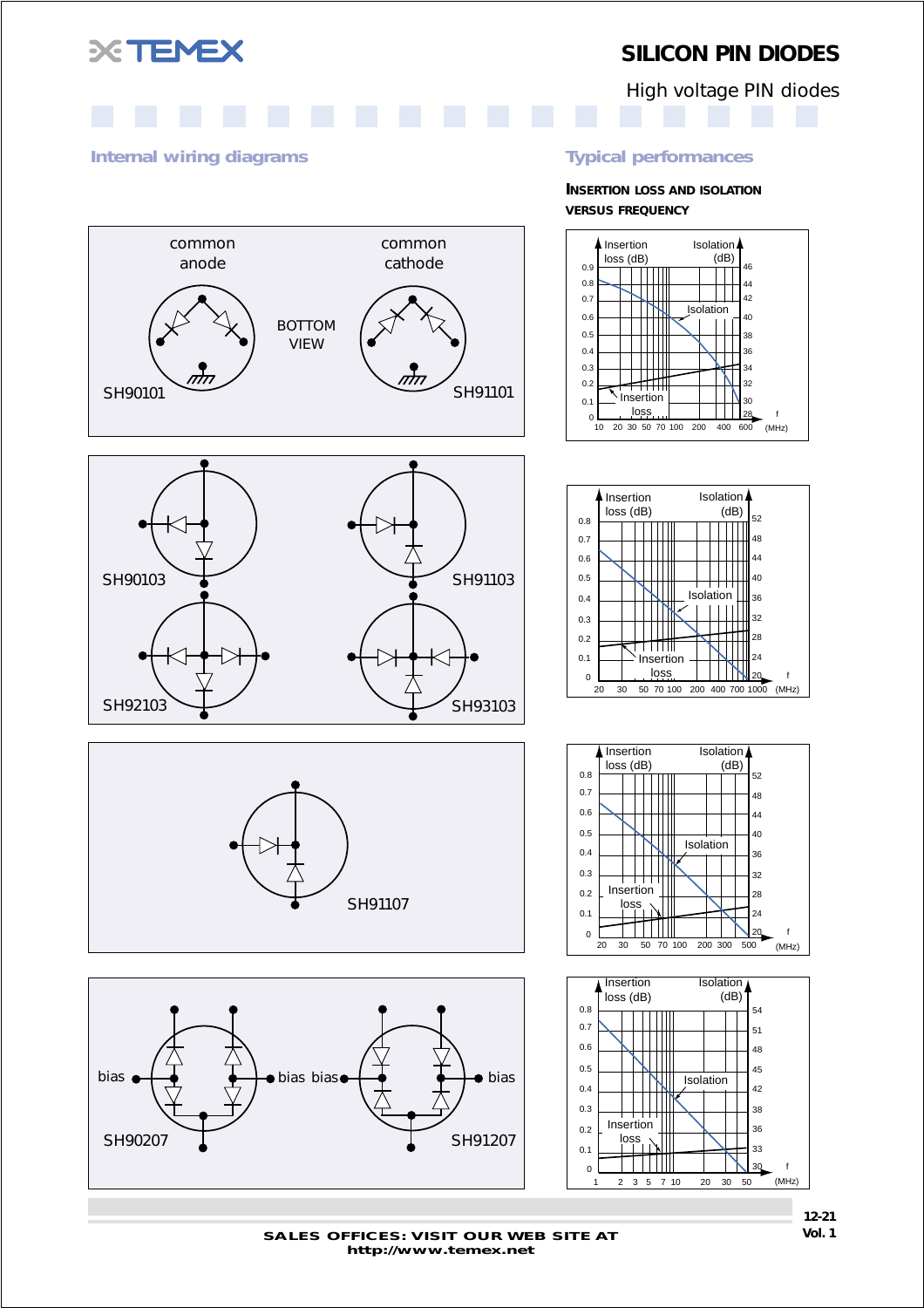

High voltage PIN diodes



common cathode

#### *Internal wiring diagrams Typical performances*

common anode

**INSERTION LOSS AND ISOLATION VERSUS FREQUENCY**





 $SH90101$  SH90101

BOTTOM VIEW







Insertion

 $\mathbb N$ l III ┯┯┯╫

Isolation  $(dB)$ 

**Isolation** 

0.1 0.2 0.3 0.4  $0.5$ 0.6 0.7 0.8 Insertion loss (dB)



**SALES OFFICES: VISIT OUR WEB SITE AT Vol. 1 http://www.temex.net**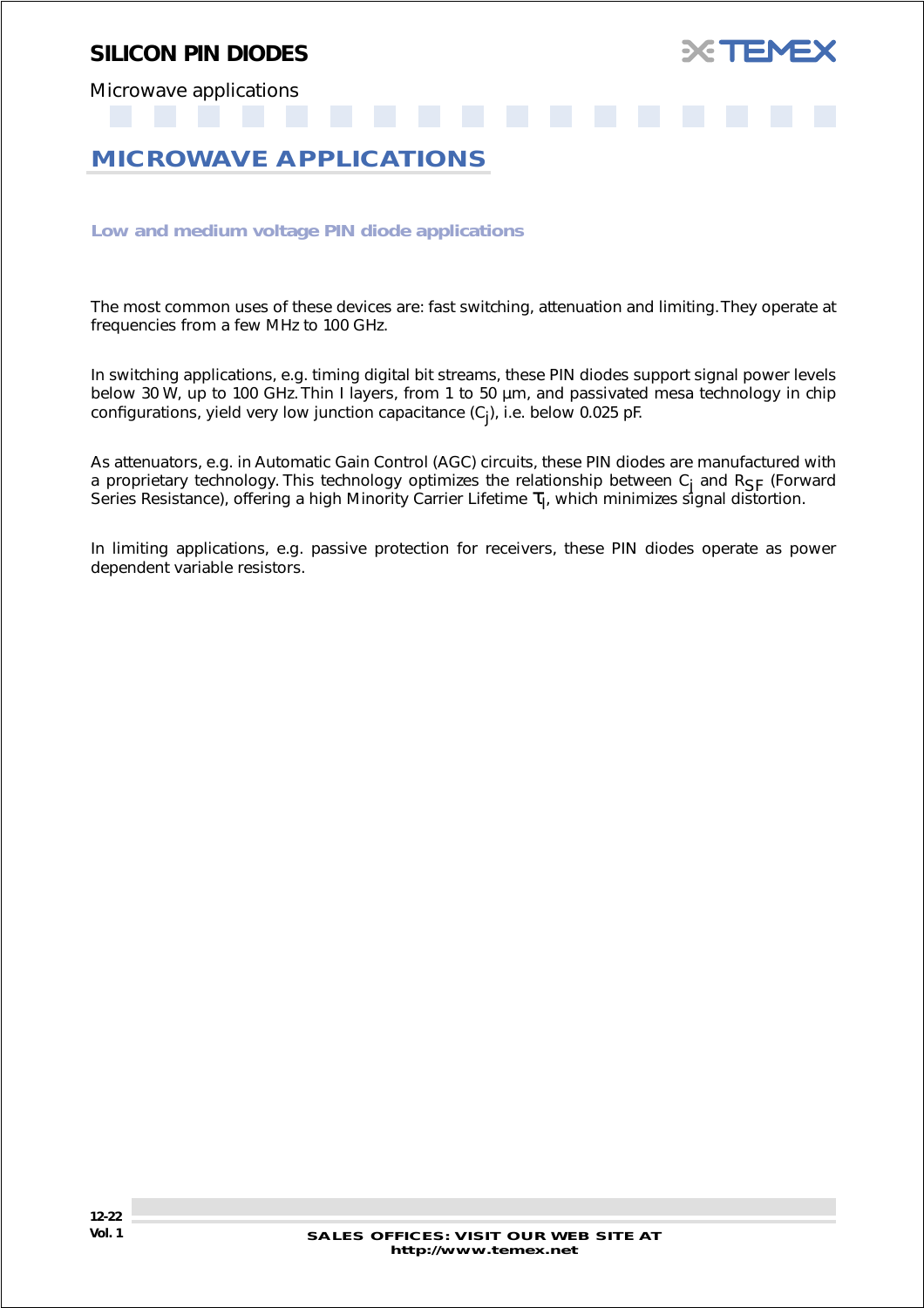

<span id="page-21-0"></span>Microwave applications

## **MICROWAVE APPLICATIONS**

*Low and medium voltage PIN diode applications*

The most common uses of these devices are: fast switching, attenuation and limiting. They operate at frequencies from a few MHz to 100 GHz.

In switching applications, e.g. timing digital bit streams, these PIN diodes support signal power levels below 30 W, up to 100 GHz. Thin I layers, from 1 to 50 µm, and passivated mesa technology in chip configurations, yield very low junction capacitance (C<sub>j</sub>), i.e. below 0.025 pF.

As attenuators, e.g. in Automatic Gain Control (AGC) circuits, these PIN diodes are manufactured with a proprietary technology. This technology optimizes the relationship between  $C_i$  and  $R_{SF}$  (Forward Series Resistance), offering a high Minority Carrier Lifetime  $\tau_{I}$ , which minimizes signal distortion.

In limiting applications, e.g. passive protection for receivers, these PIN diodes operate as power dependent variable resistors.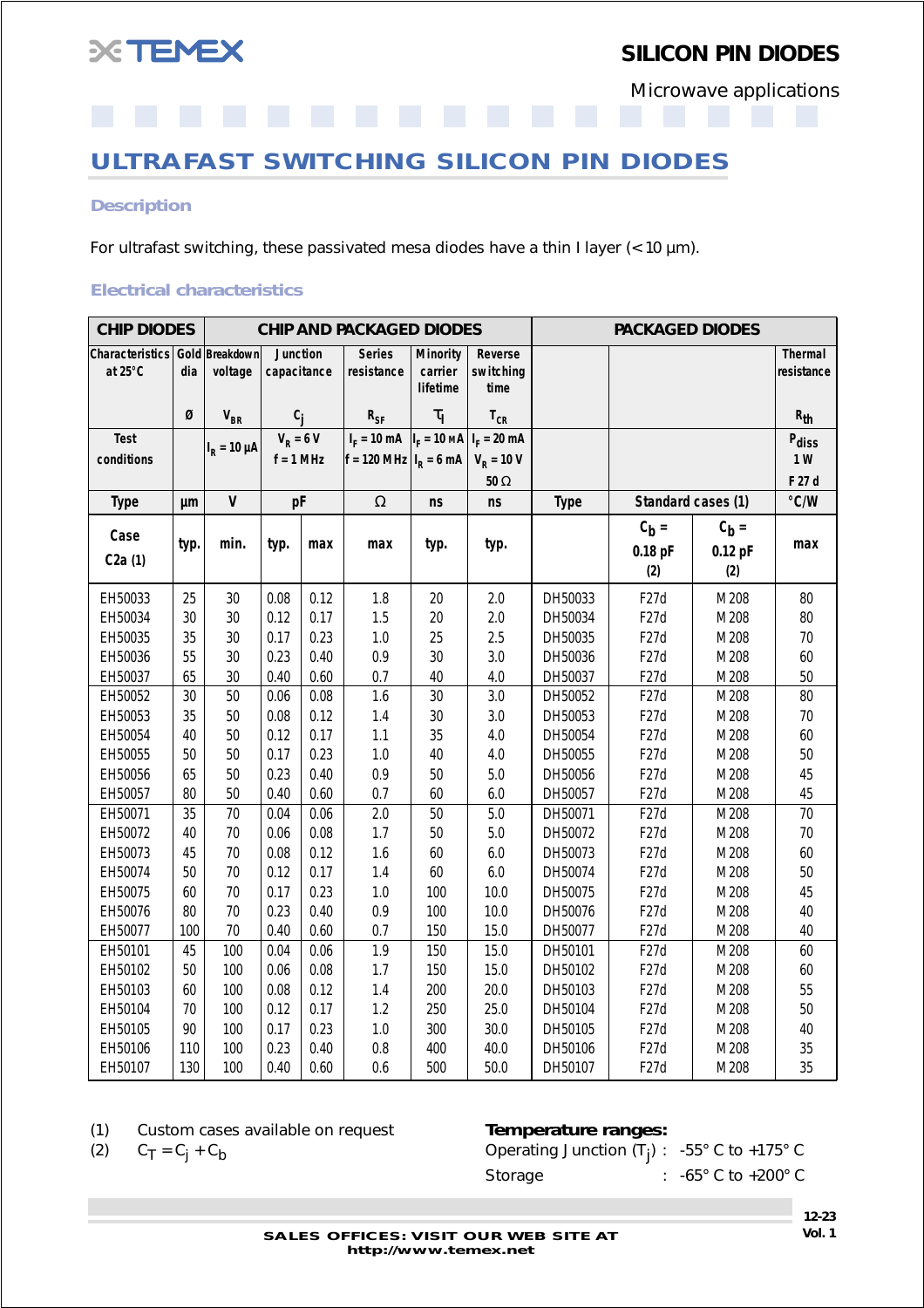<span id="page-22-0"></span>

Microwave applications

**ULTRAFAST SWITCHING SILICON PIN DIODES**

#### *Description*

For ultrafast switching, these passivated mesa diodes have a thin I layer (< 10 µm).

#### *Electrical characteristics*

| <b>CHIP DIODES</b>         |      |                           | <b>CHIP AND PACKAGED DIODES</b><br><b>PACKAGED DIODES</b> |      |                                                                   |                                        |                              |             |                             |                             |                       |
|----------------------------|------|---------------------------|-----------------------------------------------------------|------|-------------------------------------------------------------------|----------------------------------------|------------------------------|-------------|-----------------------------|-----------------------------|-----------------------|
| Characteristics<br>at 25°C | dia  | Gold Breakdown<br>voltage | Junction<br>capacitance                                   |      | <b>Series</b><br>resistance                                       | <b>Minority</b><br>carrier<br>lifetime | Reverse<br>switching<br>time |             |                             |                             | Thermal<br>resistance |
|                            | Ø    | $V_{BR}$                  | $c_j$                                                     |      | $R_{SF}$                                                          | $\tau_{\rm I}$                         | $T_{CR}$                     |             |                             |                             | $R_{th}$              |
| <b>Test</b>                |      |                           | $V_R = 6 V$                                               |      | $I_F = 10 \text{ mA}$ $I_F = 10 \text{ MA}$ $I_F = 20 \text{ mA}$ |                                        |                              |             |                             |                             | Pdiss                 |
| conditions                 |      | $I_R = 10 \mu A$          | $f = 1$ MHz                                               |      | $f = 120 \text{ MHz}   I_R = 6 \text{ mA}$                        |                                        | $V_R = 10 V$                 |             |                             |                             | 1W                    |
|                            |      |                           |                                                           |      |                                                                   |                                        | $50\ \Omega$                 |             |                             |                             | F 27 d                |
| <b>Type</b>                | μm   | $\mathsf{V}$              | pF                                                        |      | $\Omega$                                                          | <b>ns</b>                              | ns                           | <b>Type</b> |                             | Standard cases (1)          | $\degree$ C/W         |
| Case<br>C2a(1)             | typ. | min.                      | typ.                                                      | max  | max                                                               | typ.                                   | typ.                         |             | $C_h =$<br>$0.18$ pF<br>(2) | $C_b =$<br>$0.12$ pF<br>(2) | max                   |
| EH50033                    | 25   | 30                        | 0.08                                                      | 0.12 | 1.8                                                               | 20                                     | 2.0                          | DH50033     | F <sub>27</sub> d           | M208                        | 80                    |
| EH50034                    | 30   | 30                        | 0.12                                                      | 0.17 | 1.5                                                               | 20                                     | 2.0                          | DH50034     | F <sub>27</sub> d           | M208                        | 80                    |
| EH50035                    | 35   | 30                        | 0.17                                                      | 0.23 | $1.0\,$                                                           | 25                                     | 2.5                          | DH50035     | F <sub>27</sub> d           | M208                        | $70\,$                |
| EH50036                    | 55   | 30                        | 0.23                                                      | 0.40 | 0.9                                                               | 30                                     | 3.0                          | DH50036     | F <sub>27</sub> d           | M208                        | 60                    |
| EH50037                    | 65   | 30                        | 0.40                                                      | 0.60 | 0.7                                                               | 40                                     | 4.0                          | DH50037     | F <sub>27</sub> d           | M208                        | 50                    |
| EH50052                    | 30   | 50                        | 0.06                                                      | 0.08 | 1.6                                                               | 30                                     | 3.0                          | DH50052     | F <sub>27</sub> d           | M208                        | 80                    |
| EH50053                    | 35   | 50                        | 0.08                                                      | 0.12 | 1.4                                                               | $30\,$                                 | 3.0                          | DH50053     | F <sub>27</sub> d           | M208                        | 70                    |
| EH50054                    | 40   | 50                        | 0.12                                                      | 0.17 | 1.1                                                               | 35                                     | 4.0                          | DH50054     | F <sub>27</sub> d           | M208                        | 60                    |
| EH50055                    | 50   | 50                        | 0.17                                                      | 0.23 | 1.0                                                               | 40                                     | 4.0                          | DH50055     | F <sub>27</sub> d           | M208                        | 50                    |
| EH50056                    | 65   | 50                        | 0.23                                                      | 0.40 | 0.9                                                               | 50                                     | 5.0                          | DH50056     | F <sub>27</sub> d           | M208                        | 45                    |
| EH50057                    | 80   | 50                        | 0.40                                                      | 0.60 | 0.7                                                               | 60                                     | $6.0\,$                      | DH50057     | F <sub>27</sub> d           | M208                        | 45                    |
| EH50071                    | 35   | 70                        | 0.04                                                      | 0.06 | 2.0                                                               | 50                                     | 5.0                          | DH50071     | F <sub>27</sub> d           | M208                        | 70                    |
| EH50072                    | 40   | 70                        | 0.06                                                      | 0.08 | 1.7                                                               | 50                                     | 5.0                          | DH50072     | F <sub>27</sub> d           | M208                        | $70\,$                |
| EH50073                    | 45   | 70                        | 0.08                                                      | 0.12 | 1.6                                                               | 60                                     | $6.0\,$                      | DH50073     | F <sub>27</sub> d           | M208                        | 60                    |
| EH50074                    | 50   | 70                        | 0.12                                                      | 0.17 | 1.4                                                               | 60                                     | $6.0\,$                      | DH50074     | F <sub>27</sub> d           | M208                        | 50                    |
| EH50075                    | 60   | 70                        | 0.17                                                      | 0.23 | 1.0                                                               | 100                                    | 10.0                         | DH50075     | F <sub>27</sub> d           | M208                        | 45                    |
| EH50076                    | 80   | 70                        | 0.23                                                      | 0.40 | 0.9                                                               | 100                                    | 10.0                         | DH50076     | F <sub>27</sub> d           | M208                        | 40                    |
| EH50077                    | 100  | 70                        | 0.40                                                      | 0.60 | 0.7                                                               | 150                                    | 15.0                         | DH50077     | F <sub>27</sub> d           | M208                        | 40                    |
| EH50101                    | 45   | 100                       | 0.04                                                      | 0.06 | 1.9                                                               | 150                                    | 15.0                         | DH50101     | F <sub>27</sub> d           | M208                        | 60                    |
| EH50102                    | 50   | 100                       | 0.06                                                      | 0.08 | 1.7                                                               | 150                                    | 15.0                         | DH50102     | F <sub>27</sub> d           | M208                        | 60                    |
| EH50103                    | 60   | 100                       | 0.08                                                      | 0.12 | 1.4                                                               | 200                                    | 20.0                         | DH50103     | F <sub>27</sub> d           | M208                        | 55                    |
| EH50104                    | 70   | 100                       | 0.12                                                      | 0.17 | 1.2                                                               | 250                                    | 25.0                         | DH50104     | F <sub>27</sub> d           | M208                        | 50                    |
| EH50105                    | 90   | 100                       | 0.17                                                      | 0.23 | 1.0                                                               | 300                                    | 30.0                         | DH50105     | F <sub>27</sub> d           | M208                        | 40                    |
| EH50106                    | 110  | 100                       | 0.23                                                      | 0.40 | $0.8\,$                                                           | 400                                    | 40.0                         | DH50106     | F <sub>27</sub> d           | M208                        | 35                    |
| EH50107                    | 130  | 100                       | 0.40                                                      | 0.60 | 0.6                                                               | 500                                    | 50.0                         | DH50107     | F <sub>27</sub> d           | M208                        | 35                    |

(1) Custom cases available on request *Temperature ranges:*

(2)  $C_T = C_j + C_b$  Operating Junction (T<sub>j</sub>) :  $-55^\circ$  C to  $+175^\circ$  C Storage : -65° C to +200° C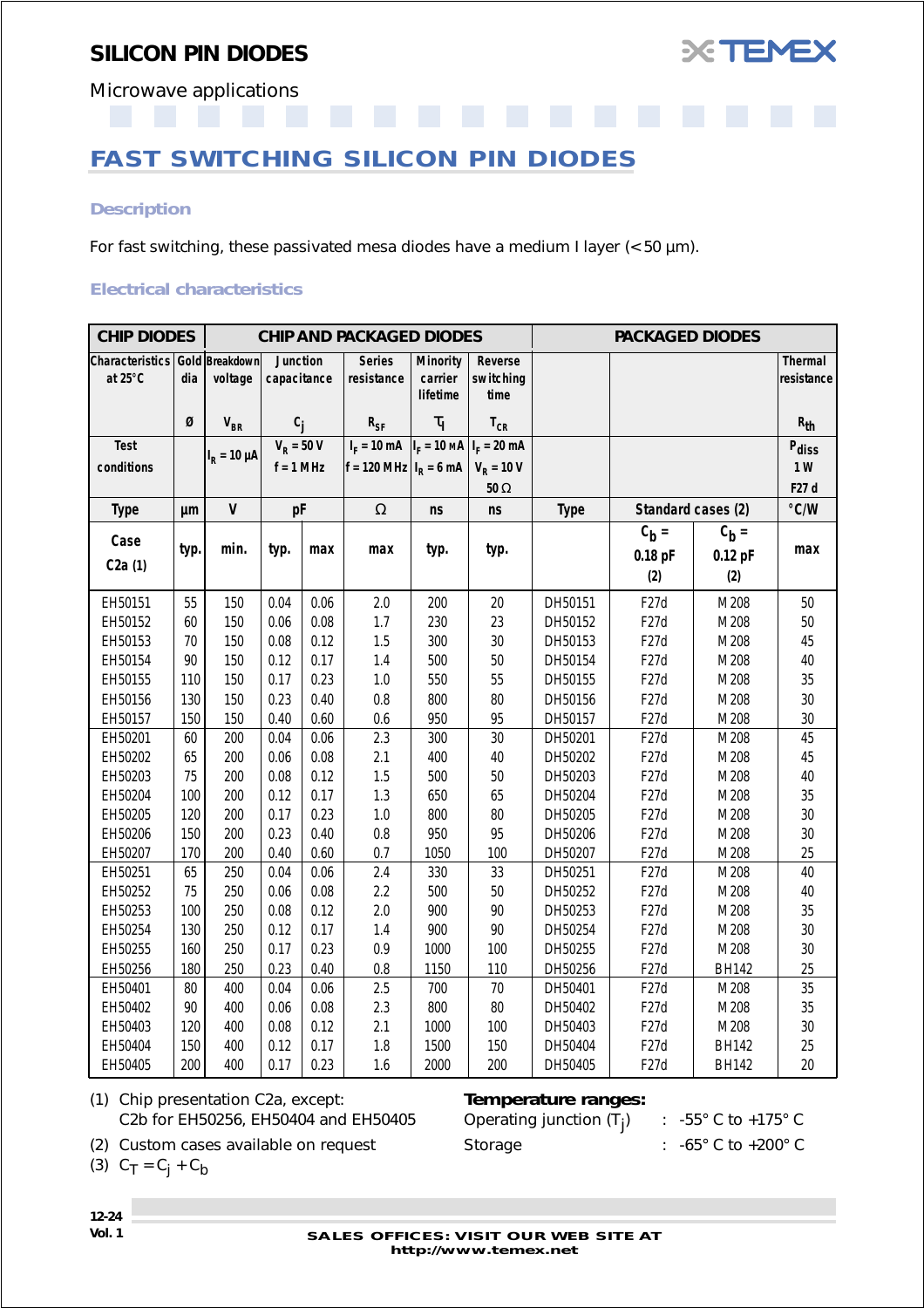

<span id="page-23-0"></span>Microwave applications

## **FAST SWITCHING SILICON PIN DIODES**

#### *Description*

For fast switching, these passivated mesa diodes have a medium I layer (< 50 µm).

#### *Electrical characteristics*

| <b>CHIP DIODES</b>                |      |                           |                         |      | <b>CHIP AND PACKAGED DIODES</b>             |                                        |                              |             |                    |              |                       |
|-----------------------------------|------|---------------------------|-------------------------|------|---------------------------------------------|----------------------------------------|------------------------------|-------------|--------------------|--------------|-----------------------|
| <b>Characteristics</b><br>at 25°C | dia  | Gold Breakdown<br>voltage | Junction<br>capacitance |      | <b>Series</b><br>resistance                 | <b>Minority</b><br>carrier<br>lifetime | Reverse<br>switching<br>time |             |                    |              | Thermal<br>resistance |
|                                   | Ø    | $V_{BR}$                  | $c_i$                   |      | $R_{SF}$                                    | $\tau_{\rm I}$                         | $T_{CR}$                     |             |                    |              | $R_{th}$              |
| <b>Test</b>                       |      |                           | $V_R = 50 V$            |      | $I_F = 10 \text{ mA}  I_F = 10 \text{ MA} $ |                                        | $I_F = 20$ mA                |             |                    |              | Pdiss                 |
| conditions                        |      | $I_R = 10 \mu A$          | $f = 1$ MHz             |      | $ f = 120 \text{ MHz}   I_R = 6 \text{ mA}$ |                                        | $V_R = 10 V$                 |             |                    |              | 1W                    |
|                                   |      |                           |                         |      |                                             |                                        | $50\ \Omega$                 |             |                    |              | F27 d                 |
| <b>Type</b>                       | μm   | $\mathsf{V}$              | pF                      |      | $\Omega$                                    | ns                                     | ns                           | <b>Type</b> | Standard cases (2) |              | °C/W                  |
|                                   |      |                           |                         |      |                                             |                                        |                              |             | $C_b =$            | $C_b =$      |                       |
| Case                              | typ. | min.                      | typ.                    | max  | max                                         | typ.                                   | typ.                         |             | $0.18$ pF          | $0.12$ pF    | max                   |
| C2a(1)                            |      |                           |                         |      |                                             |                                        |                              |             | (2)                | (2)          |                       |
| EH50151                           | 55   | 150                       | 0.04                    | 0.06 | 2.0                                         | 200                                    | 20                           | DH50151     | F <sub>27</sub> d  | M208         | 50                    |
| EH50152                           | 60   | 150                       | 0.06                    | 0.08 | 1.7                                         | 230                                    | 23                           | DH50152     | F27d               | M208         | 50                    |
| EH50153                           | 70   | 150                       | 0.08                    | 0.12 | 1.5                                         | 300                                    | 30                           | DH50153     | F27d               | M208         | 45                    |
| EH50154                           | 90   | 150                       | 0.12                    | 0.17 | 1.4                                         | 500                                    | 50                           | DH50154     | F <sub>27</sub> d  | M208         | 40                    |
| EH50155                           | 110  | 150                       | 0.17                    | 0.23 | $1.0$                                       | 550                                    | 55                           | DH50155     | F <sub>27</sub> d  | M208         | 35                    |
| EH50156                           | 130  | 150                       | 0.23                    | 0.40 | 0.8                                         | 800                                    | 80                           | DH50156     | F27d               | M208         | 30                    |
| EH50157                           | 150  | 150                       | 0.40                    | 0.60 | 0.6                                         | 950                                    | 95                           | DH50157     | F <sub>27</sub> d  | M208         | 30                    |
| EH50201                           | 60   | 200                       | 0.04                    | 0.06 | 2.3                                         | 300                                    | 30                           | DH50201     | F27d               | M208         | 45                    |
| EH50202                           | 65   | 200                       | 0.06                    | 0.08 | 2.1                                         | 400                                    | 40                           | DH50202     | F <sub>27</sub> d  | M208         | 45                    |
| EH50203                           | 75   | 200                       | 0.08                    | 0.12 | 1.5                                         | 500                                    | 50                           | DH50203     | F27d               | M208         | 40                    |
| EH50204                           | 100  | 200                       | 0.12                    | 0.17 | 1.3                                         | 650                                    | 65                           | DH50204     | F27d               | M208         | 35                    |
| EH50205                           | 120  | 200                       | 0.17                    | 0.23 | $1.0\,$                                     | 800                                    | 80                           | DH50205     | F <sub>27</sub> d  | M208         | 30                    |
| EH50206                           | 150  | 200                       | 0.23                    | 0.40 | 0.8                                         | 950                                    | 95                           | DH50206     | F27d               | M208         | 30                    |
| EH50207                           | 170  | 200                       | 0.40                    | 0.60 | 0.7                                         | 1050                                   | 100                          | DH50207     | F <sub>27</sub> d  | M208         | 25                    |
| EH50251                           | 65   | 250                       | 0.04                    | 0.06 | 2.4                                         | 330                                    | 33                           | DH50251     | F27d               | M208         | 40                    |
| EH50252                           | 75   | 250                       | 0.06                    | 0.08 | 2.2                                         | 500                                    | 50                           | DH50252     | F27d               | M208         | 40                    |
| EH50253                           | 100  | 250                       | 0.08                    | 0.12 | 2.0                                         | 900                                    | 90                           | DH50253     | F27d               | M208         | 35                    |
| EH50254                           | 130  | 250                       | 0.12                    | 0.17 | 1.4                                         | 900                                    | 90                           | DH50254     | F <sub>27</sub> d  | M208         | 30                    |
| EH50255                           | 160  | 250                       | 0.17                    | 0.23 | 0.9                                         | 1000                                   | 100                          | DH50255     | F27d               | M208         | 30                    |
| EH50256                           | 180  | 250                       | 0.23                    | 0.40 | $0.8\,$                                     | 1150                                   | 110                          | DH50256     | F <sub>27</sub> d  | <b>BH142</b> | 25                    |
| EH50401                           | 80   | 400                       | 0.04                    | 0.06 | 2.5                                         | 700                                    | 70                           | DH50401     | F <sub>27</sub> d  | M208         | 35                    |
| EH50402                           | 90   | 400                       | 0.06                    | 0.08 | 2.3                                         | 800                                    | 80                           | DH50402     | F <sub>27</sub> d  | M208         | 35                    |
| EH50403                           | 120  | 400                       | 0.08                    | 0.12 | 2.1                                         | 1000                                   | 100                          | DH50403     | F <sub>27</sub> d  | M208         | 30                    |
| EH50404                           | 150  | 400                       | 0.12                    | 0.17 | 1.8                                         | 1500                                   | 150                          | DH50404     | F <sub>27</sub> d  | <b>BH142</b> | 25                    |
| EH50405                           | 200  | 400                       | 0.17                    | 0.23 | 1.6                                         | 2000                                   | 200                          | DH50405     | F <sub>27</sub> d  | <b>BH142</b> | 20                    |

(1) Chip presentation C2a, except: *Temperature ranges:* C2b for EH50256, EH50404 and EH50405 Operating junction  $(T_i)$ 

) : -55° C to +175° C

(2) Custom cases available on request Storage : -65° C to +200° C

(3)  $C_T = C_i + C_b$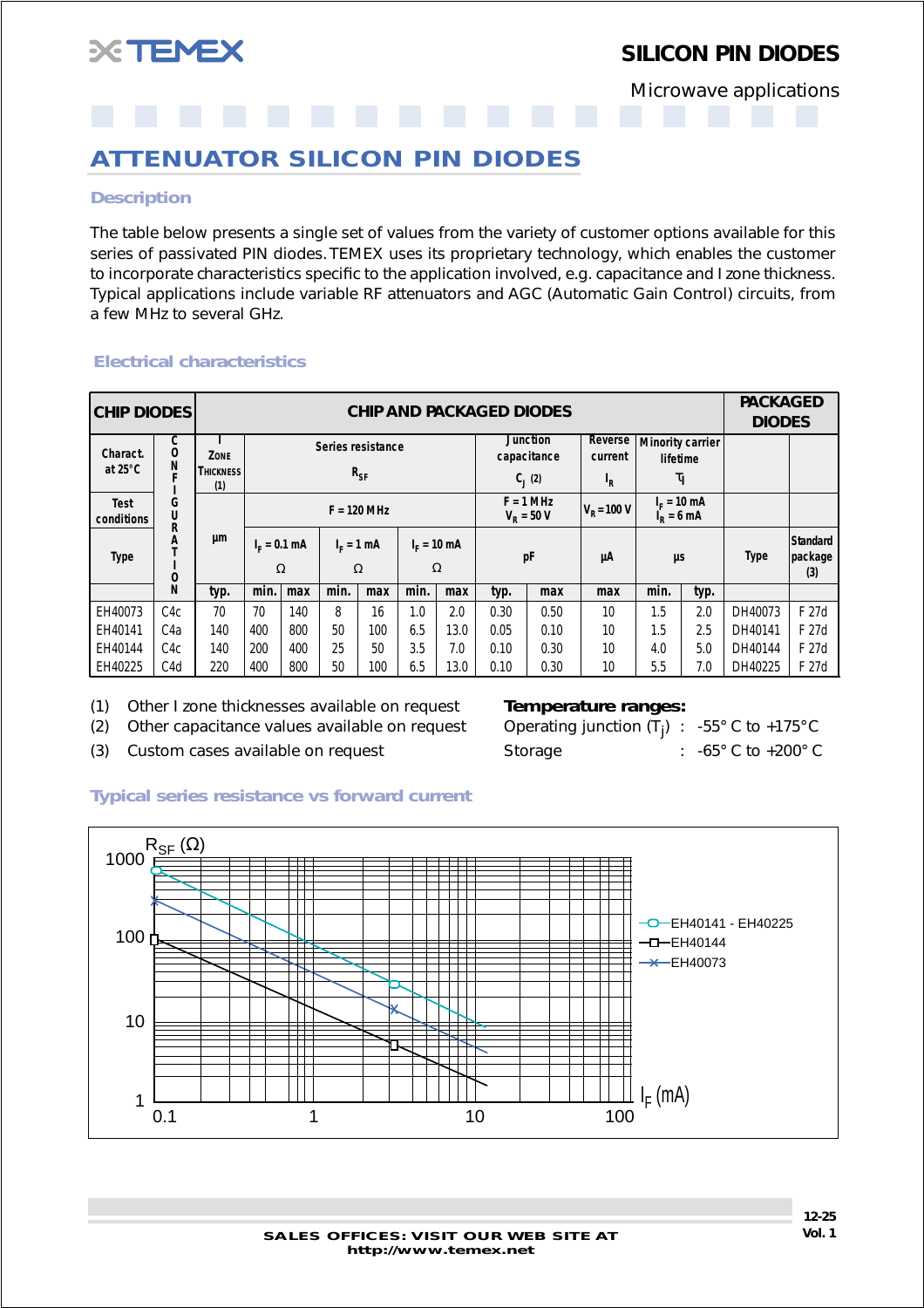<span id="page-24-0"></span>

Microwave applications

## **ATTENUATOR SILICON PIN DIODES**

#### *Description*

The table below presents a single set of values from the variety of customer options available for this series of passivated PIN diodes. TEMEX uses its proprietary technology, which enables the customer to incorporate characteristics specific to the application involved, e.g. capacitance and I zone thickness. Typical applications include variable RF attenuators and AGC (Automatic Gain Control) circuits, from a few MHz to several GHz.

#### *Electrical characteristics*

| <b>CHIP DIODES</b>        |                  |                         |                |                   |      |                                               |             |      | <b>CHIP AND PACKAGED DIODES</b> |                                   |                    |                                     |      | <b>PACKAGED</b><br><b>DIODES</b> |                                   |
|---------------------------|------------------|-------------------------|----------------|-------------------|------|-----------------------------------------------|-------------|------|---------------------------------|-----------------------------------|--------------------|-------------------------------------|------|----------------------------------|-----------------------------------|
| Charact.                  | C<br>0           | ZONE                    |                | Series resistance |      |                                               |             |      |                                 | <b>Junction</b><br>capacitance    | Reverse<br>current | <b>Minority carrier</b><br>lifetime |      |                                  |                                   |
| at $25^{\circ}$ C         | N                | <b>THICKNESS</b><br>(1) |                |                   |      | $R_{SF}$                                      |             |      |                                 | $C_1(2)$                          | ı <sub>R</sub>     | $\tau_{\rm I}$                      |      |                                  |                                   |
| <b>Test</b><br>conditions | G<br>U<br>R      |                         |                |                   |      | $F = 120$ MHz                                 |             |      |                                 | $F = 1$ MHz<br>$V_{\rm p} = 50 V$ | $VR = 100 V$       | $I_c = 10$ mA<br>$ID = 6 mA$        |      |                                  |                                   |
| <b>Type</b>               | Α<br>0           | μm                      | $I_c = 0.1$ mA | $\Omega$          |      | $I_c = 10$ mA<br>$IF = 1 mA$<br>$\Omega$<br>Ω |             |      | рF                              |                                   | μA                 | μs                                  |      | <b>Type</b>                      | <b>Standard</b><br>package<br>(3) |
|                           | N                | typ.                    | min.           | max               | min. | max                                           | min.        | max  | typ.                            | max                               | max                | min.                                | typ. |                                  |                                   |
| EH40073                   | C <sub>4</sub> c | 70                      | 70             | 140               | 8    | 16                                            | 1.0         | 2.0  | 0.30                            | 0.50                              | 10                 | 1.5                                 | 2.0  | DH40073                          | F 27d                             |
| EH40141                   | C <sub>4</sub> a | 140                     | 400            | 800               | 50   | 100                                           | 13.0<br>6.5 |      | 0.05                            | 0.10                              | 10                 | 1.5                                 | 2.5  | DH40141                          | F 27d                             |
| EH40144                   | C <sub>4</sub> c | 140                     | 200            | 400               | 25   | 50                                            | 3.5<br>7.0  |      | 0.10                            | 0.30                              | 10                 | 4.0                                 | 5.0  | DH40144                          | F 27d                             |
| EH40225                   | C <sub>4</sub> d | 220                     | 400            | 800               | 50   | 100                                           | 6.5         | 13.0 | 0.10                            | 0.30                              | 10                 | 5.5                                 | 7.0  | DH40225                          | F 27d                             |

(1) Other I zone thicknesses available on request *Temperature ranges:*

 $(2)$  Other capacitance values available on request

(3) Custom cases available on request Storage : -65° C to +200° C

### Operating junction  $(T_i)$  : -55° C to +175° C

#### *Typical series resistance vs forward current*

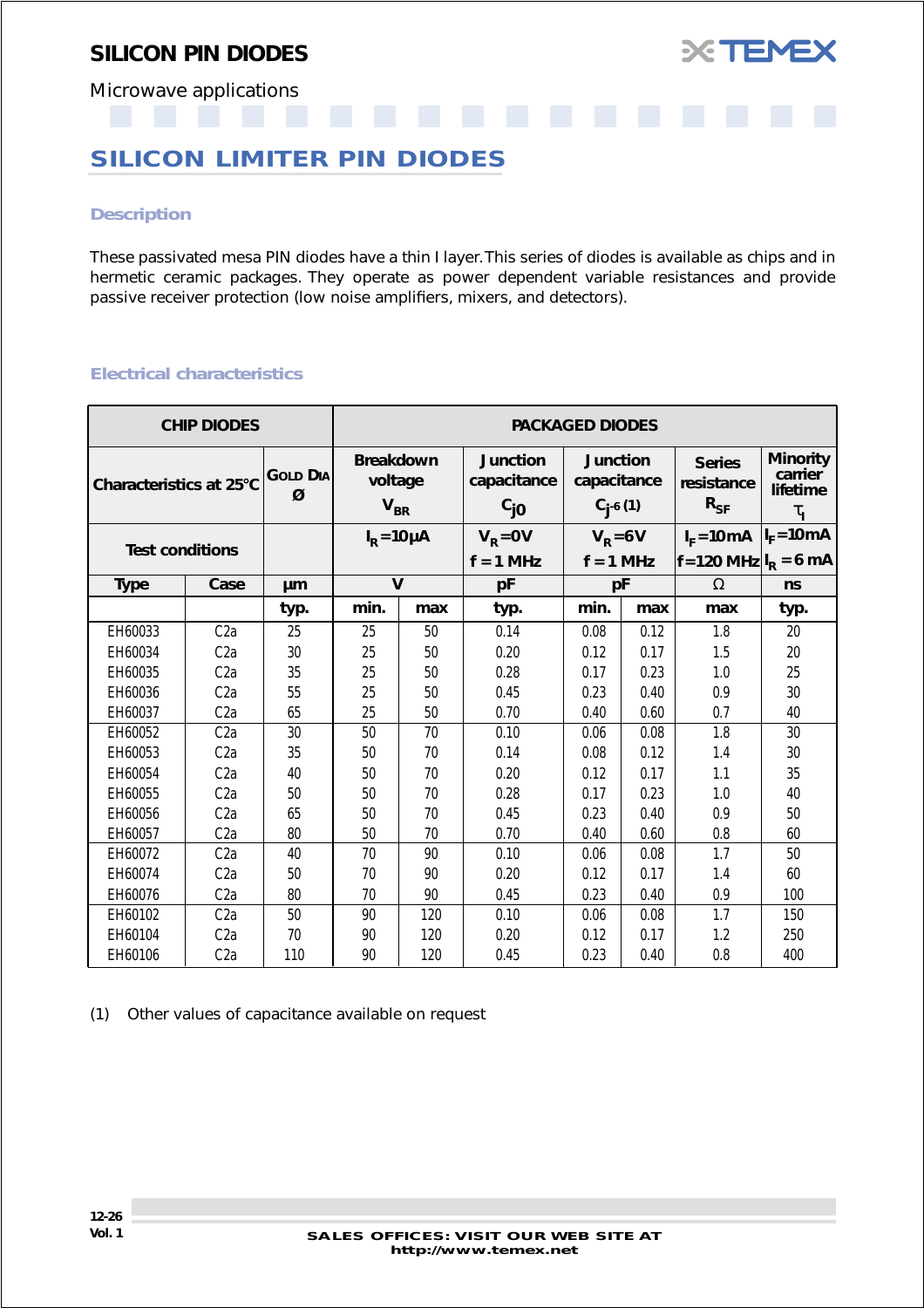

<span id="page-25-0"></span>Microwave applications

## **SILICON LIMITER PIN DIODES**

#### *Description*

These passivated mesa PIN diodes have a thin I layer. This series of diodes is available as chips and in hermetic ceramic packages. They operate as power dependent variable resistances and provide passive receiver protection (low noise amplifiers, mixers, and detectors).

#### *Electrical characteristics*

|                         | <b>CHIP DIODES</b> |                      | <b>PACKAGED DIODES</b>                  |     |                                            |                                                  |      |                                              |                                                          |  |
|-------------------------|--------------------|----------------------|-----------------------------------------|-----|--------------------------------------------|--------------------------------------------------|------|----------------------------------------------|----------------------------------------------------------|--|
| Characteristics at 25°C |                    | <b>GOLD DIA</b><br>Ø | <b>Breakdown</b><br>voltage<br>$V_{BR}$ |     | <b>Junction</b><br>capacitance<br>$c_{j0}$ | <b>Junction</b><br>capacitance<br>$C_{i}$ -6 (1) |      | <b>Series</b><br>resistance<br>$R_{SF}$      | <b>Minority</b><br>carrier<br>lifetime<br>$\tau_{\rm i}$ |  |
|                         |                    |                      | $IR = 10 \mu A$                         |     | $V_R = 0V$                                 | $V_R = 6V$                                       |      | $I_F = 10 \text{ mA}$ $ I_F = 10 \text{ mA}$ |                                                          |  |
| <b>Test conditions</b>  |                    |                      |                                         |     | $f = 1$ MHz                                | $f = 1$ MHz                                      |      | $ f = 120 \text{ MHz} I_R = 6 \text{ mA}$    |                                                          |  |
| <b>Type</b>             | Case               | μm                   | $\mathsf{V}$                            |     | pF                                         | pF                                               |      | $\Omega$                                     | ns                                                       |  |
|                         |                    | typ.                 | min.                                    | max | typ.                                       | min.                                             | max  | max                                          | typ.                                                     |  |
| EH60033                 | C2a                | 25                   | 25                                      | 50  | 0.14                                       | 0.08                                             | 0.12 | 1.8                                          | 20                                                       |  |
| EH60034                 | C2a                | 30                   | 25                                      | 50  | 0.20                                       | 0.12                                             | 0.17 | 1.5                                          | 20                                                       |  |
| EH60035                 | C <sub>2</sub> a   | 35                   | 25                                      | 50  | 0.28                                       | 0.17                                             | 0.23 | 1.0                                          | 25                                                       |  |
| EH60036                 | C2a                | 55                   | 25                                      | 50  | 0.45                                       | 0.23                                             | 0.40 | 0.9                                          | 30                                                       |  |
| EH60037                 | C <sub>2</sub> a   | 65                   | 25                                      | 50  | 0.70                                       | 0.40                                             | 0.60 | 0.7                                          | 40                                                       |  |
| EH60052                 | C <sub>2</sub> a   | 30                   | 50                                      | 70  | 0.10                                       | 0.06                                             | 0.08 | 1.8                                          | 30                                                       |  |
| EH60053                 | C <sub>2</sub> a   | 35                   | 50                                      | 70  | 0.14                                       | 0.08                                             | 0.12 | 1.4                                          | 30                                                       |  |
| EH60054                 | C <sub>2</sub> a   | 40                   | 50                                      | 70  | 0.20                                       | 0.12                                             | 0.17 | 1.1                                          | 35                                                       |  |
| EH60055                 | C <sub>2</sub> a   | 50                   | 50                                      | 70  | 0.28                                       | 0.17                                             | 0.23 | 1.0                                          | 40                                                       |  |
| EH60056                 | C <sub>2</sub> a   | 65                   | 50                                      | 70  | 0.45                                       | 0.23                                             | 0.40 | 0.9                                          | 50                                                       |  |
| EH60057                 | C <sub>2a</sub>    | 80                   | 50                                      | 70  | 0.70                                       | 0.40                                             | 0.60 | 0.8                                          | 60                                                       |  |
| EH60072                 | C2a                | 40                   | 70                                      | 90  | 0.10                                       | 0.06                                             | 0.08 | 1.7                                          | 50                                                       |  |
| EH60074                 | C <sub>2</sub> a   | 50                   | 70                                      | 90  | 0.20                                       | 0.12                                             | 0.17 | 1.4                                          | 60                                                       |  |
| EH60076                 | C <sub>2</sub> a   | 80                   | 70                                      | 90  | 0.45                                       | 0.23                                             | 0.40 | 0.9                                          | 100                                                      |  |
| EH60102                 | C <sub>2</sub> a   | 50                   | 90                                      | 120 | 0.10                                       | 0.06                                             | 0.08 | 1.7                                          | 150                                                      |  |
| EH60104                 | C <sub>2</sub> a   | 70                   | 90                                      | 120 | 0.20                                       | 0.12                                             | 0.17 | 1.2                                          | 250                                                      |  |
| EH60106                 | C <sub>2</sub> a   | 110                  | 90                                      | 120 | 0.45                                       | 0.23                                             | 0.40 | 0.8                                          | 400                                                      |  |

(1) Other values of capacitance available on request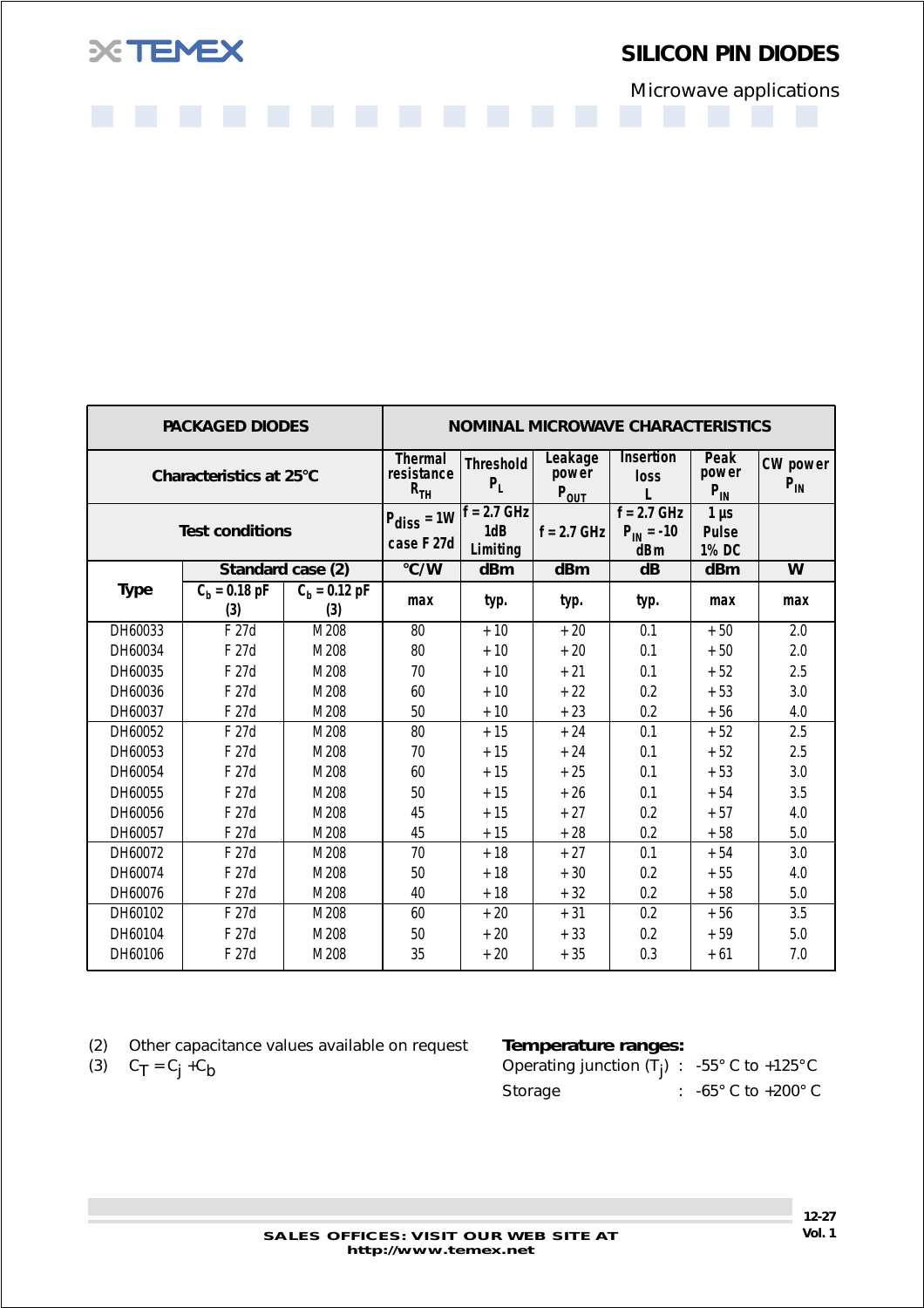

Microwave applications

|                         | <b>PACKAGED DIODES</b> |                               |                                                   |                           |                                        | <b>NOMINAL MICROWAVE CHARACTERISTICS</b> |                           |                             |
|-------------------------|------------------------|-------------------------------|---------------------------------------------------|---------------------------|----------------------------------------|------------------------------------------|---------------------------|-----------------------------|
| Characteristics at 25°C |                        |                               | <b>Thermal</b><br>resistance<br>$R$ <sub>TH</sub> | <b>Threshold</b><br>$P_L$ | Leakage<br>power<br>$P_{OUT}$          | <b>Insertion</b><br>loss<br>L            | Peak<br>power<br>$P_{IN}$ | <b>CW</b> power<br>$P_{IN}$ |
| <b>Test conditions</b>  |                        | $P_{diss} = 1W$<br>case F 27d | $f = 2.7$ GHz<br>1dB<br>Limiting                  | $f = 2.7$ GHz             | $f = 2.7$ GHz<br>$P_{IN} = -10$<br>dBm | $1 \mu s$<br><b>Pulse</b><br>1% DC       |                           |                             |
|                         |                        | Standard case (2)             | °C/W                                              | dBm                       | dBm                                    | $\overline{\mathsf{dB}}$                 | dBm                       | W                           |
| <b>Type</b>             | $C_h = 0.18 pF$<br>(3) | $C_h = 0.12 pF$<br>(3)        | max                                               | typ.                      | typ.                                   | typ.                                     | max                       | max                         |
| DH60033                 | F 27d                  | M208                          | 80                                                | $+10$                     | $+20$                                  | 0.1                                      | $+50$                     | 2.0                         |
| DH60034                 | F 27d                  | M208                          | 80                                                | $+10$                     | $+20$                                  | 0.1                                      | $+50$                     | 2.0                         |
| DH60035                 | F 27d                  | M208                          | 70                                                | $+10$                     | $+21$                                  | 0.1                                      | $+52$                     | 2.5                         |
| DH60036                 | F 27d                  | M208                          | 60                                                | $+10$                     | $+22$                                  | 0.2                                      | $+53$                     | 3.0                         |
| DH60037                 | F 27d                  | M208                          | 50                                                | $+10$                     | $+23$                                  | 0.2                                      | $+56$                     | 4.0                         |
| DH60052                 | F 27d                  | M208                          | 80                                                | $+15$                     | $+24$                                  | 0.1                                      | $+52$                     | 2.5                         |
| DH60053                 | F 27d                  | M208                          | 70                                                | $+15$                     | $+24$                                  | 0.1                                      | $+52$                     | 2.5                         |
| DH60054                 | F 27d                  | M208                          | 60                                                | $+15$                     | $+25$                                  | 0.1                                      | $+53$                     | 3.0                         |
| DH60055                 | F 27d                  | M208                          | 50                                                | $+15$                     | $+26$                                  | 0.1                                      | $+54$                     | 3.5                         |
| DH60056                 | F 27d                  | M208                          | 45                                                | $+15$                     | $+27$                                  | 0.2                                      | $+57$                     | 4.0                         |
| DH60057                 | F 27d                  | M208                          | 45                                                | $+15$                     | $+28$                                  | 0.2                                      | $+58$                     | 5.0                         |
| DH60072                 | F 27d                  | M208                          | 70                                                | $+18$                     | $+27$                                  | 0.1                                      | $+54$                     | 3.0                         |
| DH60074                 | F 27d                  | M208                          | 50                                                | $+18$                     | $+30$                                  | 0.2                                      | $+55$                     | 4.0                         |
| DH60076                 | F 27d                  | M208                          | 40                                                | $+18$                     | $+32$                                  | 0.2                                      | $+58$                     | 5.0                         |
| DH60102                 | F 27d                  | M208                          | 60                                                | $+20$                     | $+31$                                  | 0.2                                      | $+56$                     | 3.5                         |
| DH60104                 | F 27d                  | M208                          | 50                                                | $+20$                     | $+33$                                  | 0.2                                      | $+59$                     | 5.0                         |
| DH60106                 | F 27d                  | M208                          | 35                                                | $+20$                     | $+35$                                  | 0.3                                      | $+61$                     | 7.0                         |

| (2) | Other capacitance values available on request |
|-----|-----------------------------------------------|
|-----|-----------------------------------------------|

(3)  $C_T = C_j + C_b$ 

#### **Temperature ranges:**

| Operating junction $(T_i)$ : -55° C to +125° C |                                       |
|------------------------------------------------|---------------------------------------|
| Storage                                        | : $-65^{\circ}$ C to $+200^{\circ}$ C |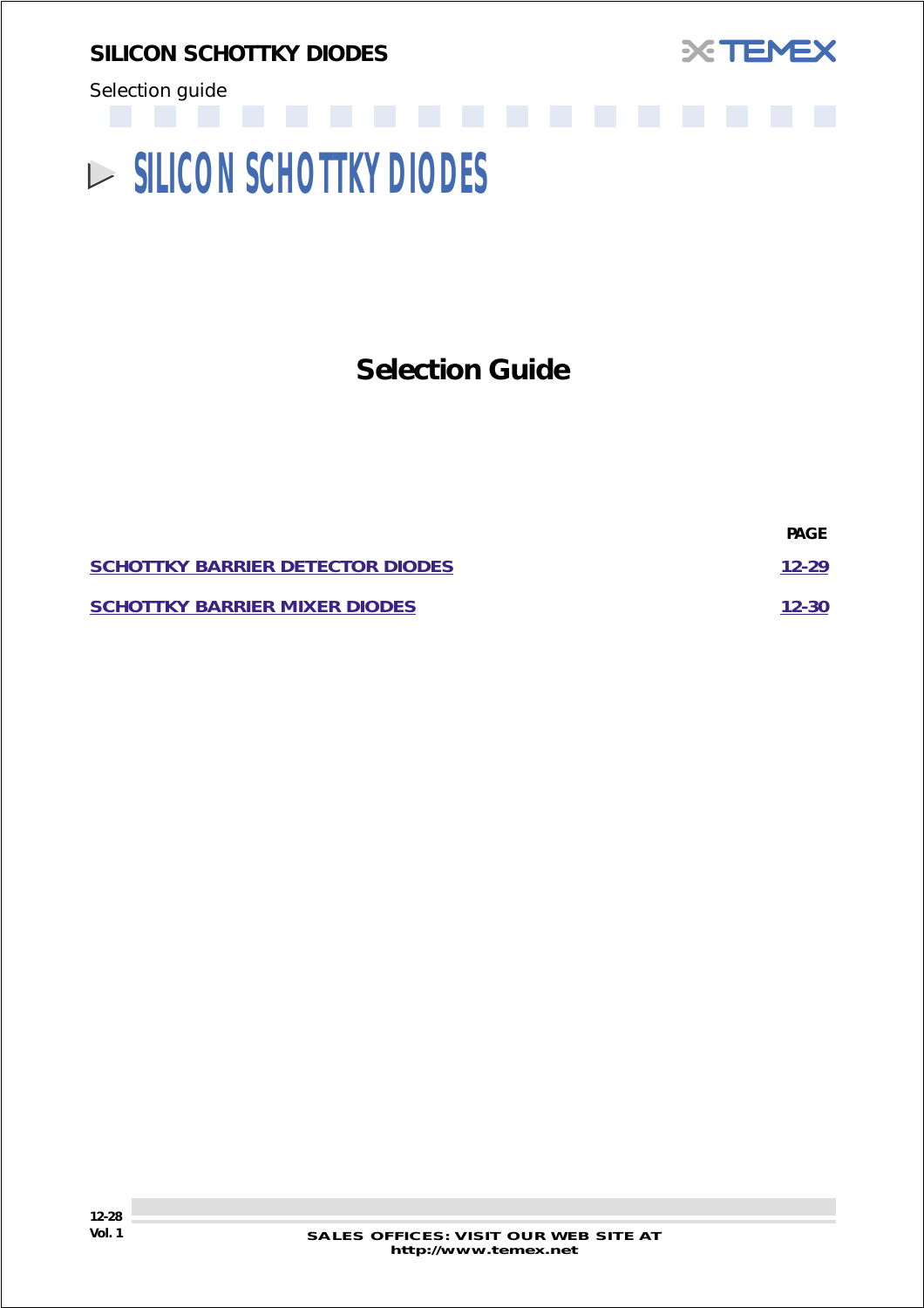<span id="page-27-0"></span>*SILICON SCHOTTKY DIODES*





# **SILICON SCHOTTKY DIODES**

# **Selection Guide**

|                                         | <b>PAGE</b> |
|-----------------------------------------|-------------|
| <b>SCHOTTKY BARRIER DETECTOR DIODES</b> | $12 - 29$   |
| <b>SCHOTTKY BARRIER MIXER DIODES</b>    | $12 - 30$   |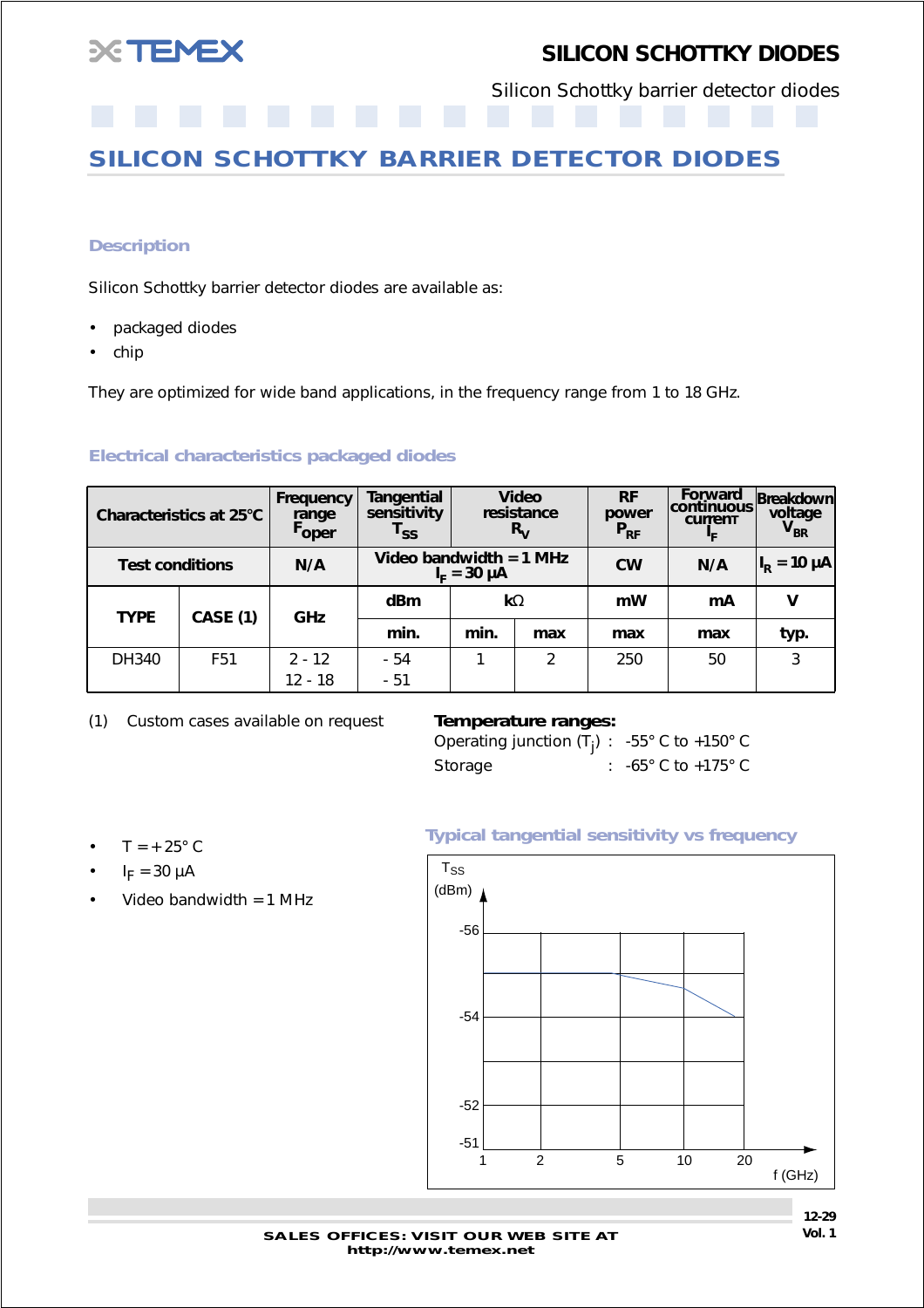<span id="page-28-0"></span>

## *SILICON SCHOTTKY DIODES*

Silicon Schottky barrier detector diodes

## **SILICON SCHOTTKY BARRIER DETECTOR DIODES**

#### *Description*

Silicon Schottky barrier detector diodes are available as:

- packaged diodes
- chip

They are optimized for wide band applications, in the frequency range from 1 to 18 GHz.

#### *Electrical characteristics packaged diodes*

| Characteristics at 25°C |                 | Frequency<br>range<br>Foper | <b>Video</b><br>Tangential<br>sensitivity<br>resistance<br>$R_{V}$<br>$\mathsf{r}_{\mathsf{ss}}$ |      | <b>RF</b><br>power<br>$P_{RF}$ | Forward<br> continuous<br><b>Current</b><br>ŀϝ | Breakdown<br>voltage<br>$V_{BR}$ |                     |
|-------------------------|-----------------|-----------------------------|--------------------------------------------------------------------------------------------------|------|--------------------------------|------------------------------------------------|----------------------------------|---------------------|
| <b>Test conditions</b>  |                 | N/A                         | Video bandwidth = $1$ MHz<br>$I_{E} = 30 \mu A$                                                  |      |                                | <b>CW</b>                                      | N/A                              | $ I_R = 10 \mu A_1$ |
| <b>TYPE</b>             | <b>CASE (1)</b> | GHz                         | dBm<br>$k\Omega$                                                                                 |      |                                | mW                                             | mA                               | V                   |
|                         |                 |                             | min.                                                                                             | min. | max                            | max                                            | max                              | typ.                |
| DH340                   | F <sub>51</sub> | $2 - 12$                    | - 54                                                                                             |      | $\overline{2}$                 | 250                                            | 50                               | 3                   |
|                         |                 | 12 - 18                     | $-51$                                                                                            |      |                                |                                                |                                  |                     |

(1) Custom cases available on request *Temperature ranges:*

Operating junction (T<sub>j</sub>) :  $-55^{\circ}$  C to  $+150^{\circ}$  C Storage : -65° C to +175° C

- $\cdot$  T = +25° C
- $I_F = 30 \mu A$
- Video bandwidth = 1 MHz



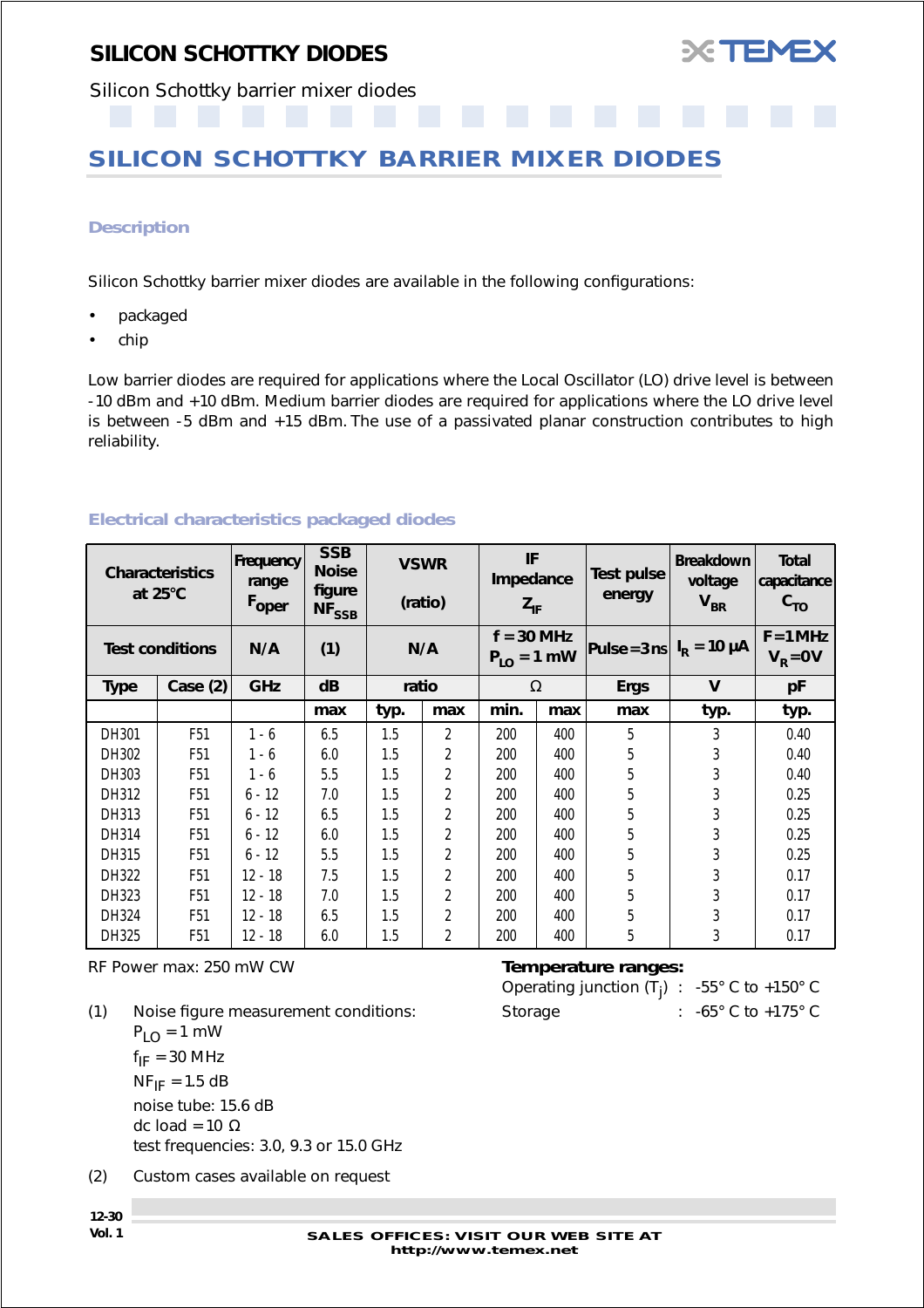

<span id="page-29-0"></span>Silicon Schottky barrier mixer diodes

## **SILICON SCHOTTKY BARRIER MIXER DIODES**

#### *Description*

Silicon Schottky barrier mixer diodes are available in the following configurations:

- packaged
- chip

Low barrier diodes are required for applications where the Local Oscillator (LO) drive level is between -10 dBm and +10 dBm. Medium barrier diodes are required for applications where the LO drive level is between -5 dBm and +15 dBm. The use of a passivated planar construction contributes to high reliability.

|             | <b>Characteristics</b><br>at $25^{\circ}$ C | Frequency<br>range<br>Foper | <b>SSB</b><br><b>Noise</b><br>figure<br>$NF_{SSB}$ |       | <b>VSWR</b><br>(ratio) | IF<br>Impedance<br>$Z_{IF}$     |     |             |      | Test pulse<br>energy                      | <b>Breakdown</b><br>voltage<br>$V_{BR}$ | <b>Total</b><br>capacitance<br>$c_{\tau o}$ |
|-------------|---------------------------------------------|-----------------------------|----------------------------------------------------|-------|------------------------|---------------------------------|-----|-------------|------|-------------------------------------------|-----------------------------------------|---------------------------------------------|
|             | <b>Test conditions</b>                      | N/A                         | (1)                                                |       | N/A                    | $f = 30$ MHz<br>$P_{LO} = 1$ mW |     |             |      | Pulse = $3 \text{ ns}$ $I_R$ = 10 $\mu$ A |                                         | $F = 1 MHz$<br>$VR = 0 V$                   |
| <b>Type</b> | Case (2)                                    | <b>GHz</b>                  | dB                                                 | ratio |                        | $\Omega$                        |     | <b>Ergs</b> | V    | pF                                        |                                         |                                             |
|             |                                             |                             | max                                                | typ.  | max                    | min.                            | max | max         | typ. | typ.                                      |                                         |                                             |
| DH301       | F <sub>51</sub>                             | $1 - 6$                     | 6.5                                                | 1.5   | 2                      | 200                             | 400 | 5           | 3    | 0.40                                      |                                         |                                             |
| DH302       | F <sub>51</sub>                             | $1 - 6$                     | 6.0                                                | 1.5   | 2                      | 200                             | 400 | 5           | 3    | 0.40                                      |                                         |                                             |
| DH303       | F <sub>51</sub>                             | $1 - 6$                     | 5.5                                                | 1.5   | 2                      | 200                             | 400 | 5           | 3    | 0.40                                      |                                         |                                             |
| DH312       | F <sub>51</sub>                             | $6 - 12$                    | 7.0                                                | 1.5   | 2                      | 200                             | 400 | 5           | 3    | 0.25                                      |                                         |                                             |
| DH313       | F <sub>51</sub>                             | $6 - 12$                    | 6.5                                                | 1.5   | 2                      | 200                             | 400 | 5           | 3    | 0.25                                      |                                         |                                             |
| DH314       | F <sub>51</sub>                             | $6 - 12$                    | 6.0                                                | 1.5   | 2                      | 200                             | 400 | 5           | 3    | 0.25                                      |                                         |                                             |
| DH315       | F <sub>51</sub>                             | $6 - 12$                    | 5.5                                                | 1.5   | 2                      | 200                             | 400 | 5           | 3    | 0.25                                      |                                         |                                             |
| DH322       | F <sub>51</sub>                             | $12 - 18$                   | 7.5                                                | 1.5   | 2                      | 200                             | 400 | 5           | 3    | 0.17                                      |                                         |                                             |
| DH323       | F <sub>51</sub>                             | $12 - 18$                   | 7.0                                                | 1.5   | 2                      | 200                             | 400 | 5           | 3    | 0.17                                      |                                         |                                             |
| DH324       | F <sub>51</sub>                             | $12 - 18$                   | 6.5                                                | 1.5   | 2                      | 200                             | 400 | 5           | 3    | 0.17                                      |                                         |                                             |
| DH325       | F <sub>51</sub>                             | 12 - 18                     | 6.0                                                | 1.5   | 2                      | 200                             | 400 | 5           | 3    | 0.17                                      |                                         |                                             |

### *Electrical characteristics packaged diodes*

RF Power max: 250 mW CW *Temperature ranges:*

(1) Noise figure measurement conditions:  $P_{LO} = 1$  mW  $f_{IF}$  = 30 MHz  $NF_{IF}$  = 1.5 dB noise tube: 15.6 dB dc load = 10  $\Omega$ test frequencies: 3.0, 9.3 or 15.0 GHz

(2) Custom cases available on request

| Operating junction $(T_i)$ : -55° C to +150° C |                                       |
|------------------------------------------------|---------------------------------------|
| Storage                                        | : $-65^{\circ}$ C to $+175^{\circ}$ C |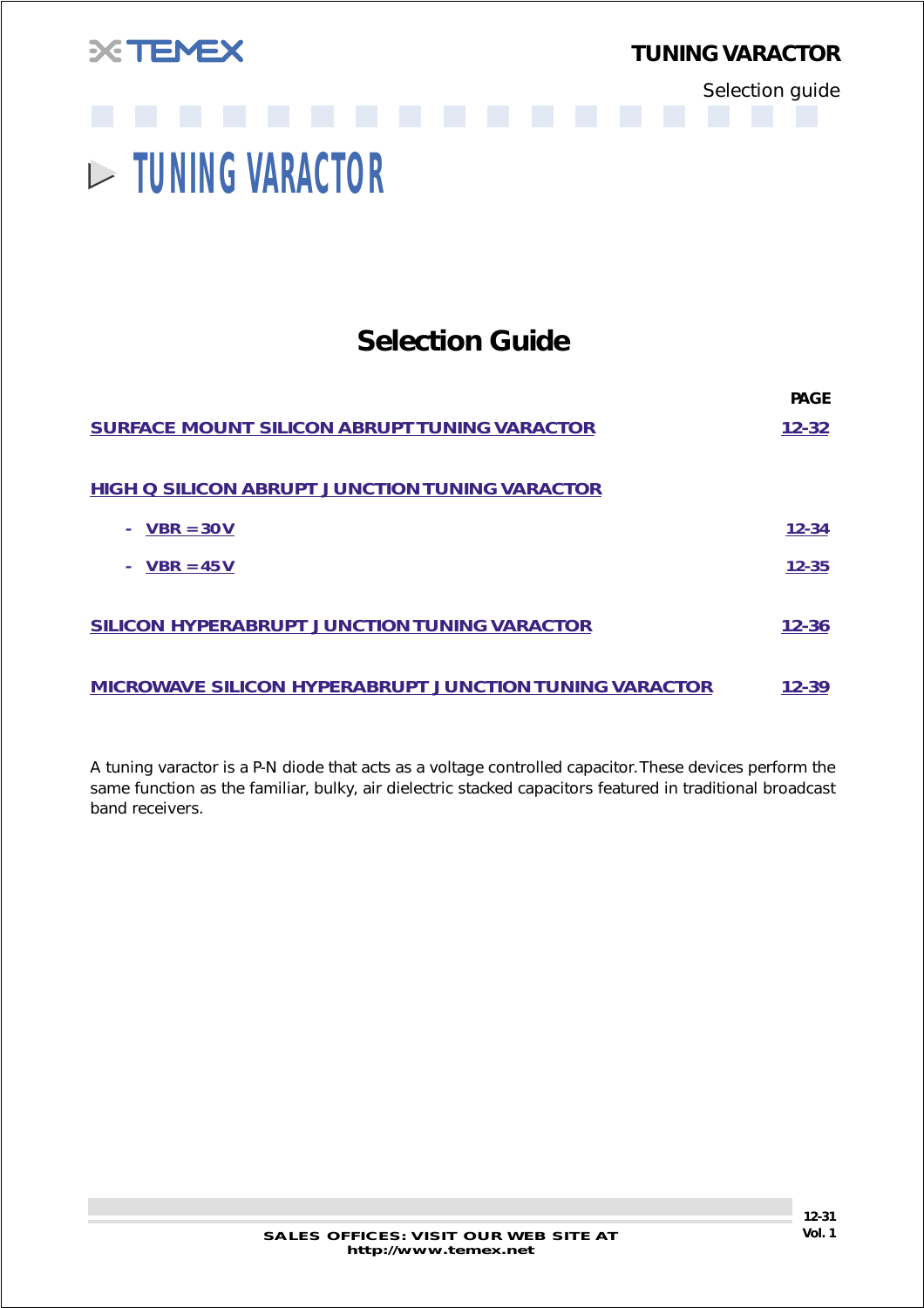<span id="page-30-0"></span>

*TUNING VARACTOR*

Selection guide

# **TUNING VARACTOR**

## **Selection Guide**

|                                                               | <b>PAGE</b> |
|---------------------------------------------------------------|-------------|
| <b>SURFACE MOUNT SILICON ABRUPT TUNING VARACTOR</b>           | 12-32       |
| <b>HIGH Q SILICON ABRUPT JUNCTION TUNING VARACTOR</b>         |             |
| $VBR = 30 V$                                                  | 12-34       |
| $VBR = 45 V$                                                  | $12 - 35$   |
| <b>SILICON HYPERABRUPT JUNCTION TUNING VARACTOR</b>           | 12-36       |
| <b>MICROWAVE SILICON HYPERABRUPT JUNCTION TUNING VARACTOR</b> | $12 - 39$   |

*A tuning varactor is a P-N diode that acts as a voltage controlled capacitor. These devices perform the same function as the familiar, bulky, air dielectric stacked capacitors featured in traditional broadcast band receivers.*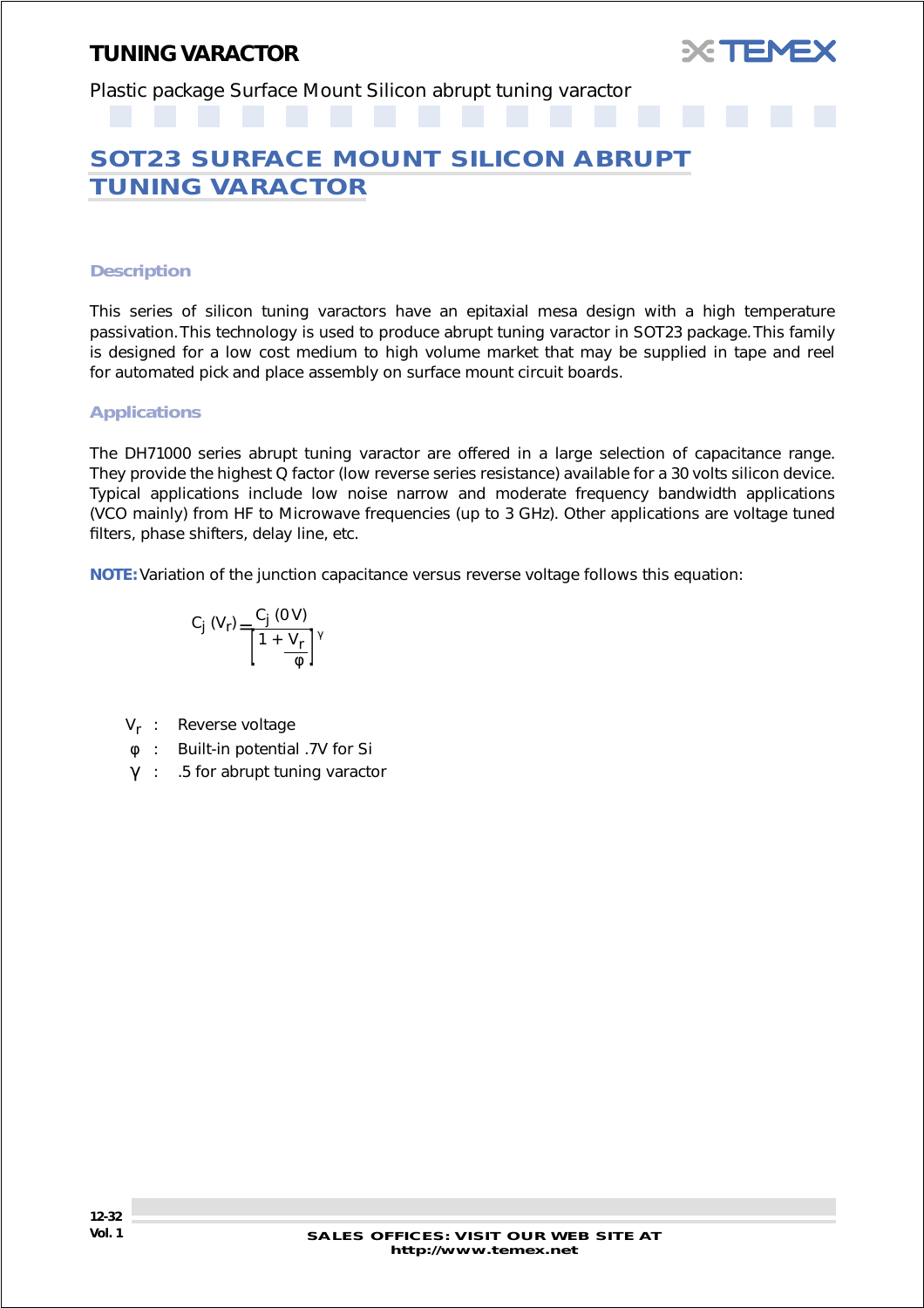

<span id="page-31-0"></span>Plastic package Surface Mount Silicon abrupt tuning varactor

## **SOT23 SURFACE MOUNT SILICON ABRUPT TUNING VARACTOR**

#### *Description*

This series of silicon tuning varactors have an epitaxial mesa design with a high temperature passivation. This technology is used to produce abrupt tuning varactor in SOT23 package. This family is designed for a low cost medium to high volume market that may be supplied in tape and reel for automated pick and place assembly on surface mount circuit boards.

#### *Applications*

The DH71000 series abrupt tuning varactor are offered in a large selection of capacitance range. They provide the highest Q factor (low reverse series resistance) available for a 30 volts silicon device. Typical applications include low noise narrow and moderate frequency bandwidth applications (VCO mainly) from HF to Microwave frequencies (up to 3 GHz). Other applications are voltage tuned filters, phase shifters, delay line, etc.

**NOTE:** Variation of the junction capacitance versus reverse voltage follows this equation:

$$
C_j (V_r) = \frac{C_j (0 V)}{\left[1 + \frac{V_r}{\phi}\right]^\gamma}
$$

- V<sub>r</sub> : Reverse voltage
- φ : Built-in potential .7V for Si
- γ : .5 for abrupt tuning varactor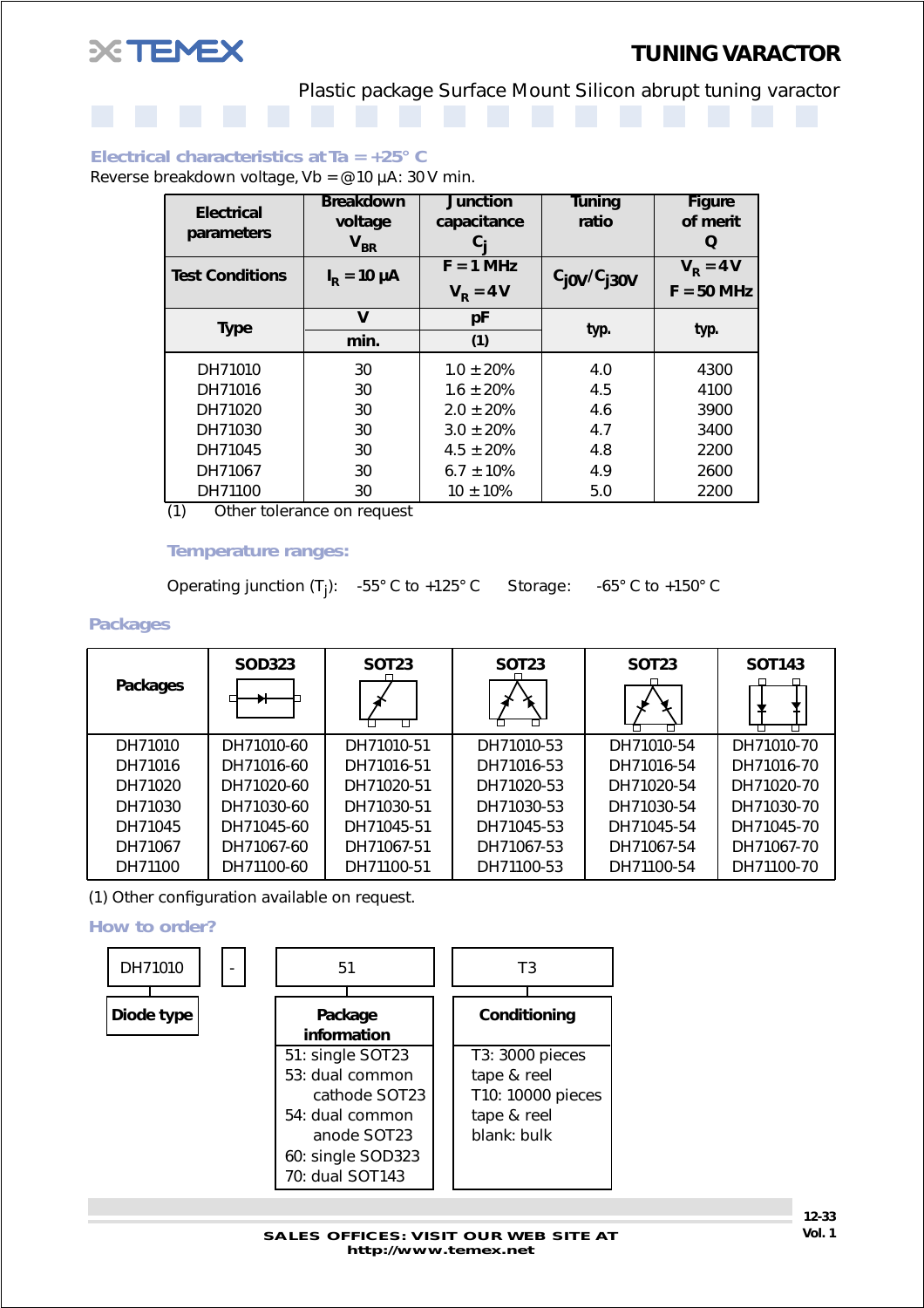

Plastic package Surface Mount Silicon abrupt tuning varactor

#### *Electrical characteristics at Ta = +25° C*

Reverse breakdown voltage, Vb =  $@10 \mu A$ : 30 V min.

| <b>Electrical</b>      | <b>Breakdown</b>         | <b>Junction</b>   | <b>Tuning</b>      | <b>Figure</b> |  |
|------------------------|--------------------------|-------------------|--------------------|---------------|--|
|                        | voltage                  | capacitance       | ratio              | of merit      |  |
| parameters             | $V_{BR}$                 |                   |                    | Q             |  |
| <b>Test Conditions</b> | $I_{\rm R}$ = 10 $\mu$ A | $F = 1 MHz$       | $c_{j0V}/c_{j30V}$ | $VR = 4 V$    |  |
|                        |                          | $V_{\rm p} = 4 V$ |                    | $F = 50$ MHz  |  |
| <b>Type</b>            | V                        | рF                | typ.               |               |  |
|                        | min.                     | (1)               |                    | typ.          |  |
| DH71010                | 30                       | $1.0 \pm 20\%$    | 4.0                | 4300          |  |
| DH71016                | 30                       | $1.6 \pm 20\%$    | 4.5                | 4100          |  |
| DH71020                | 30                       | $2.0 \pm 20\%$    | 4.6                | 3900          |  |
| DH71030                | 30                       | $3.0 \pm 20\%$    | 4.7                | 3400          |  |
| DH71045                | 30                       | $4.5 \pm 20\%$    | 4.8                | 2200          |  |
| DH71067                | 30                       | $6.7 \pm 10\%$    | 4.9                | 2600          |  |
| DH71100                | 30                       | $10 \pm 10\%$     | 5.0                | 2200          |  |

(1) Other tolerance on request

#### *Temperature ranges:*

Operating junction (T<sub>j</sub>): -55° C to +125° C Storage: -65° C to +150° C

#### *Packages*

| Packages | <b>SOD323</b> | <b>SOT23</b><br>□ | <b>SOT23</b> | <b>SOT23</b> | <b>SOT143</b> |
|----------|---------------|-------------------|--------------|--------------|---------------|
| DH71010  | DH71010-60    | DH71010-51        | DH71010-53   | DH71010-54   | DH71010-70    |
| DH71016  | DH71016-60    | DH71016-51        | DH71016-53   | DH71016-54   | DH71016-70    |
| DH71020  | DH71020-60    | DH71020-51        | DH71020-53   | DH71020-54   | DH71020-70    |
| DH71030  | DH71030-60    | DH71030-51        | DH71030-53   | DH71030-54   | DH71030-70    |
| DH71045  | DH71045-60    | DH71045-51        | DH71045-53   | DH71045-54   | DH71045-70    |
| DH71067  | DH71067-60    | DH71067-51        | DH71067-53   | DH71067-54   | DH71067-70    |
| DH71100  | DH71100-60    | DH71100-51        | DH71100-53   | DH71100-54   | DH71100-70    |

(1) Other configuration available on request.

*How to order?*

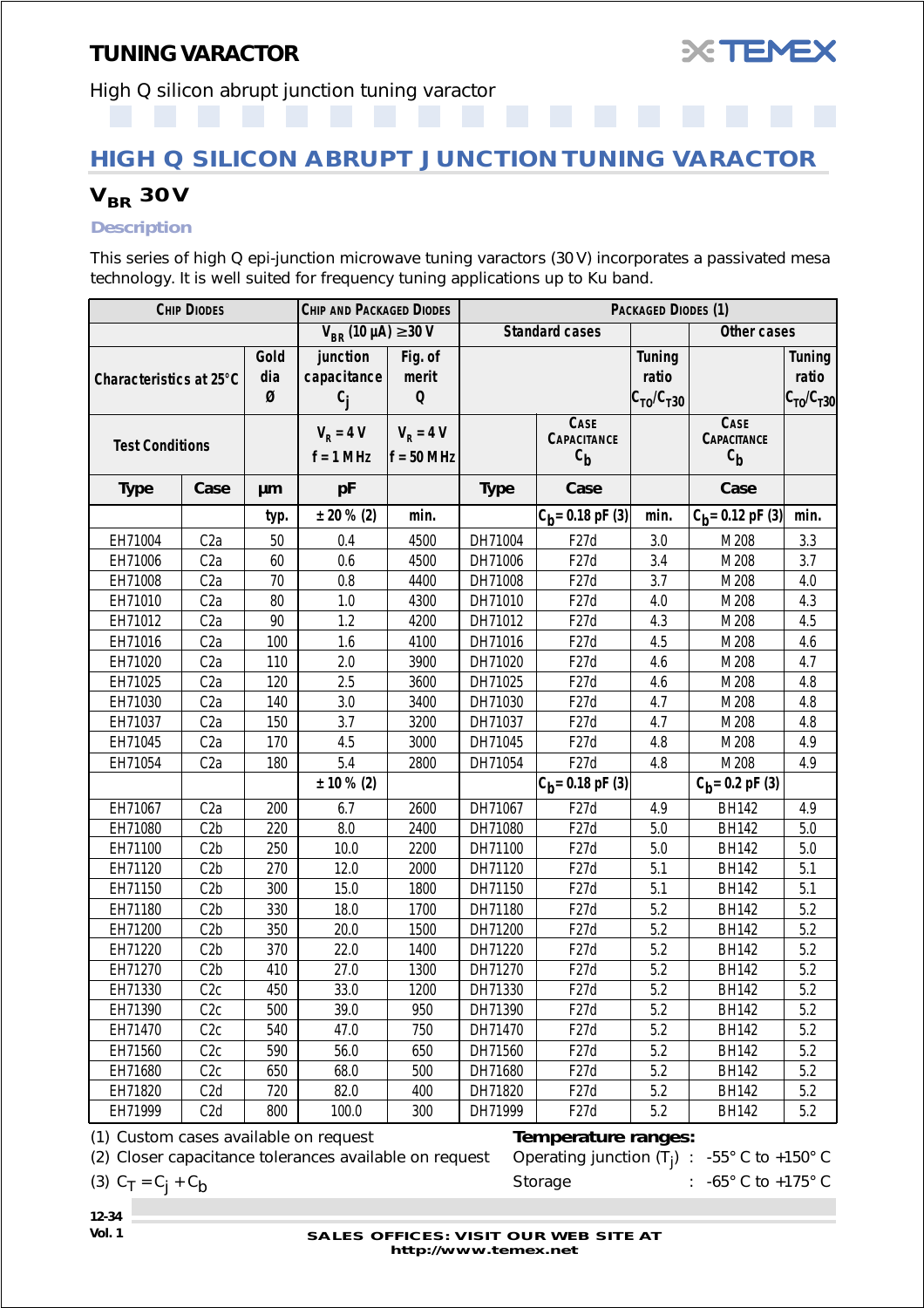

<span id="page-33-0"></span>High Q silicon abrupt junction tuning varactor

## **HIGH Q SILICON ABRUPT JUNCTION TUNING VARACTOR**

## *VBR 30V*

#### *Description*

This series of high Q epi-junction microwave tuning varactors (30 V) incorporates a passivated mesa technology. It is well suited for frequency tuning applications up to Ku band.

|                         | <b>CHIP DIODES</b> |                  | <b>CHIP AND PACKAGED DIODES</b>  |                                 | PACKAGED DIODES (1) |                                           |                                                |                                                  |                                            |
|-------------------------|--------------------|------------------|----------------------------------|---------------------------------|---------------------|-------------------------------------------|------------------------------------------------|--------------------------------------------------|--------------------------------------------|
|                         |                    |                  | $V_{BR}$ (10 µA) $\geq$ 30 V     |                                 |                     | <b>Standard cases</b>                     |                                                | Other cases                                      |                                            |
| Characteristics at 25°C |                    | Gold<br>dia<br>Ø | junction<br>capacitance<br>$c_i$ | Fig. of<br>merit<br>$\mathbf 0$ |                     |                                           | <b>Tuning</b><br>ratio<br>$C_{TO}$ / $C_{T30}$ |                                                  | <b>Tuning</b><br>ratio<br>$C_{TO}/C_{T30}$ |
| <b>Test Conditions</b>  |                    |                  | $V_R = 4 V$<br>$f = 1 MHz$       | $V_R = 4 V$<br>$f = 50$ MHz     |                     | <b>CASE</b><br>CAPACITANCE<br>$c_{\bf b}$ |                                                | <b>CASE</b><br><b>CAPACITANCE</b><br>$c_{\bf b}$ |                                            |
| <b>Type</b>             | Case               | μm               | pF                               |                                 | <b>Type</b>         | Case                                      |                                                | Case                                             |                                            |
|                         |                    | typ.             | $± 20 \% (2)$                    | min.                            |                     | $C_b = 0.18$ pF (3)                       | min.                                           | $\overline{C}_{b}$ = 0.12 pF (3)                 | min.                                       |
| EH71004                 | C <sub>2</sub> a   | 50               | 0.4                              | 4500                            | DH71004             | F <sub>27</sub> d                         | 3.0                                            | M208                                             | 3.3                                        |
| EH71006                 | C <sub>2</sub> a   | 60               | 0.6                              | 4500                            | DH71006             | F <sub>27</sub> d                         | 3.4                                            | M208                                             | 3.7                                        |
| EH71008                 | C <sub>2a</sub>    | 70               | 0.8                              | 4400                            | DH71008             | F <sub>27</sub> d                         | 3.7                                            | M208                                             | 4.0                                        |
| EH71010                 | C <sub>2</sub> a   | 80               | 1.0                              | 4300                            | DH71010             | F27d                                      | 4.0                                            | M208                                             | 4.3                                        |
| EH71012                 | C <sub>2</sub> a   | 90               | 1.2                              | 4200                            | DH71012             | F <sub>27</sub> d                         | 4.3                                            | M208                                             | 4.5                                        |
| EH71016                 | C <sub>2</sub> a   | 100              | 1.6                              | 4100                            | DH71016             | F <sub>27</sub> d                         | 4.5                                            | M208                                             | 4.6                                        |
| EH71020                 | C <sub>2</sub> a   | 110              | 2.0                              | 3900                            | DH71020             | F <sub>27</sub> d                         | 4.6                                            | M208                                             | 4.7                                        |
| EH71025                 | C <sub>2</sub> a   | 120              | 2.5                              | 3600                            | DH71025             | F <sub>27</sub> d                         | 4.6                                            | M208                                             | 4.8                                        |
| EH71030                 | C <sub>2</sub> a   | 140              | 3.0                              | 3400                            | DH71030             | F <sub>27</sub> d                         | 4.7                                            | M208                                             | 4.8                                        |
| EH71037                 | C <sub>2</sub> a   | 150              | 3.7                              | 3200                            | DH71037             | F <sub>27</sub> d                         | 4.7                                            | M208                                             | 4.8                                        |
| EH71045                 | C <sub>2</sub> a   | 170              | 4.5                              | 3000                            | DH71045             | F <sub>27</sub> d                         | 4.8                                            | M208                                             | 4.9                                        |
| EH71054                 | C <sub>2</sub> a   | 180              | 5.4                              | 2800                            | DH71054             | F <sub>27</sub> d                         | 4.8                                            | M208                                             | 4.9                                        |
|                         |                    |                  | $± 10 \% (2)$                    |                                 |                     | $ C_{h}$ = 0.18 pF (3)                    |                                                | $C_b = 0.2$ pF (3)                               |                                            |
| EH71067                 | C2a                | 200              | 6.7                              | 2600                            | DH71067             | F27d                                      | 4.9                                            | <b>BH142</b>                                     | 4.9                                        |
| EH71080                 | C2b                | 220              | 8.0                              | 2400                            | DH71080             | F27d                                      | 5.0                                            | <b>BH142</b>                                     | 5.0                                        |
| EH71100                 | C2b                | 250              | 10.0                             | 2200                            | DH71100             | F <sub>27</sub> d                         | 5.0                                            | <b>BH142</b>                                     | 5.0                                        |
| EH71120                 | C2b                | 270              | 12.0                             | 2000                            | DH71120             | F <sub>27</sub> d                         | 5.1                                            | <b>BH142</b>                                     | 5.1                                        |
| EH71150                 | C2b                | 300              | 15.0                             | 1800                            | DH71150             | F <sub>27</sub> d                         | 5.1                                            | <b>BH142</b>                                     | 5.1                                        |
| EH71180                 | C2b                | 330              | 18.0                             | 1700                            | DH71180             | F <sub>27</sub> d                         | 5.2                                            | <b>BH142</b>                                     | 5.2                                        |
| EH71200                 | C2b                | 350              | 20.0                             | 1500                            | DH71200             | F <sub>27</sub> d                         | 5.2                                            | <b>BH142</b>                                     | 5.2                                        |
| EH71220                 | C2b                | 370              | 22.0                             | 1400                            | DH71220             | F <sub>27</sub> d                         | 5.2                                            | <b>BH142</b>                                     | 5.2                                        |
| EH71270                 | C2b                | 410              | 27.0                             | 1300                            | DH71270             | F <sub>27</sub> d                         | 5.2                                            | <b>BH142</b>                                     | 5.2                                        |
| EH71330                 | C2c                | 450              | 33.0                             | 1200                            | DH71330             | F27d                                      | 5.2                                            | BH142                                            | 5.2                                        |
| EH71390                 | C2C                | 500              | 39.0                             | 950                             | DH71390             | F <sub>27</sub> d                         | 5.2                                            | <b>BH142</b>                                     | 5.2                                        |
| EH71470                 | C2C                | 540              | 47.0                             | 750                             | DH71470             | F <sub>27</sub> d                         | 5.2                                            | <b>BH142</b>                                     | 5.2                                        |
| EH71560                 | C2C                | 590              | 56.0                             | 650                             | DH71560             | F <sub>27</sub> d                         | 5.2                                            | <b>BH142</b>                                     | 5.2                                        |
| EH71680                 | C2C                | 650              | 68.0                             | 500                             | DH71680             | F <sub>27</sub> d                         | 5.2                                            | <b>BH142</b>                                     | 5.2                                        |
| EH71820                 | C <sub>2</sub> d   | 720              | 82.0                             | 400                             | DH71820             | F27d                                      | 5.2                                            | <b>BH142</b>                                     | 5.2                                        |
| EH71999                 | C <sub>2</sub> d   | 800              | 100.0                            | 300                             | DH71999             | F27d                                      | 5.2                                            | <b>BH142</b>                                     | 5.2                                        |

(1) Custom cases available on request *Temperature ranges:*

(2) Closer capacitance tolerances available on request

(3)  $C_T = C_i + C_b$  Storage : -65° C to +175° C

Operating junction  $(T_i)$  : -55° C to +150° C

- **12-34**
-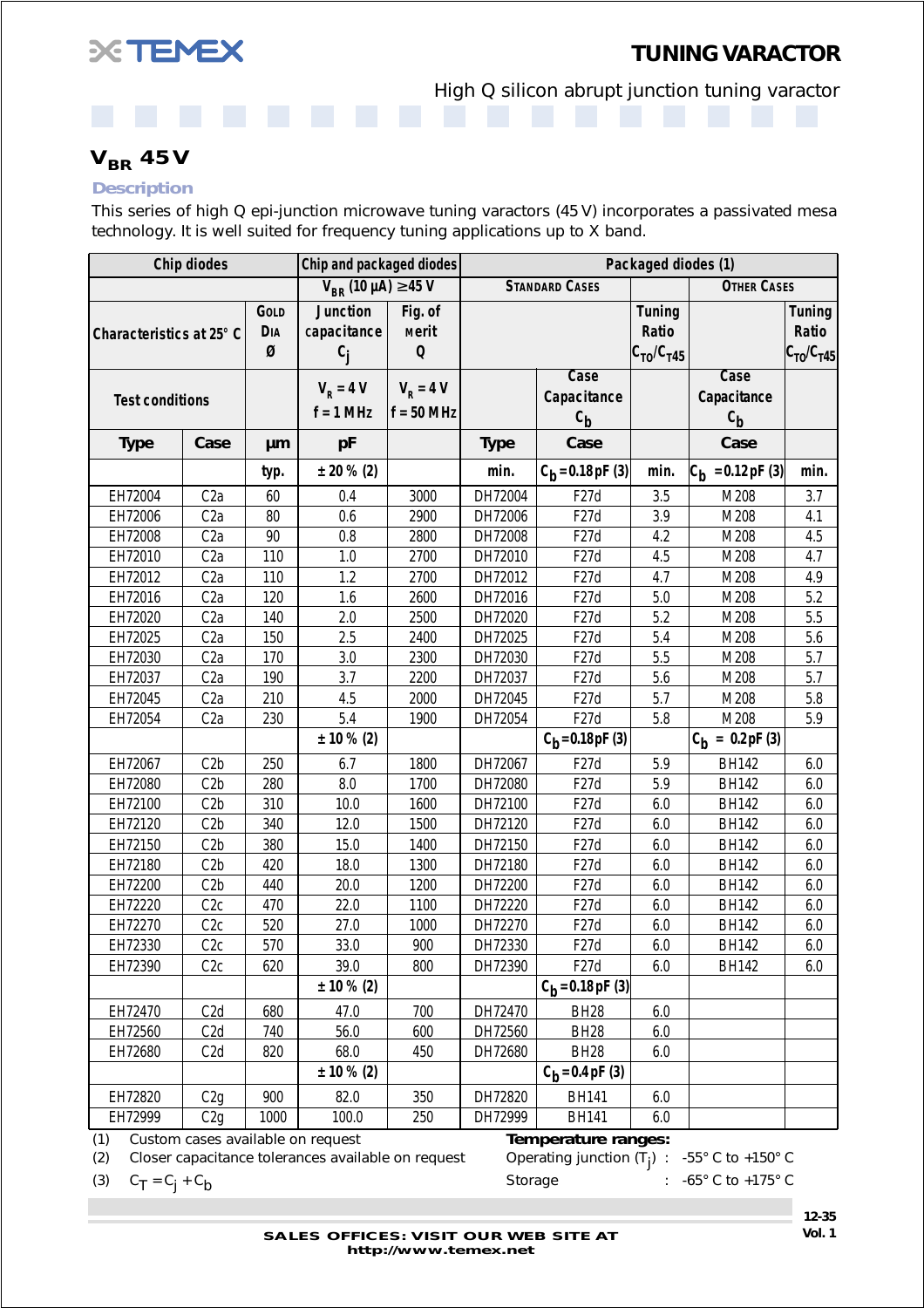<span id="page-34-0"></span>

*TUNING VARACTOR*

High Q silicon abrupt junction tuning varactor

*VBR 45V*

#### *Description*

This series of high Q epi-junction microwave tuning varactors (45 V) incorporates a passivated mesa technology. It is well suited for frequency tuning applications up to X band.

|                          | <b>Chip diodes</b><br>Chip and packaged diodes<br>Packaged diodes (1) |                                |                                         |                                        |             |                                    |                                            |                                    |                                              |
|--------------------------|-----------------------------------------------------------------------|--------------------------------|-----------------------------------------|----------------------------------------|-------------|------------------------------------|--------------------------------------------|------------------------------------|----------------------------------------------|
|                          |                                                                       |                                | $V_{BR}$ (10 µA) $\geq$ 45 V            |                                        |             | <b>STANDARD CASES</b>              |                                            | <b>OTHER CASES</b>                 |                                              |
| Characteristics at 25° C |                                                                       | <b>GOLD</b><br><b>DIA</b><br>Ø | <b>Junction</b><br>capacitance<br>$c_i$ | Fig. of<br><b>Merit</b><br>$\mathbf 0$ |             |                                    | <b>Tuning</b><br>Ratio<br>$C_{T0}/C_{T45}$ |                                    | <b>Tuning</b><br>Ratio<br>$ C_{TO}/C_{T45} $ |
| <b>Test conditions</b>   |                                                                       |                                | $V_R = 4 V$<br>$f = 1$ MHz              | $V_R = 4 V$<br>$f = 50$ MHz            |             | Case<br>Capacitance<br>$c_{\bf b}$ |                                            | Case<br>Capacitance<br>$c_{\bf b}$ |                                              |
| <b>Type</b>              | Case                                                                  | μm                             | pF                                      |                                        | <b>Type</b> | Case                               |                                            | Case                               |                                              |
|                          |                                                                       | typ.                           | $± 20 \% (2)$                           |                                        | min.        | $C_b = 0.18$ pF (3)                | min.                                       | $ C_{b} $ = 0.12 pF (3)            | min.                                         |
| EH72004                  | C2a                                                                   | 60                             | 0.4                                     | 3000                                   | DH72004     | F27d                               | 3.5                                        | M208                               | 3.7                                          |
| EH72006                  | C <sub>2</sub> a                                                      | 80                             | 0.6                                     | 2900                                   | DH72006     | F27d                               | 3.9                                        | M208                               | 4.1                                          |
| EH72008                  | C <sub>2</sub> a                                                      | 90                             | 0.8                                     | 2800                                   | DH72008     | F27d                               | 4.2                                        | M208                               | 4.5                                          |
| EH72010                  | C <sub>2</sub> a                                                      | 110                            | 1.0                                     | 2700                                   | DH72010     | F <sub>27</sub> d                  | 4.5                                        | M208                               | 4.7                                          |
| EH72012                  | C <sub>2</sub> a                                                      | 110                            | 1.2                                     | 2700                                   | DH72012     | F27d                               | 4.7                                        | M208                               | 4.9                                          |
| EH72016                  | C <sub>2</sub> a                                                      | 120                            | 1.6                                     | 2600                                   | DH72016     | F27d                               | 5.0                                        | M208                               | 5.2                                          |
| EH72020                  | C <sub>2</sub> a                                                      | 140                            | 2.0                                     | 2500                                   | DH72020     | F <sub>27</sub> d                  | 5.2                                        | M208                               | 5.5                                          |
| EH72025                  | C <sub>2</sub> a                                                      | 150                            | 2.5                                     | 2400                                   | DH72025     | F <sub>27</sub> d                  | 5.4                                        | M208                               | 5.6                                          |
| EH72030                  | C <sub>2</sub> a                                                      | 170                            | 3.0                                     | 2300                                   | DH72030     | F27d                               | 5.5                                        | M208                               | 5.7                                          |
| EH72037                  | C2a                                                                   | 190                            | 3.7                                     | 2200                                   | DH72037     | F <sub>27</sub> d                  | 5.6                                        | M208                               | 5.7                                          |
| EH72045                  | C <sub>2</sub> a                                                      | 210                            | 4.5                                     | 2000                                   | DH72045     | F <sub>27</sub> d                  | 5.7                                        | M208                               | 5.8                                          |
| EH72054                  | C <sub>2</sub> a                                                      | 230                            | 5.4                                     | 1900                                   | DH72054     | F <sub>27</sub> d                  | 5.8                                        | M208                               | 5.9                                          |
|                          |                                                                       |                                | $± 10 \% (2)$                           |                                        |             | $C_b = 0.18 pF(3)$                 |                                            | $C_h = 0.2pF(3)$                   |                                              |
| EH72067                  | C2b                                                                   | 250                            | 6.7                                     | 1800                                   | DH72067     | F27d                               | 5.9                                        | <b>BH142</b>                       | 6.0                                          |
| EH72080                  | C2b                                                                   | 280                            | 8.0                                     | 1700                                   | DH72080     | F <sub>27</sub> d                  | 5.9                                        | <b>BH142</b>                       | 6.0                                          |
| EH72100                  | C2b                                                                   | 310                            | 10.0                                    | 1600                                   | DH72100     | F <sub>27</sub> d                  | 6.0                                        | <b>BH142</b>                       | 6.0                                          |
| EH72120                  | C2b                                                                   | 340                            | 12.0                                    | 1500                                   | DH72120     | F27d                               | 6.0                                        | <b>BH142</b>                       | 6.0                                          |
| EH72150                  | C2b                                                                   | 380                            | 15.0                                    | 1400                                   | DH72150     | F27d                               | 6.0                                        | <b>BH142</b>                       | 6.0                                          |
| EH72180                  | C2b                                                                   | 420                            | 18.0                                    | 1300                                   | DH72180     | F <sub>27</sub> d                  | 6.0                                        | <b>BH142</b>                       | 6.0                                          |
| EH72200                  | C2b                                                                   | 440                            | 20.0                                    | 1200                                   | DH72200     | F <sub>27</sub> d                  | 6.0                                        | <b>BH142</b>                       | 6.0                                          |
| EH72220                  | C2C                                                                   | 470                            | 22.0                                    | 1100                                   | DH72220     | F <sub>27</sub> d                  | 6.0                                        | <b>BH142</b>                       | 6.0                                          |
| EH72270                  | C2C                                                                   | 520                            | 27.0                                    | 1000                                   | DH72270     | F <sub>27</sub> d                  | 6.0                                        | <b>BH142</b>                       | 6.0                                          |
| EH72330                  | C2C                                                                   | 570                            | 33.0                                    | 900                                    | DH72330     | F <sub>27</sub> d                  | $6.0\,$                                    | <b>BH142</b>                       | 6.0                                          |
| EH72390                  | C2c                                                                   | 620                            | 39.0                                    | 800                                    | DH72390     | F27d                               | 6.0                                        | <b>BH142</b>                       | 6.0                                          |
|                          |                                                                       |                                | $± 10 \% (2)$                           |                                        |             | $C_h = 0.18$ pF (3)                |                                            |                                    |                                              |
| EH72470                  | C <sub>2</sub> d                                                      | 680                            | 47.0                                    | 700                                    | DH72470     | <b>BH28</b>                        | $6.0\,$                                    |                                    |                                              |
| EH72560                  | C2d                                                                   | 740                            | 56.0                                    | 600                                    | DH72560     | <b>BH28</b>                        | 6.0                                        |                                    |                                              |
| EH72680                  | C <sub>2</sub> d                                                      | 820                            | 68.0                                    | 450                                    | DH72680     | <b>BH28</b>                        | 6.0                                        |                                    |                                              |
|                          |                                                                       |                                | $± 10 \% (2)$                           |                                        |             | $C_b = 0.4 pF(3)$                  |                                            |                                    |                                              |
| EH72820                  | C2g                                                                   | 900                            | 82.0                                    | 350                                    | DH72820     | <b>BH141</b>                       | 6.0                                        |                                    |                                              |
| EH72999                  | C2g                                                                   | 1000                           | 100.0                                   | 250                                    | DH72999     | <b>BH141</b>                       | 6.0                                        |                                    |                                              |
| (1)                      |                                                                       |                                | Custom cases available on request       |                                        |             | Temperature ranges:                |                                            |                                    |                                              |

(2) Closer capacitance tolerances available on request

Operating junction  $(T_i)$  : -55° C to +150° C

(3)  $C_T = C_i + C_b$  Storage : -65° C to +175° C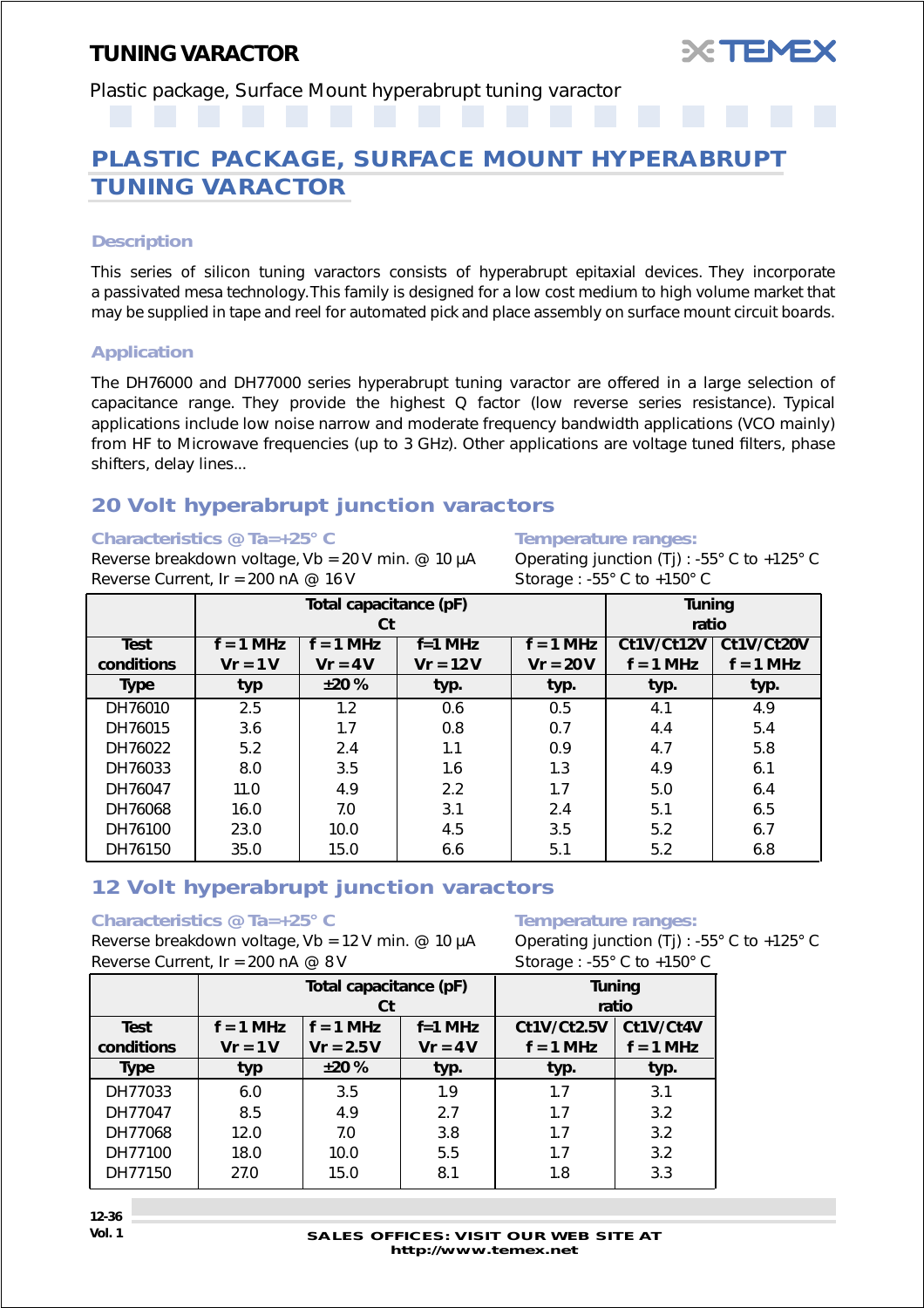

<span id="page-35-0"></span>Plastic package, Surface Mount hyperabrupt tuning varactor

## **PLASTIC PACKAGE, SURFACE MOUNT HYPERABRUPT TUNING VARACTOR**

#### *Description*

This series of silicon tuning varactors consists of hyperabrupt epitaxial devices. They incorporate a passivated mesa technology. This family is designed for a low cost medium to high volume market that may be supplied in tape and reel for automated pick and place assembly on surface mount circuit boards.

#### *Application*

The DH76000 and DH77000 series hyperabrupt tuning varactor are offered in a large selection of capacitance range. They provide the highest Q factor (low reverse series resistance). Typical applications include low noise narrow and moderate frequency bandwidth applications (VCO mainly) from HF to Microwave frequencies (up to 3 GHz). Other applications are voltage tuned filters, phase shifters, delay lines...

## *20 Volt hyperabrupt junction varactors*

#### *Characteristics @ Ta=+25° C Temperature ranges:*

Reverse breakdown voltage, Vb = 20 V min. @ 10  $\mu$ A Operating junction (Tj) : -55° C to +125° C Reverse Current,  $Ir = 200 \text{ nA} \ @ \ 16 \text{ V}$  Storage: -55° C to +150° C

|             |             | Total capacitance (pF)                  |            | <b>Tuning</b> |             |             |  |  |
|-------------|-------------|-----------------------------------------|------------|---------------|-------------|-------------|--|--|
|             |             | Ct                                      |            |               | ratio       |             |  |  |
| <b>Test</b> | $f = 1$ MHz | $f = 1$ MHz<br>$f=1$ MHz<br>$f = 1$ MHz |            |               |             | Ct1V/Ct20V  |  |  |
| conditions  | $Vr = 1V$   | $Vr = 4V$                               | $Vr = 12V$ | $Vr = 20V$    | $f = 1$ MHz | $f = 1$ MHz |  |  |
| <b>Type</b> | typ         | ±20%                                    | typ.       | typ.          | typ.        | typ.        |  |  |
| DH76010     | 2.5         | 1.2                                     | 0.6        | 0.5           | 4.1         | 4.9         |  |  |
| DH76015     | 3.6         | 1.7                                     | 0.8        | 0.7           | 4.4         | 5.4         |  |  |
| DH76022     | 5.2         | 2.4                                     | 1.1        | 0.9           | 4.7         | 5.8         |  |  |
| DH76033     | 8.0         | 3.5                                     | 1.6        | 1.3           | 4.9         | 6.1         |  |  |
| DH76047     | 11.0        | 4.9                                     | 2.2        | 1.7           | 5.0         | 6.4         |  |  |
| DH76068     | 16.0        | 7.0                                     | 3.1        | 2.4           | 5.1         | 6.5         |  |  |
| DH76100     | 23.0        | 10.0                                    | 4.5        | 3.5           | 5.2         | 6.7         |  |  |
| DH76150     | 35.0        | 15.0                                    | 6.6        | 5.1           | 5.2         | 6.8         |  |  |

### *12 Volt hyperabrupt junction varactors*

#### *Characteristics @ Ta=+25° C Temperature ranges:*

Reverse breakdown voltage, Vb = 12 V min. @ 10  $\mu$ A Operating junction (Tj) : -55° C to +125° C Reverse Current,  $Ir = 200 \text{ nA} \ @ \ 8 \text{ V}$  Storage: -55° C to +150° C

|                           |                          | Total capacitance (pF)<br>Ct |                        | <b>Tuning</b><br>ratio     |                          |  |
|---------------------------|--------------------------|------------------------------|------------------------|----------------------------|--------------------------|--|
| <b>Test</b><br>conditions | $f = 1$ MHz<br>$Vr = 1V$ | $f = 1$ MHz<br>$V = 2.5 V$   | $f=1$ MHz<br>$Vr = 4V$ | Ct1V/Ct2.5V<br>$f = 1$ MHz | Ct1V/Ct4V<br>$f = 1$ MHz |  |
| <b>Type</b>               | typ                      | ±20%                         | typ.                   | typ.                       | typ.                     |  |
| DH77033                   | 6.0                      | 3.5                          | 1.9                    | 1.7                        | 3.1                      |  |
| DH77047                   | 8.5                      | 4.9                          | 2.7                    | 1.7                        | 3.2                      |  |
| DH77068                   | 12.0                     | 7.0                          | 3.8                    | 1.7                        | 3.2                      |  |
| DH77100                   | 18.0                     | 10.0                         | 5.5                    | 1.7                        | 3.2                      |  |
| DH77150                   | 27.0                     | 15.0                         | 8.1                    | 1.8                        | 3.3                      |  |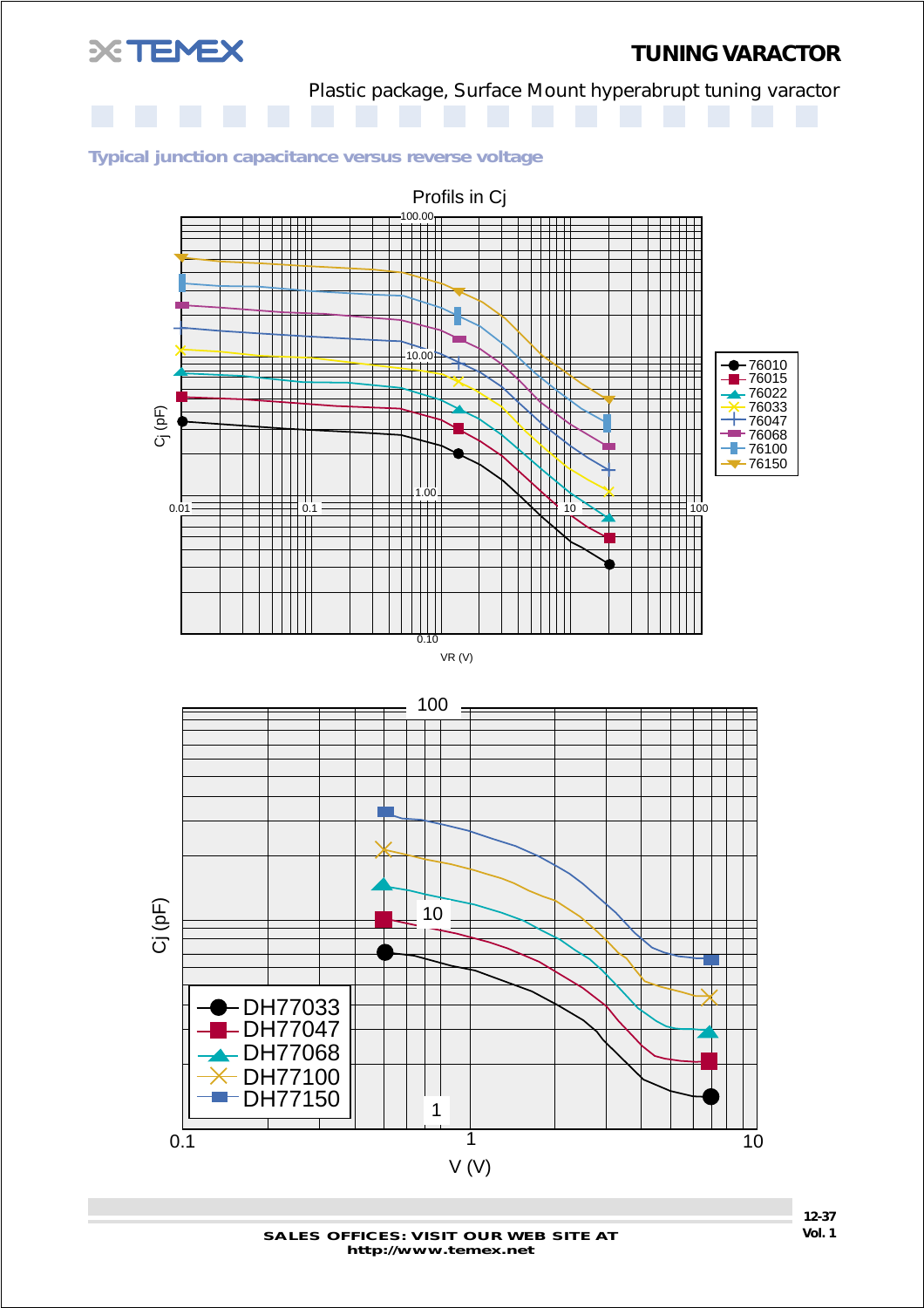

## *TUNING VARACTOR*

Plastic package, Surface Mount hyperabrupt tuning varactor

#### *Typical junction capacitance versus reverse voltage*





**SALES OFFICES: VISIT OUR WEB SITE AT http://www.temex.net**

**12-37**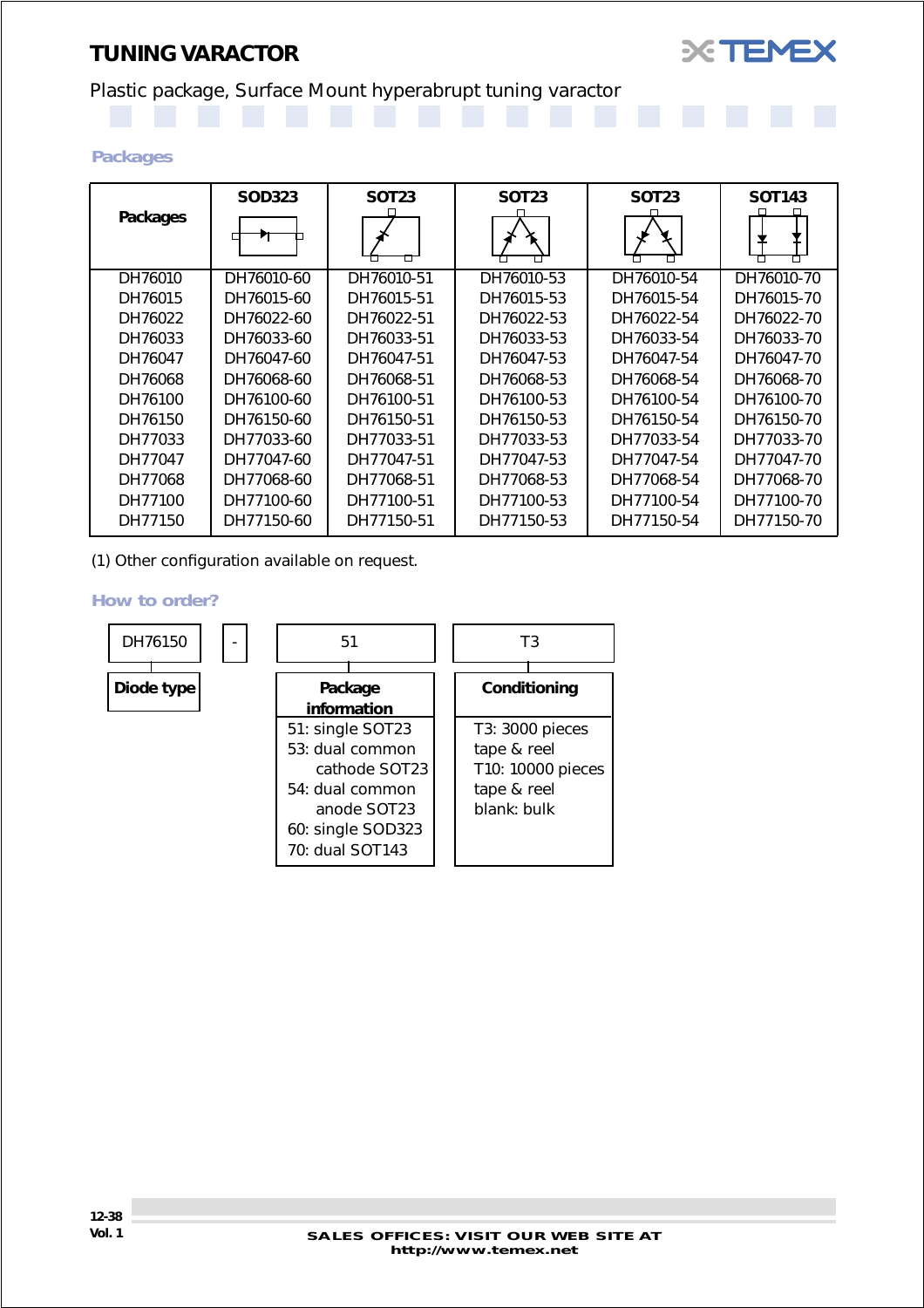## *TUNING VARACTOR*

## Plastic package, Surface Mount hyperabrupt tuning varactor

#### *Packages*

|          | <b>SOD323</b> | <b>SOT23</b> | <b>SOT23</b> | <b>SOT23</b> | <b>SOT143</b> |
|----------|---------------|--------------|--------------|--------------|---------------|
| Packages |               |              |              |              |               |
| DH76010  | DH76010-60    | DH76010-51   | DH76010-53   | DH76010-54   | DH76010-70    |
| DH76015  | DH76015-60    | DH76015-51   | DH76015-53   | DH76015-54   | DH76015-70    |
| DH76022  | DH76022-60    | DH76022-51   | DH76022-53   | DH76022-54   | DH76022-70    |
| DH76033  | DH76033-60    | DH76033-51   | DH76033-53   | DH76033-54   | DH76033-70    |
| DH76047  | DH76047-60    | DH76047-51   | DH76047-53   | DH76047-54   | DH76047-70    |
| DH76068  | DH76068-60    | DH76068-51   | DH76068-53   | DH76068-54   | DH76068-70    |
| DH76100  | DH76100-60    | DH76100-51   | DH76100-53   | DH76100-54   | DH76100-70    |
| DH76150  | DH76150-60    | DH76150-51   | DH76150-53   | DH76150-54   | DH76150-70    |
| DH77033  | DH77033-60    | DH77033-51   | DH77033-53   | DH77033-54   | DH77033-70    |
| DH77047  | DH77047-60    | DH77047-51   | DH77047-53   | DH77047-54   | DH77047-70    |
| DH77068  | DH77068-60    | DH77068-51   | DH77068-53   | DH77068-54   | DH77068-70    |
| DH77100  | DH77100-60    | DH77100-51   | DH77100-53   | DH77100-54   | DH77100-70    |
| DH77150  | DH77150-60    | DH77150-51   | DH77150-53   | DH77150-54   | DH77150-70    |

(1) Other configuration available on request.

#### *How to order?*



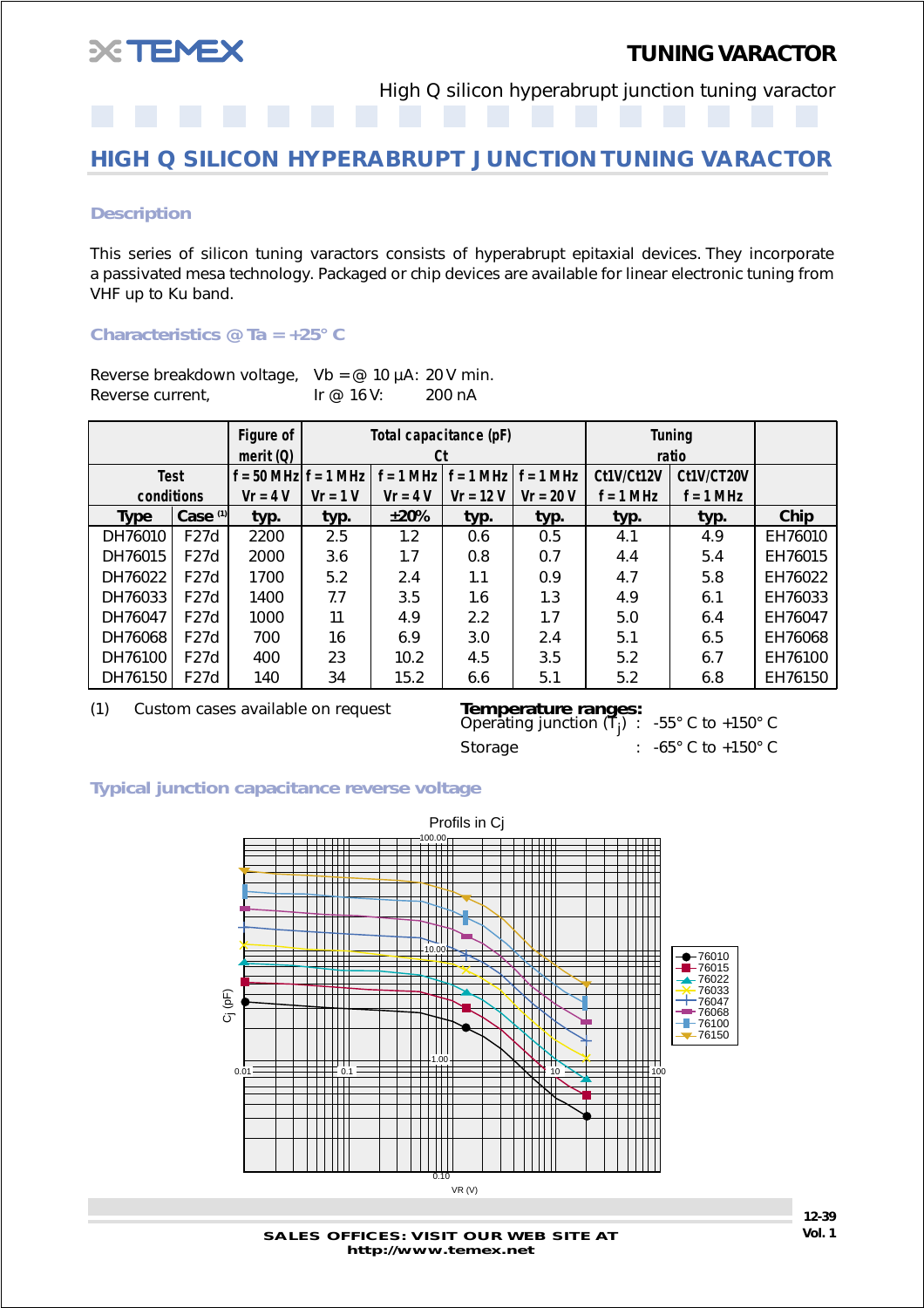<span id="page-38-0"></span>

High Q silicon hyperabrupt junction tuning varactor

## **HIGH Q SILICON HYPERABRUPT JUNCTION TUNING VARACTOR**

#### *Description*

This series of silicon tuning varactors consists of hyperabrupt epitaxial devices. They incorporate a passivated mesa technology. Packaged or chip devices are available for linear electronic tuning from VHF up to Ku band.

#### *Characteristics @ Ta = +25° C*

| Reverse breakdown voltage, $Vb = \omega$ 10 µA: 20 V min. |            |        |
|-----------------------------------------------------------|------------|--------|
| Reverse current,                                          | Ir @ 16 V: | 200 nA |

|             |                   | Figure of<br>merit $(Q)$ |            | Total capacitance (pF)<br>Ct |             |             |             | <b>Tuning</b><br>ratio |         |
|-------------|-------------------|--------------------------|------------|------------------------------|-------------|-------------|-------------|------------------------|---------|
| <b>Test</b> |                   | $f = 50$ MHz $f = 1$ MHz |            | $f = 1 MHz$                  | $f = 1$ MHz | $f = 1$ MHz | Ct1V/Ct12V  | Ct1V/CT20V             |         |
| conditions  |                   | $Vr = 4 V$               | $Vr = 1 V$ | $Vr = 4 V$                   | $V = 12 V$  | $V = 20 V$  | $f = 1$ MHz | $f = 1$ MHz            |         |
| <b>Type</b> | Case $(1)$        | typ.                     | typ.       | ±20%                         | typ.        | typ.        | typ.        | typ.                   | Chip    |
| DH76010     | F27d              | 2200                     | 2.5        | 1.2                          | 0.6         | 0.5         | 4.1         | 4.9                    | EH76010 |
| DH76015     | F27d              | 2000                     | 3.6        | 1.7                          | 0.8         | 0.7         | 4.4         | 5.4                    | EH76015 |
| DH76022     | F27d              | 1700                     | 5.2        | 2.4                          | 1.1         | 0.9         | 4.7         | 5.8                    | EH76022 |
| DH76033     | F27d              | 1400                     | 7.7        | 3.5                          | 1.6         | 1.3         | 4.9         | 6.1                    | EH76033 |
| DH76047     | F27d              | 1000                     | 11         | 4.9                          | 2.2         | 1.7         | 5.0         | 6.4                    | EH76047 |
| DH76068     | F27d              | 700                      | 16         | 6.9                          | 3.0         | 2.4         | 5.1         | 6.5                    | EH76068 |
| DH76100     | F27d              | 400                      | 23         | 10.2                         | 4.5         | 3.5         | 5.2         | 6.7                    | EH76100 |
| DH76150     | F <sub>27</sub> d | 140                      | 34         | 15.2                         | 6.6         | 5.1         | 5.2         | 6.8                    | EH76150 |

(1) Custom cases available on request *Temperature ranges:*

**Temperature ranges:**<br>Operating junction  $(T_{j})$ : Storage : -65° C to +150° C

) : -55° C to +150° C

#### *Typical junction capacitance reverse voltage*



**SALES OFFICES: VISIT OUR WEB SITE AT http://www.temex.net**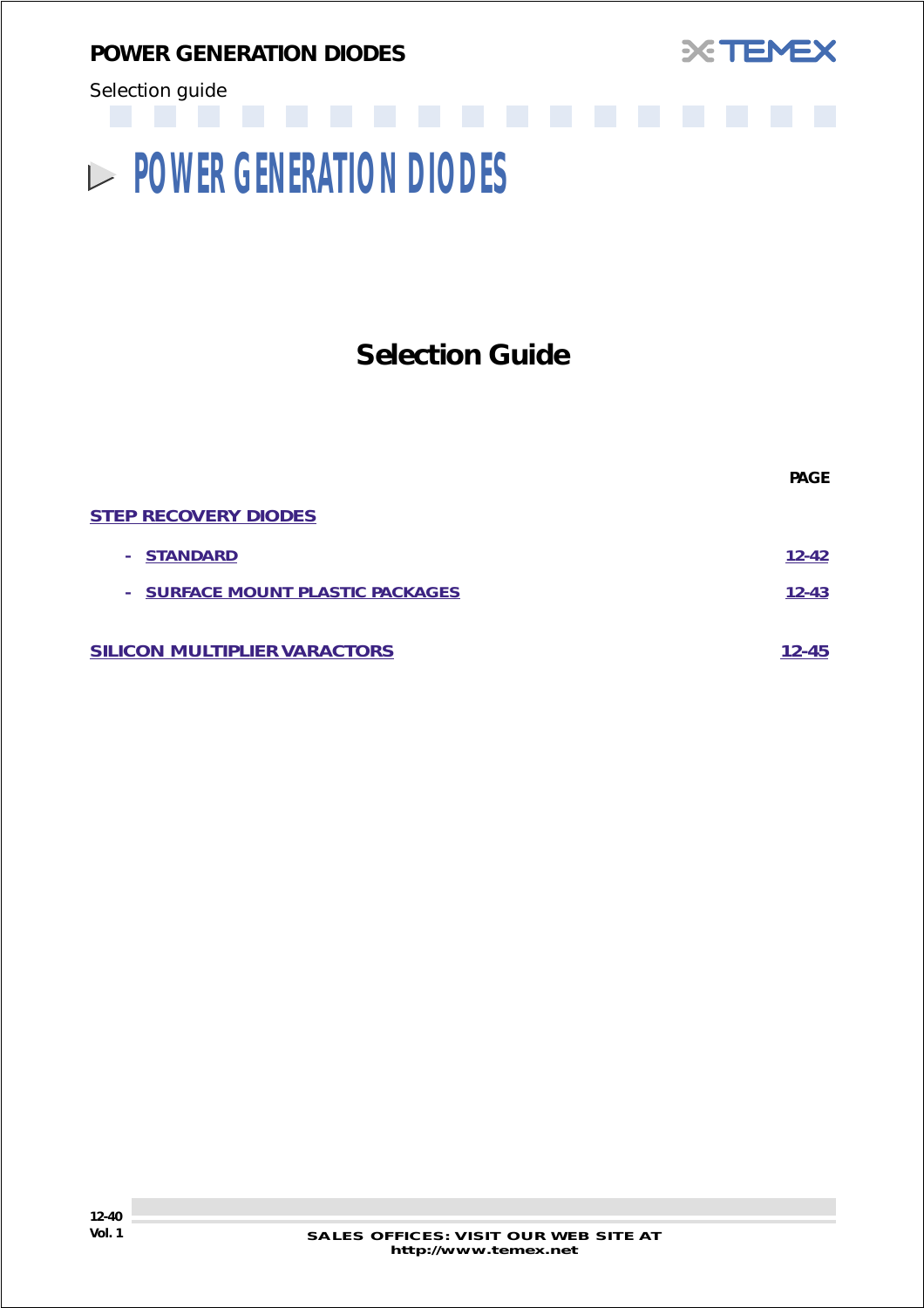<span id="page-39-0"></span>*POWER GENERATION DIODES*



Selection guide

# **POWER GENERATION DIODES**

# **Selection Guide**

| <b>PAGE</b> |
|-------------|
|             |
| $12 - 42$   |
| $12 - 43$   |
| 12-45       |
|             |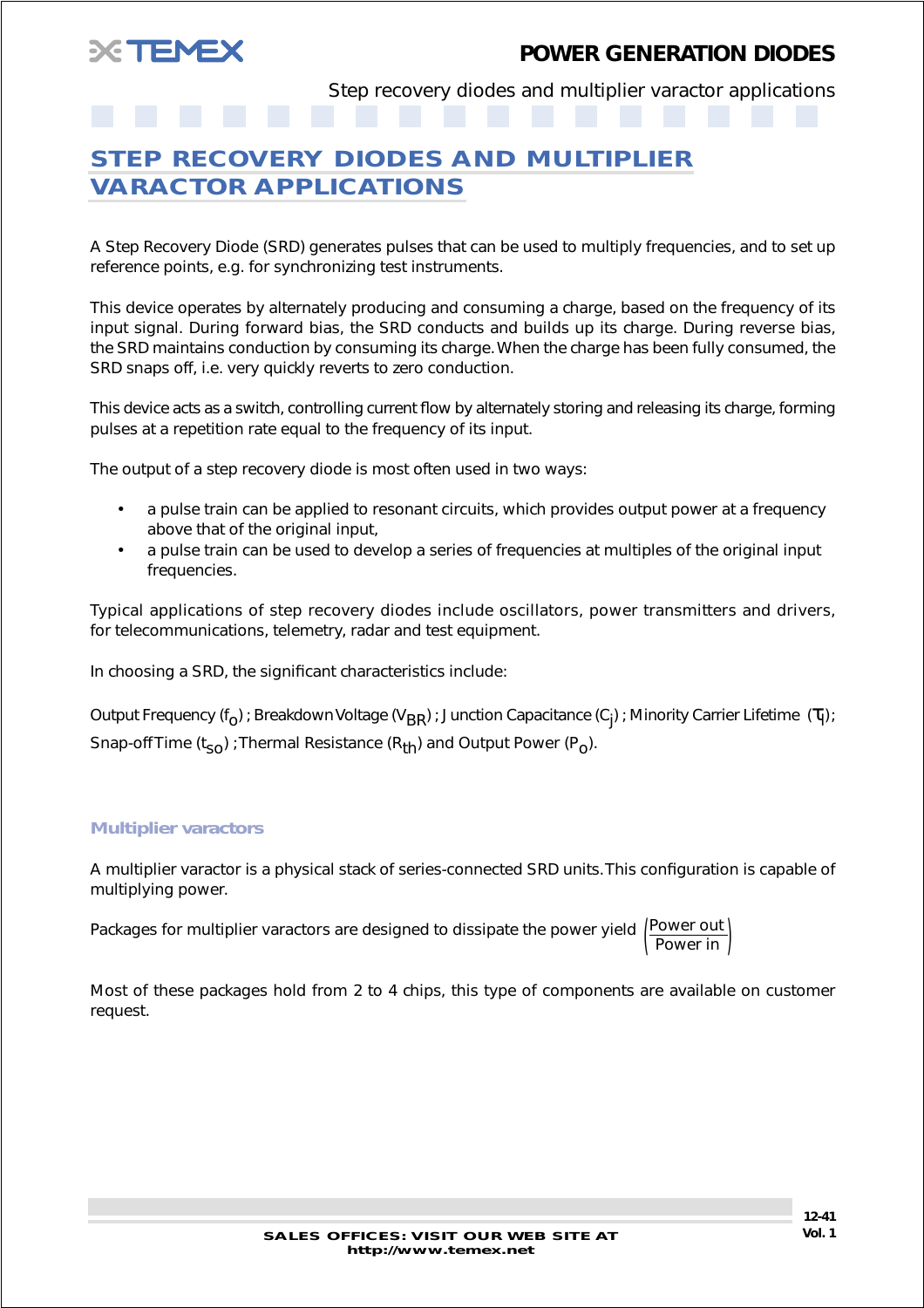Step recovery diodes and multiplier varactor applications

## <span id="page-40-0"></span>**STEP RECOVERY DIODES AND MULTIPLIER VARACTOR APPLICATIONS**

A Step Recovery Diode (SRD) generates pulses that can be used to multiply frequencies, and to set up reference points, e.g. for synchronizing test instruments.

This device operates by alternately producing and consuming a charge, based on the frequency of its input signal. During forward bias, the SRD conducts and builds up its charge. During reverse bias, the SRD maintains conduction by consuming its charge. When the charge has been fully consumed, the SRD snaps off, i.e. very quickly reverts to zero conduction.

This device acts as a switch, controlling current flow by alternately storing and releasing its charge, forming pulses at a repetition rate equal to the frequency of its input.

The output of a step recovery diode is most often used in two ways:

- a pulse train can be applied to resonant circuits, which provides output power at a frequency above that of the original input,
- a pulse train can be used to develop a series of frequencies at multiples of the original input frequencies.

Typical applications of step recovery diodes include oscillators, power transmitters and drivers, for telecommunications, telemetry, radar and test equipment.

In choosing a SRD, the significant characteristics include:

Output Frequency (f<sub>O</sub>) ; Breakdown Voltage (V<sub>BR</sub>) ; Junction Capacitance (C<sub>j</sub>) ; Minority Carrier Lifetime  $(\tau_{|})$  ; Snap-off Time  $(t_{s0})$  ; Thermal Resistance  $(R_{th})$  and Output Power  $(P_0)$ .

#### *Multiplier varactors*

A multiplier varactor is a physical stack of series-connected SRD units. This configuration is capable of multiplying power.

Packages for multiplier varactors are designed to dissipate the power yield  $\begin{pmatrix} \text{Power out} \ \text{Power in} \end{pmatrix}$ 

Most of these packages hold from 2 to 4 chips, this type of components are available on customer request.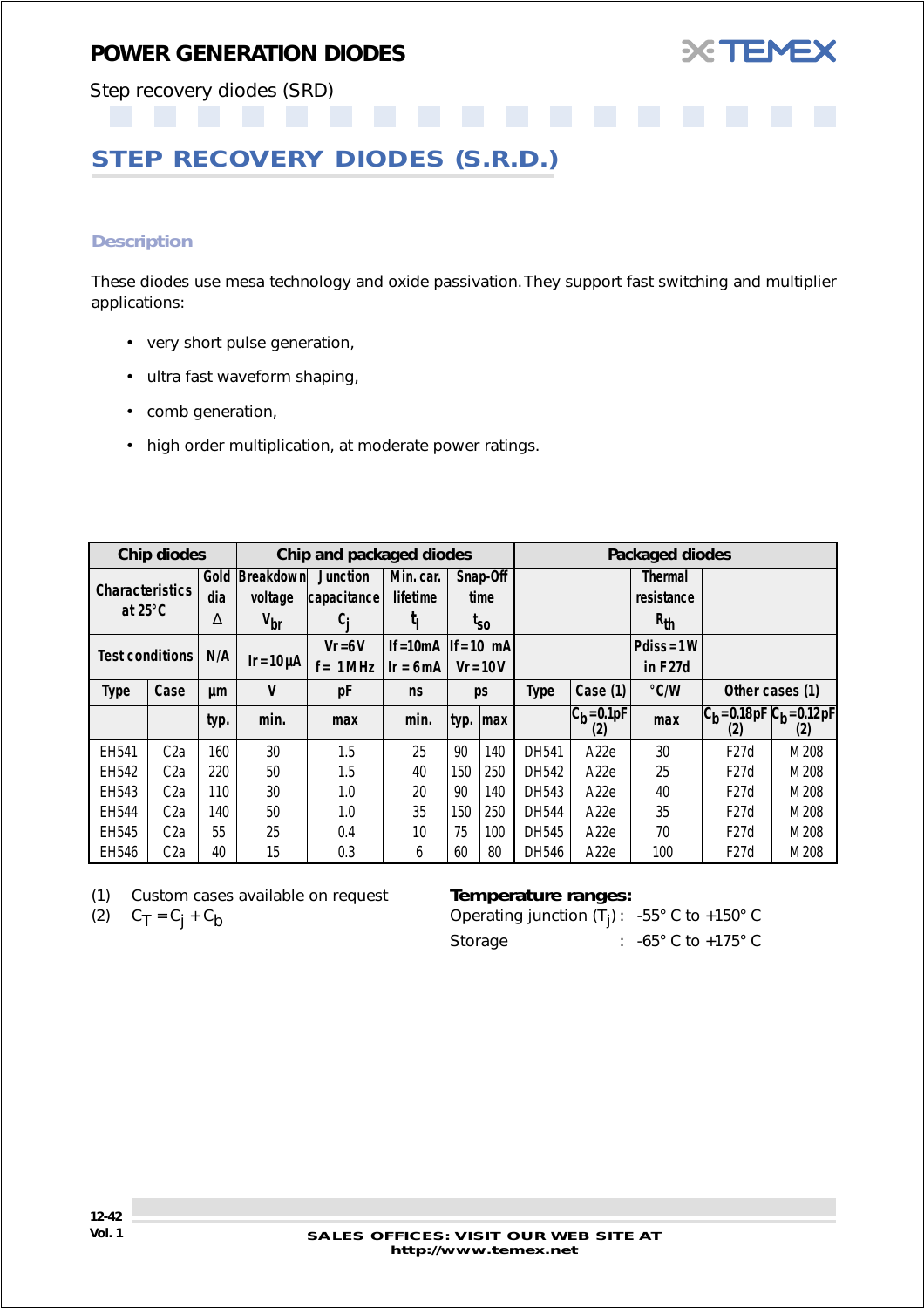

<span id="page-41-0"></span>Step recovery diodes (SRD)

## **STEP RECOVERY DIODES (S.R.D.)**

#### *Description*

These diodes use mesa technology and oxide passivation. They support fast switching and multiplier applications:

- very short pulse generation,
- ultra fast waveform shaping,
- comb generation,
- high order multiplication, at moderate power ratings.

|                        | Chip diodes      |      | Chip and packaged diodes |                 |                           |            |                 |       |                        | Packaged diodes |                                     |      |
|------------------------|------------------|------|--------------------------|-----------------|---------------------------|------------|-----------------|-------|------------------------|-----------------|-------------------------------------|------|
|                        |                  | Gold | Breakdown                | <b>Junction</b> | Min. car.                 |            | Snap-Off        |       |                        | <b>Thermal</b>  |                                     |      |
| <b>Characteristics</b> |                  | dia  | voltage                  | capacitance     | lifetime                  |            | time            |       |                        | resistance      |                                     |      |
| at $25^{\circ}$ C      |                  | Δ    | $V_{\text{br}}$          | C:              | կ                         |            | <sup>l</sup> so |       |                        | $R_{th}$        |                                     |      |
| <b>Test conditions</b> |                  | N/A  |                          | $Vr = 6V$       | If = 10 mA $ $ If = 10 mA |            |                 |       |                        | $P diss = 1 W$  |                                     |      |
|                        |                  |      | $Ir = 10 \mu A$          | 1 MHz<br>$f =$  | $Ir = 6mA$                | $Vr = 10V$ |                 |       |                        | in F27d         |                                     |      |
| <b>Type</b>            | Case             | μm   | V                        | pF              | <b>ns</b>                 | ps         |                 | Type  | Case (1)               | °C/W            | Other cases (1)                     |      |
|                        |                  | typ. | min.                     | max             | min.                      |            | typ. $ max$     |       | $ C_b = 0.1pF $<br>(2) | max             | $ C_h = 0.18pF C_h = 0.12pF$<br>(2) | (2)  |
| EH541                  | C <sub>2a</sub>  | 160  | 30                       | 1.5             | 25                        | 90         | 140             | DH541 | A <sub>22</sub> e      | 30              | F27d                                | M208 |
| EH542                  | C <sub>2a</sub>  | 220  | 50                       | 1.5             | 40                        | 150        | 250             | DH542 | A <sub>22e</sub>       | 25              | F27d                                | M208 |
| EH543                  | C <sub>2a</sub>  | 110  | 30                       | 1.0             | 20                        | 90         | 140             | DH543 | A <sub>22</sub> e      | 40              | F27d                                | M208 |
| EH544                  | C <sub>2a</sub>  | 140  | 50                       | 1.0             | 35                        | 150        | 250             | DH544 | A <sub>22e</sub>       | 35              | F27d                                | M208 |
| EH545                  | C <sub>2</sub> a | 55   | 25                       | 0.4             | 10                        | 75         | 100             | DH545 | A <sub>22</sub> e      | 70              | F27d                                | M208 |
| EH546                  | C <sub>2</sub> a | 40   | 15                       | 0.3             | 6                         | 60         | 80              | DH546 | A <sub>22</sub> e      | 100             | F27d                                | M208 |

(1) Custom cases available on request *Temperature ranges:*

(2)  $C_T = C_j + C_b$  Operating junction (T<sub>j</sub>):  $-55^{\circ}$  C to  $+150^{\circ}$  C Storage : -65° C to +175° C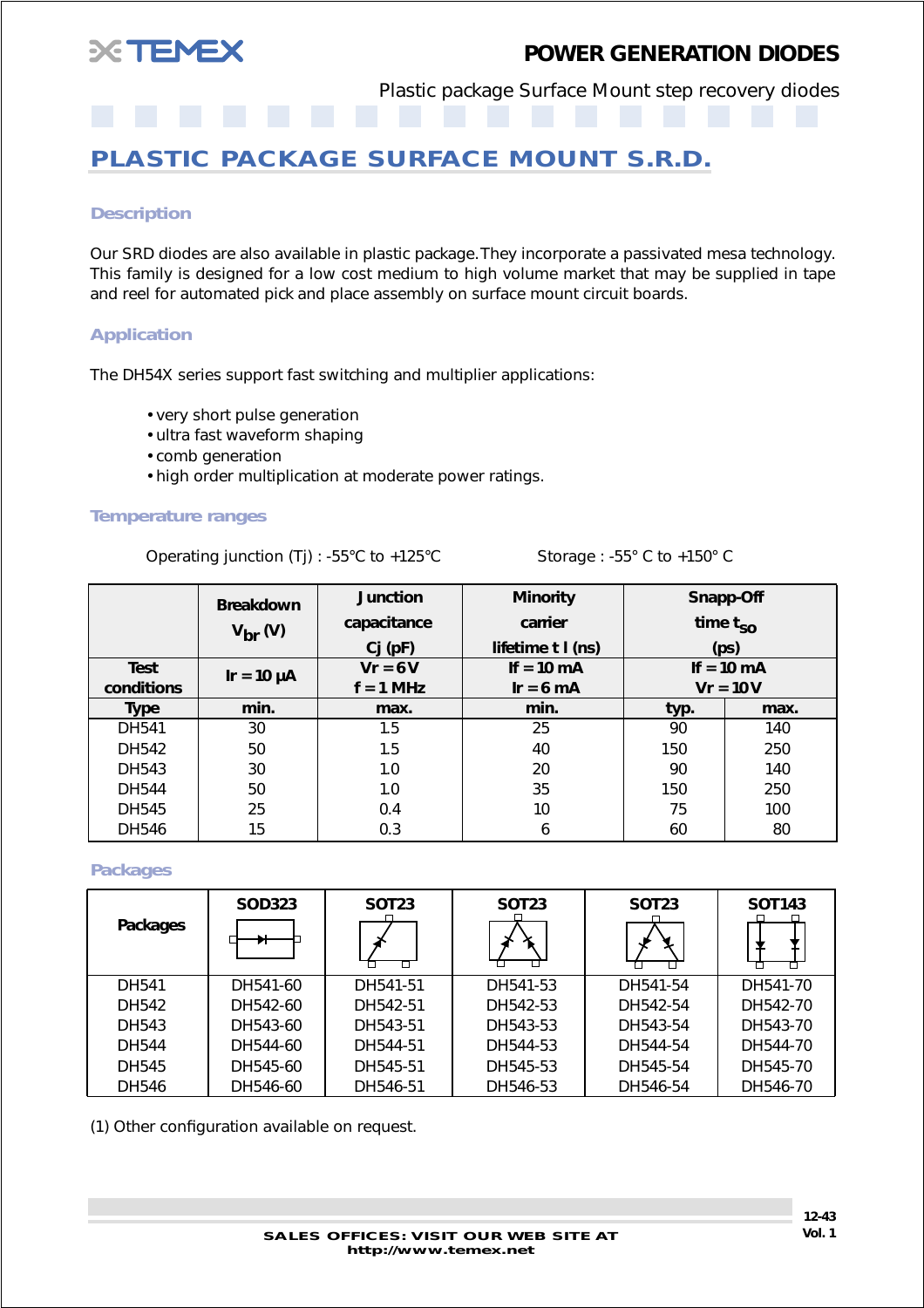<span id="page-42-0"></span>

Plastic package Surface Mount step recovery diodes

## **PLASTIC PACKAGE SURFACE MOUNT S.R.D.**

#### *Description*

Our SRD diodes are also available in plastic package. They incorporate a passivated mesa technology. This family is designed for a low cost medium to high volume market that may be supplied in tape and reel for automated pick and place assembly on surface mount circuit boards.

#### *Application*

The DH54X series support fast switching and multiplier applications:

- very short pulse generation
- ultra fast waveform shaping
- comb generation
- high order multiplication at moderate power ratings.

#### *Temperature ranges*

Operating junction (Tj) : -55°C to +125°C Storage : -55°C to +150°C

|              | <b>Junction</b><br><b>Breakdown</b><br>capacitance<br>$V_{\text{br}}(V)$ |             | <b>Minority</b><br>carrier | Snapp-Off<br>time $t_{SO}$ |                      |  |
|--------------|--------------------------------------------------------------------------|-------------|----------------------------|----------------------------|----------------------|--|
|              |                                                                          | $Cj$ (pF)   | lifetime $t$ $I$ (ns)      | (p <sub>S</sub> )          |                      |  |
| <b>Test</b>  | $Ir = 10 \mu A$                                                          | $Vr = 6V$   | If = $10 \text{ mA}$       |                            | If = $10 \text{ mA}$ |  |
| conditions   |                                                                          | $f = 1$ MHz | $Ir = 6 mA$                | $Vr = 10 V$                |                      |  |
| <b>Type</b>  | min.                                                                     | max.        | min.                       | typ.                       | max.                 |  |
| <b>DH541</b> | 30                                                                       | 1.5         | 25                         | 90                         | 140                  |  |
| DH542        | 50                                                                       | 1.5         | 40                         | 150                        | 250                  |  |
| DH543        | 30                                                                       | 1.0         | 20                         | 90                         | 140                  |  |
| <b>DH544</b> | 50                                                                       | 1.0         | 35                         | 150                        | 250                  |  |
| <b>DH545</b> | 25                                                                       | 0.4         | 10                         | 75                         | 100                  |  |
| <b>DH546</b> | 15                                                                       | 0.3         | 6                          | 60                         | 80                   |  |

#### *Packages*

| Packages | <b>SOD323</b> | <b>SOT23</b> | SOT <sub>23</sub> | SOT <sub>23</sub> | <b>SOT143</b> |
|----------|---------------|--------------|-------------------|-------------------|---------------|
| DH541    | DH541-60      | DH541-51     | DH541-53          | DH541-54          | DH541-70      |
| DH542    | DH542-60      | DH542-51     | DH542-53          | DH542-54          | DH542-70      |
| DH543    | DH543-60      | DH543-51     | DH543-53          | DH543-54          | DH543-70      |
| DH544    | DH544-60      | DH544-51     | DH544-53          | DH544-54          | DH544-70      |
| DH545    | DH545-60      | DH545-51     | DH545-53          | DH545-54          | DH545-70      |
| DH546    | DH546-60      | DH546-51     | DH546-53          | DH546-54          | DH546-70      |

(1) Other configuration available on request.

**SALES OFFICES: VISIT OUR WEB SITE AT Vol. 1 http://www.temex.net**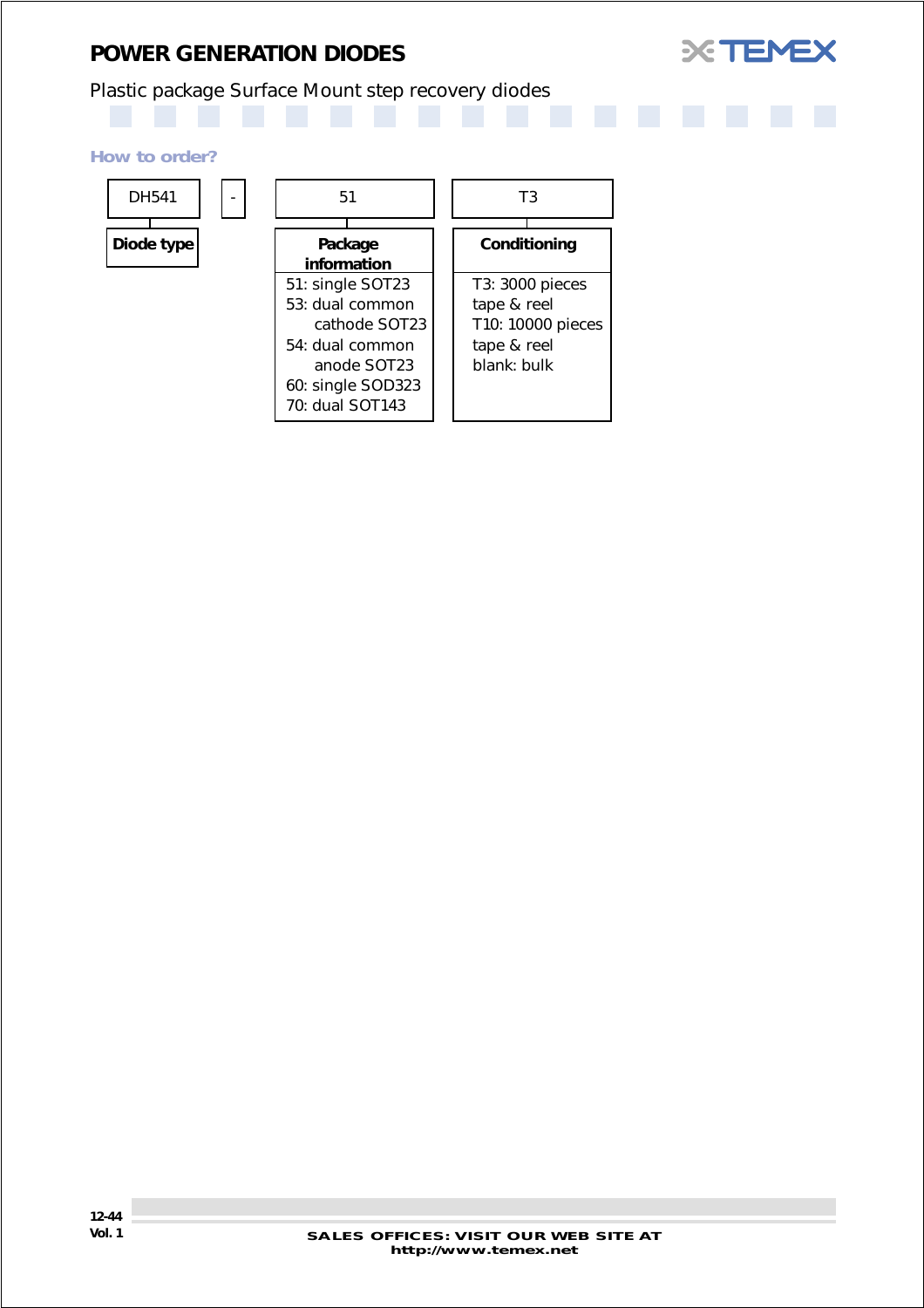## *POWER GENERATION DIODES*



## Plastic package Surface Mount step recovery diodes

#### *How to order?*

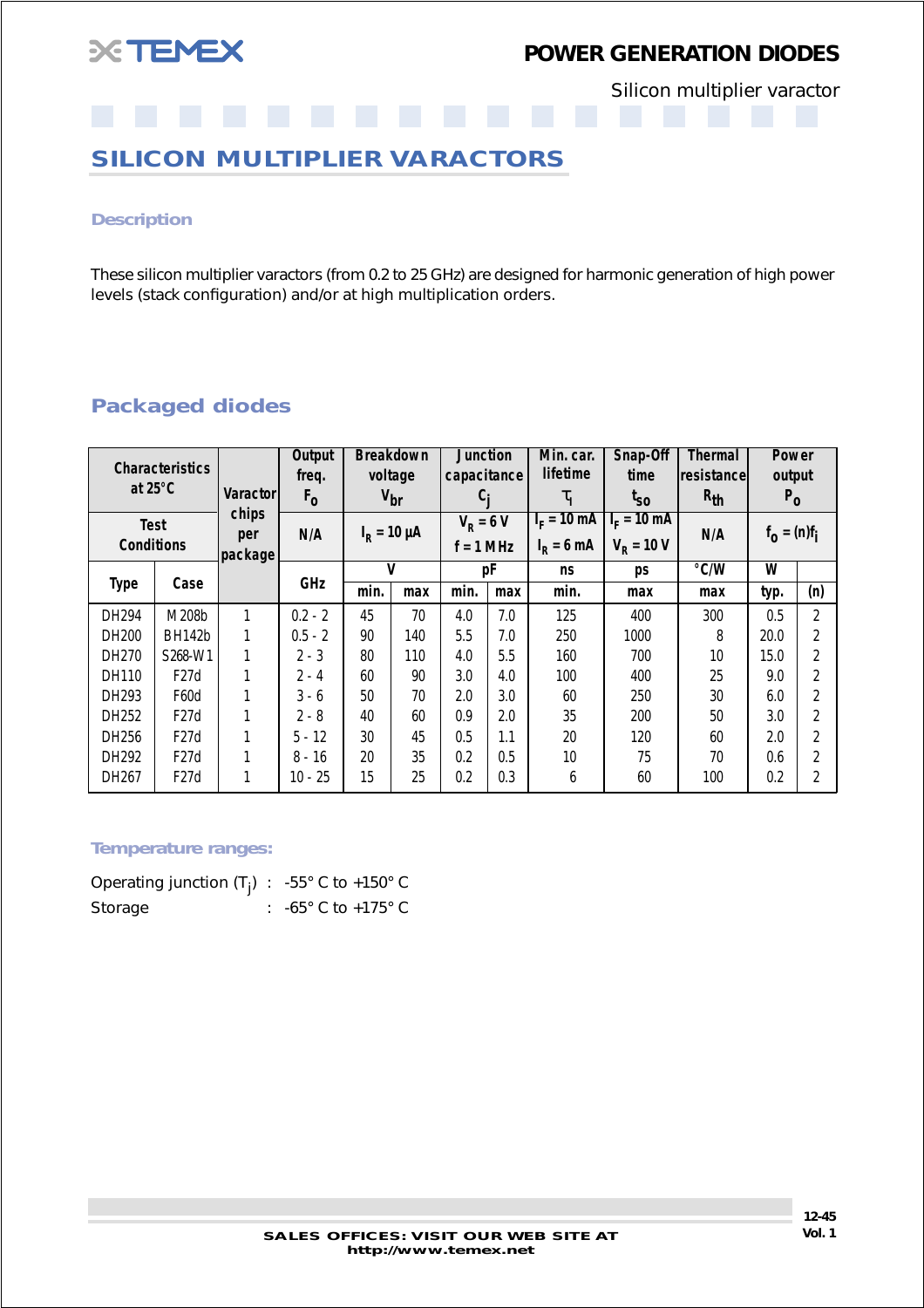<span id="page-44-0"></span>

## *POWER GENERATION DIODES*

Silicon multiplier varactor

## **SILICON MULTIPLIER VARACTORS**

#### *Description*

These silicon multiplier varactors (from 0.2 to 25 GHz) are designed for harmonic generation of high power levels (stack configuration) and/or at high multiplication orders.

### *Packaged diodes*

|                   | <b>Characteristics</b> |                 | Output    |                 | <b>Breakdown</b>    | <b>Junction</b> |             | Min. car.             | Snap-Off     | Thermal    | Power          |                |
|-------------------|------------------------|-----------------|-----------|-----------------|---------------------|-----------------|-------------|-----------------------|--------------|------------|----------------|----------------|
|                   |                        |                 | freq.     |                 | voltage             | capacitance     |             | <b>lifetime</b>       | time         | resistance | output         |                |
| at $25^{\circ}$ C |                        | <b>Varactor</b> | $F_{0}$   | $V_{\text{br}}$ |                     | C,              |             | $\tau_{\rm I}$        | $I_{SO}$     | $R_{th}$   | $P_0$          |                |
| <b>Test</b>       |                        | chips           | N/A       |                 | $I_{\rm R}$ = 10 µA |                 | $V_R = 6 V$ | $I_F = 10 \text{ mA}$ | $IF = 10 mA$ | N/A        |                |                |
| <b>Conditions</b> |                        | per<br>package  |           |                 |                     | $f = 1$ MHz     |             | $IR = 6 mA$           | $V_p = 10 V$ |            | $f_0 = (n)f_i$ |                |
|                   |                        |                 |           | V               |                     |                 | рF          | ns                    | ps           | °C/W       | W              |                |
| <b>Type</b>       | Case                   |                 | GHz       | min.            | max                 | min.            | max         | min.                  | max          | max        | typ.           | (n)            |
| DH294             | M208b                  |                 | $0.2 - 2$ | 45              | 70                  | 4.0             | 7.0         | 125                   | 400          | 300        | 0.5            | $\overline{2}$ |
| DH200             | <b>BH142b</b>          |                 | $0.5 - 2$ | 90              | 140                 | 5.5             | 7.0         | 250                   | 1000         | 8          | 20.0           | $\overline{2}$ |
| DH270             | S268-W1                |                 | $2 - 3$   | 80              | 110                 | 4.0             | 5.5         | 160                   | 700          | 10         | 15.0           | 2              |
| DH110             | F27d                   |                 | $2 - 4$   | 60              | 90                  | 3.0             | 4.0         | 100                   | 400          | 25         | 9.0            | 2              |
| DH293             | F60d                   |                 | $3 - 6$   | 50              | 70                  | 2.0             | 3.0         | 60                    | 250          | 30         | 6.0            | $\overline{2}$ |
| DH252             | F27d                   |                 | $2 - 8$   | 40              | 60                  | 0.9             | 2.0         | 35                    | 200          | 50         | 3.0            | $\mathfrak{p}$ |
| DH256             | F27d                   |                 | $5 - 12$  | 30              | 45                  | 0.5             | 1.1         | 20                    | 120          | 60         | 2.0            | 2              |
| DH292             | F27d                   |                 | $8 - 16$  | 20              | 35                  | 0.2             | 0.5         | 10                    | 75           | 70         | 0.6            | $\overline{2}$ |
| DH267             | F27d                   |                 | 10 - 25   | 15              | 25                  | 0.2             | 0.3         | 6                     | 60           | 100        | 0.2            | 2              |

#### *Temperature ranges:*

| Operating junction $(T_i)$ : -55° C to +150° C |                                       |
|------------------------------------------------|---------------------------------------|
| Storage                                        | : $-65^{\circ}$ C to $+175^{\circ}$ C |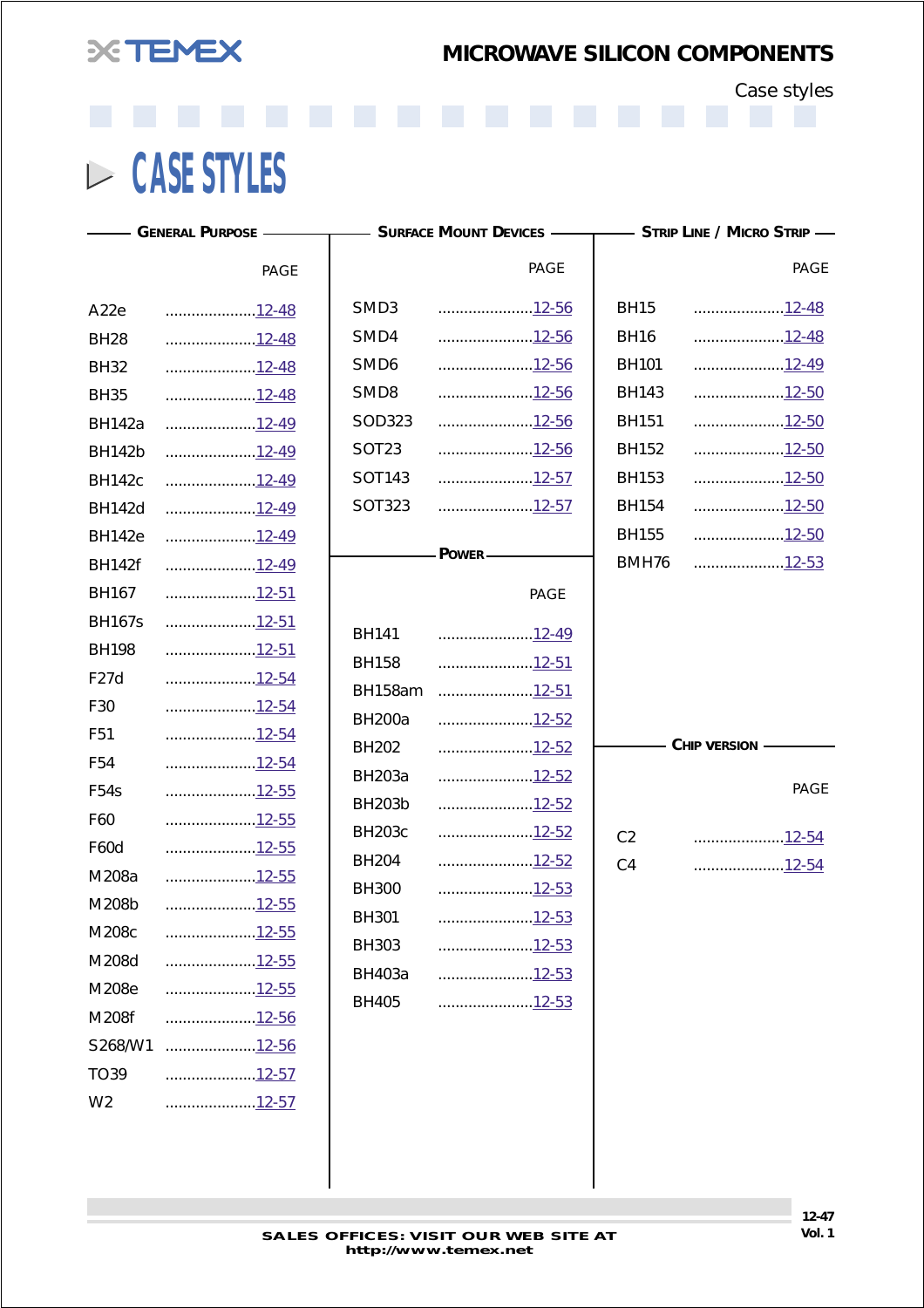<span id="page-45-0"></span>

Case styles

**CASE STYLES**

S268/W1 .....................12-56 TO39 ....................[.12-57](#page-55-0) W2 .....................12-57

|                   | - General Purpose ————————— Surface Mount Devices ——————— Strip Line / Micro Strip — |                   |                       |                |                |
|-------------------|--------------------------------------------------------------------------------------|-------------------|-----------------------|----------------|----------------|
|                   | <b>PAGE</b>                                                                          |                   | <b>PAGE</b>           |                | <b>PAGE</b>    |
| A <sub>22e</sub>  | 12-48                                                                                | SMD <sub>3</sub>  | 12-56                 | <b>BH15</b>    | <u>12-48</u>   |
| <b>BH28</b>       | 12-48                                                                                | SMD4              | 12-56                 | <b>BH16</b>    | <u>12-48</u>   |
| <b>BH32</b>       | 12-48                                                                                | SMD <sub>6</sub>  | 12-56                 | <b>BH101</b>   | 12-49          |
| <b>BH35</b>       | 12-48                                                                                | SMD8              | 12-56                 | <b>BH143</b>   | 12-50          |
| <b>BH142a</b>     | 12-49                                                                                | SOD323            | 12-56                 | <b>BH151</b>   | 12-50          |
| <b>BH142b</b>     | 12-49                                                                                | SOT <sub>23</sub> | 12-56                 | <b>BH152</b>   | 12-50          |
| <b>BH142c</b>     | 12-49                                                                                | SOT143            | 12-57                 | <b>BH153</b>   | 12-50          |
| <b>BH142d</b>     | 12-49                                                                                | SOT323            | 12-57                 | <b>BH154</b>   | 12-50          |
| <b>BH142e</b>     | 12-49                                                                                |                   |                       | <b>BH155</b>   | 12-50          |
| <b>BH142f</b>     | 12-49                                                                                |                   | - POWER-              | BMH76          | 12-53          |
| <b>BH167</b>      | 12-51                                                                                |                   | <b>PAGE</b>           |                |                |
| <b>BH167s</b>     | 12-51                                                                                | <b>BH141</b>      | 12-49                 |                |                |
| <b>BH198</b>      | 12-51                                                                                | <b>BH158</b>      | 12-51                 |                |                |
| F27d              | 12-54                                                                                | BH158am           | 12-51                 |                |                |
| F30               | 12-54                                                                                | <b>BH200a</b>     | 12-52                 |                |                |
| F <sub>51</sub>   | 12-54                                                                                | <b>BH202</b>      | 12-52                 |                | CHIP VERSION - |
| F <sub>54</sub>   | 12-54                                                                                | <b>BH203a</b>     | 12-52                 |                |                |
| F <sub>54</sub> s | 12-55                                                                                | <b>BH203b</b>     | 12-52                 |                | <b>PAGE</b>    |
| F60               | 12-55                                                                                | <b>BH203c</b>     | 12-52                 |                |                |
| F60d              | 12-55                                                                                | <b>BH204</b>      | 12-52                 | C <sub>2</sub> | 12-54          |
| M208a             | 12-55                                                                                | <b>BH300</b>      | 12-53                 | C <sub>4</sub> | 12-54          |
| M208b             | <u>12-55</u>                                                                         | <b>BH301</b>      | $\ldots$ <u>12-53</u> |                |                |
| M208c             | <u>12-55</u>                                                                         | BH303             | <u>12-53</u>          |                |                |
| M208d             | 12-55                                                                                | <b>BH403a</b>     | <u>12-53</u>          |                |                |
| M208e             | $\ldots$                                                                             | <b>BH405</b>      | 12-53                 |                |                |
| M208f             | <u>12-56</u>                                                                         |                   |                       |                |                |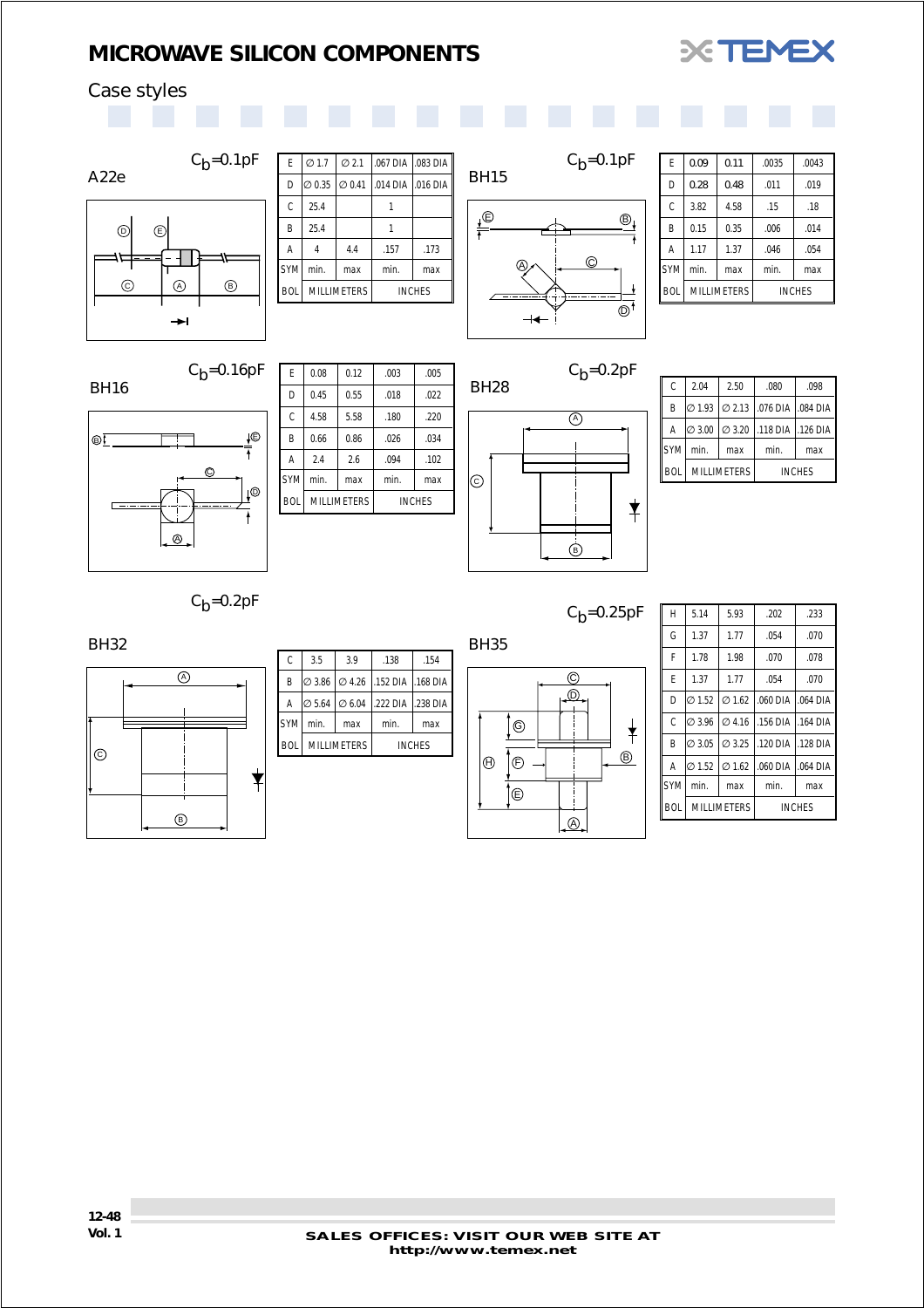

## <span id="page-46-0"></span>Case styles





| F          | 0.08 | 0.12                                | .003 | .005 |
|------------|------|-------------------------------------|------|------|
| D          | 0.45 | 0.55                                | .018 | .022 |
| Ċ          | 4.58 | 5.58                                | .180 | .220 |
| B          | 0.66 | 0.86                                | .026 | .034 |
| Α          | 2.4  | 2.6                                 | .094 | .102 |
| <b>SYM</b> | min. | max                                 | min. | max  |
| <b>BOL</b> |      | <b>MILLIMETERS</b><br><b>INCHES</b> |      |      |



| C          | 2.04               | 2.50               | .080                       | .098          |
|------------|--------------------|--------------------|----------------------------|---------------|
| B          | $\varnothing$ 1.93 |                    | Ø 2.13 1.076 DIA 1.084 DIA |               |
| Α          | $\varnothing$ 3.00 | $\varnothing$ 3.20 | 118 DIA   126 DIA          |               |
| <b>SYM</b> | min.               | max                | min.                       | max           |
| <b>BOI</b> | <b>MILLIMETERS</b> |                    |                            | <b>INCHES</b> |

 $C_b = 0.2pF$ 

BH32



| C          | 3.5                                   | 3.9                | .138                                                    | .154          |
|------------|---------------------------------------|--------------------|---------------------------------------------------------|---------------|
| B          |                                       |                    | $\varnothing$ 3.86 $\varnothing$ 4.26 .152 DIA .168 DIA |               |
| Α          | $\varnothing$ 5.64 $\varnothing$ 6.04 |                    | .222 DIA .238 DIA                                       |               |
| <b>SYM</b> | min.                                  | max                | min.                                                    | max           |
| <b>BOL</b> |                                       | <b>MILLIMETERS</b> |                                                         | <b>INCHES</b> |

 $C_b = 0.25pF$ 



| H          | 5.14               | 5.93               | .202               | .233            |
|------------|--------------------|--------------------|--------------------|-----------------|
| G          | 1.37               | 1.77               | .054               | .070            |
| F          | 1.78               | 1.98               | .070               | .078            |
| F          | 1.37               | 1.77               | .054               | .070            |
| D          | $\varnothing$ 1.52 | $\emptyset$ 1.62   | .060 DIA 1.064 DIA |                 |
| Ċ          | $\varnothing$ 3.96 | $\varnothing$ 4.16 | .156 DIA           | .164 DIA        |
| B          | $\varnothing$ 3.05 | Ø 3.25             | .120 DIA           | <b>.128 DIA</b> |
| A          | $\varnothing$ 1.52 | $\varnothing$ 1.62 | .060 DIA           | .064 DIA        |
| <b>SYM</b> | min.               | max                | min.               | max             |
| <b>BOI</b> | <b>MILLIMETERS</b> |                    |                    | <b>INCHES</b>   |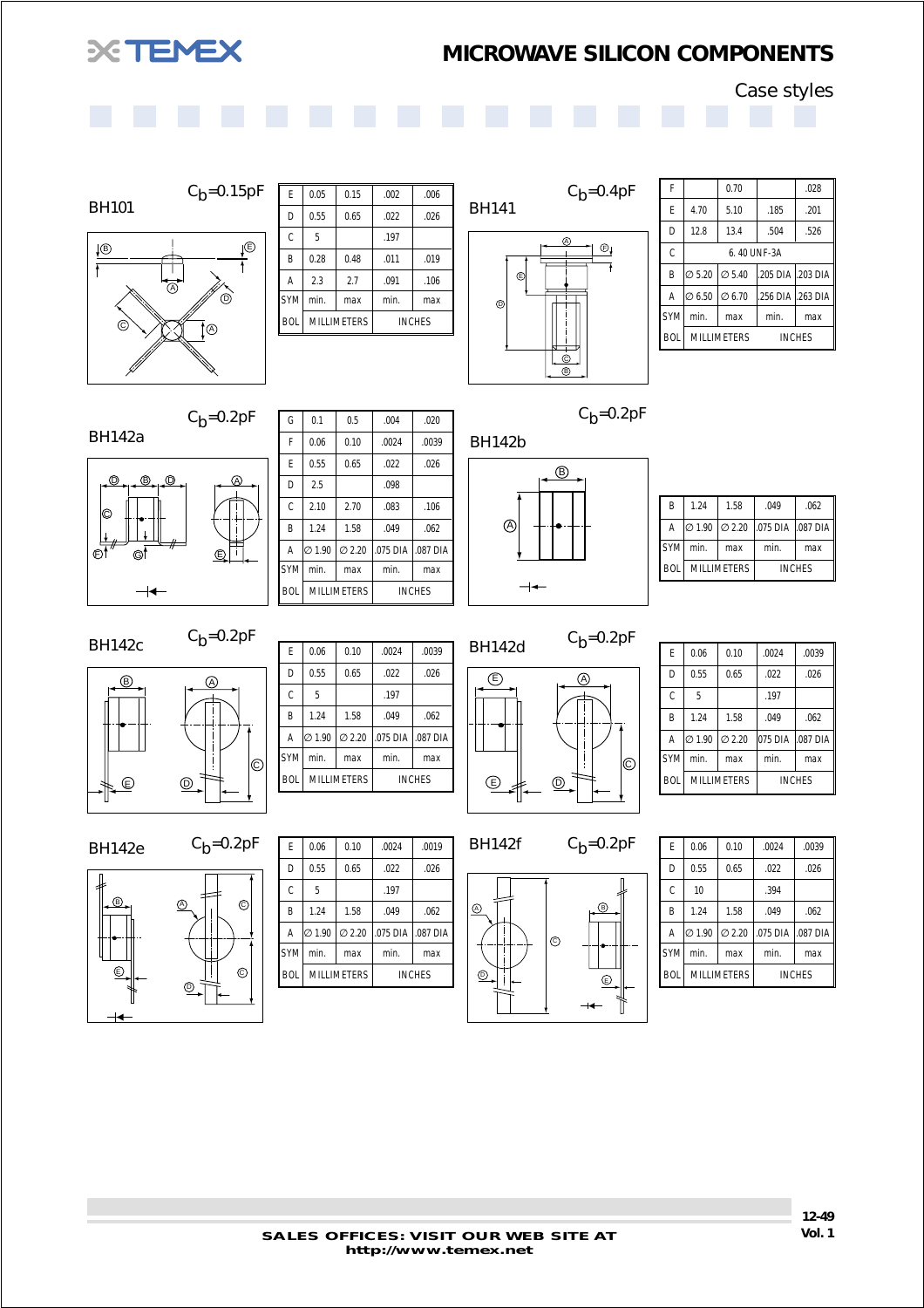<span id="page-47-0"></span>

Case styles



BH101



 $C_b = 0.15pF$ 

 $C_b = 0.2pF$ 

| E             | 0.05 | 0.15               | .002 | .006          |
|---------------|------|--------------------|------|---------------|
| D             | 0.55 | 0.65               | .022 | .026          |
| $\mathcal{C}$ | 5    |                    | .197 |               |
| B             | 0.28 | 0.48               | .011 | .019          |
| A             | 2.3  | 2.7                | .091 | .106          |
| syml          | min. | max                | min. | max           |
| <b>BOL</b>    |      | <b>MILLIMETERS</b> |      | <b>INCHES</b> |
|               |      |                    |      |               |



| F            |                    | 0.70               |      | .028              |  |  |
|--------------|--------------------|--------------------|------|-------------------|--|--|
| E            | 4.70               | 5.10               | .185 | .201              |  |  |
| D            | 12.8               | 13.4               | .504 | .526              |  |  |
| $\mathsf{C}$ |                    | 6.40 UNF-3A        |      |                   |  |  |
| B            | $\varnothing$ 5.20 | $\varnothing$ 5.40 |      | .205 DIA .203 DIA |  |  |
| A            | $\varnothing$ 6.50 | Ø 6.70             |      | .256 DIA .263 DIA |  |  |
| lsym         | min.               | max                | min. | max               |  |  |
| <b>BOL</b>   |                    | <b>MILLIMETERS</b> |      | <b>INCHES</b>     |  |  |



| G          | 0.1     | 0.5                | .004     | .020          |
|------------|---------|--------------------|----------|---------------|
| F          | 0.06    | 0.10               | .0024    | .0039         |
| F          | 0.55    | 0.65               | .022     | .026          |
| D          | 2.5     |                    | .098     |               |
| Ċ          | 2.10    | 2.70               | .083     | .106          |
| B          | 1.24    | 1.58               | .049     | .062          |
| A          | l∅ 1.90 | $\varnothing$ 2.20 | .075 DIA | .087 DIA      |
| <b>SYM</b> | min.    | max                | min.     | max           |
| <b>BOL</b> |         | <b>MILLIMETERS</b> |          | <b>INCHES</b> |

 $C_b = 0.2pF$ 



| B          | 1 24 | 1.58               | .049                          | .062          |
|------------|------|--------------------|-------------------------------|---------------|
| Α          |      |                    | 2 1.90 2.20 .075 DIA .087 DIA |               |
| <b>SYM</b> | min. | max                | min.                          | max           |
| <b>BOL</b> |      | <b>MILLIMETERS</b> |                               | <b>INCHES</b> |
|            |      |                    |                               |               |

BH142c  $C_b=0.2pF$ 

 $\circledR$  $\circledcirc$ A  $\overline{C}$ 

| F          |                    |                    |          |               |
|------------|--------------------|--------------------|----------|---------------|
|            | 0.06               | 0.10               | .0024    | .0039         |
| D          | 0.55               | 0.65               | .022     | .026          |
| Ċ          | 5                  |                    | .197     |               |
| B          | 1.24               | 1.58               | .049     | .062          |
| A          | $\varnothing$ 1.90 | Q2.20              | .075 DIA | .087 DIA      |
| <b>SYM</b> | min.               | max                | min.     | max           |
| <b>BOL</b> |                    | <b>MILLIMETERS</b> |          | <b>INCHES</b> |



| F          | 0.06               | 0.10               | .0024   | .0039         |
|------------|--------------------|--------------------|---------|---------------|
| D          | 0.55               | 0.65               | .022    | .026          |
| Ċ          | 5                  |                    | .197    |               |
| B          | 1.24               | 1.58               | .049    | .062          |
| A          | l∅ 1.90            | $\varnothing$ 2.20 | 075 DIA | .087 DIA      |
| <b>SYM</b> | min.               | max                | min.    | max           |
| <b>BOL</b> | <b>MILLIMETERS</b> |                    |         | <b>INCHES</b> |

BH142e  $C_b=0.2pF$ 



| E          | 0.06               | 0.10  | .0024              | .0019         |
|------------|--------------------|-------|--------------------|---------------|
| D          | 0.55               | 0.65  | .022               | .026          |
| Ċ          | 5                  |       | .197               |               |
| B          | 1.24               | 1.58  | .049               | .062          |
| A          | $\varnothing$ 1.90 | Q2.20 | .075 DIA 1.087 DIA |               |
| <b>SYM</b> | min.               | max   | min.               | max           |
| <b>BOL</b> | <b>MILLIMETERS</b> |       |                    | <b>INCHES</b> |
|            |                    |       |                    |               |

BH142f  $C_b=0.2pF$ 



| F          | 0.06               | 0.10  | .0024    | .0039         |
|------------|--------------------|-------|----------|---------------|
| D          | 0.55               | 0.65  | .022     | .026          |
| Ċ          | 10                 |       | .394     |               |
| B          | 1.24               | 1.58  | .049     | .062          |
| A          | $\varnothing$ 1.90 | Q2.20 | .075 DIA | .087 DIA      |
| <b>SYM</b> | min.               | max   | min.     | max           |
| <b>BOL</b> | <b>MILLIMETERS</b> |       |          | <b>INCHES</b> |
|            |                    |       |          |               |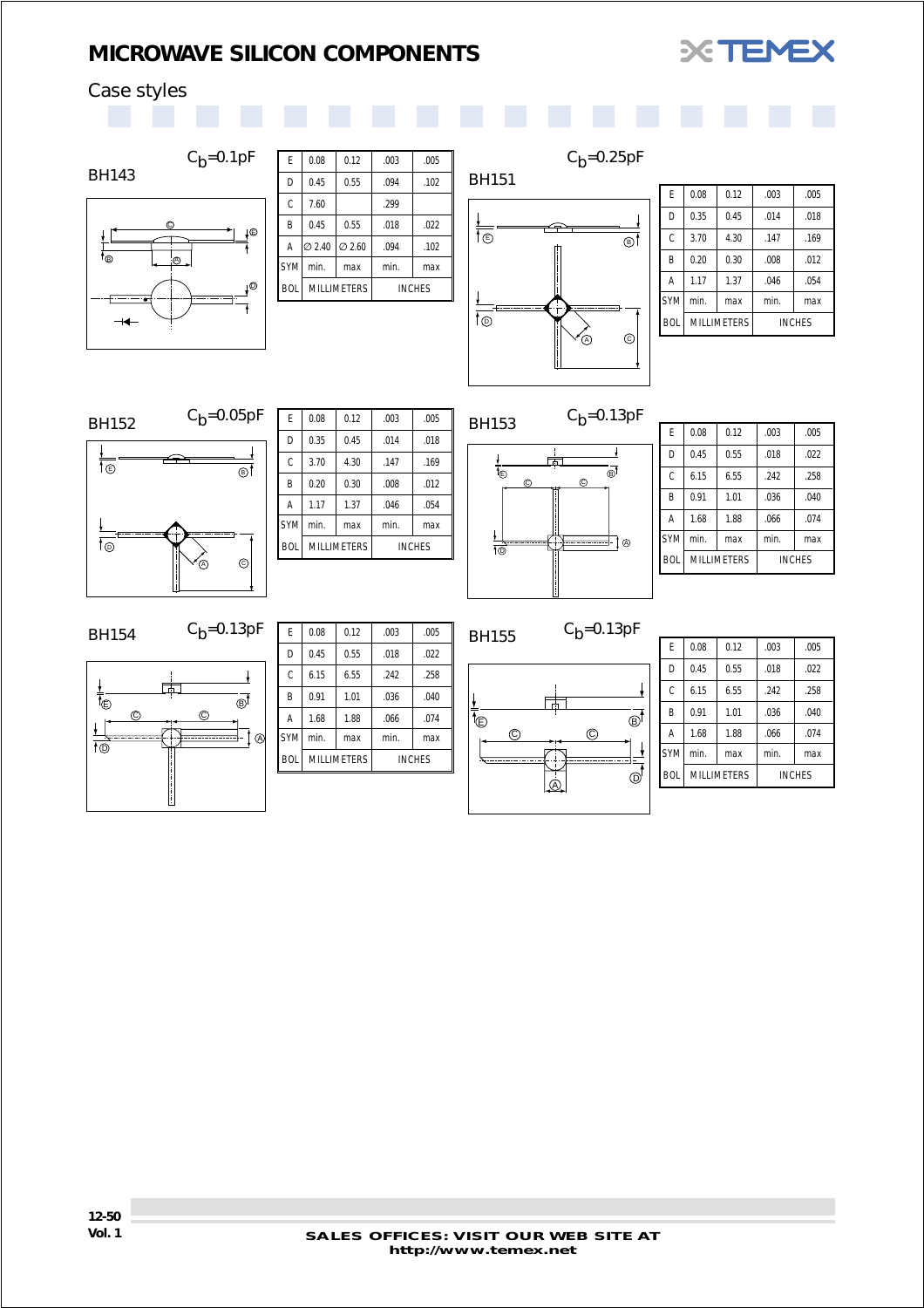

## <span id="page-48-0"></span>Case styles



| E          | 0.08               | 0.12               | .003 | .005          |
|------------|--------------------|--------------------|------|---------------|
| D          | 0.45               | 0.55               | .094 | .102          |
| C          | 7.60               |                    | .299 |               |
| B          | 0.45               | 0.55               | .018 | .022          |
| Α          | l∅ 2.40            | $\varnothing$ 2.60 | .094 | .102          |
| <b>SYM</b> | min.               | max                | min. | max           |
| <b>BOL</b> | <b>MILLIMETERS</b> |                    |      | <b>INCHES</b> |
|            |                    |                    |      |               |
|            |                    |                    |      |               |



 $C_b = 0.25pF$ 

| F          | 0.08               | 0.12 | .003 | .005          |
|------------|--------------------|------|------|---------------|
| D          | 0.35               | 0.45 | .014 | .018          |
| Ċ          | 3.70               | 4.30 | .147 | .169          |
| B          | 0.20               | 0.30 | .008 | .012          |
| A          | 1.17               | 1.37 | .046 | .054          |
| <b>SYM</b> | min.               | max  | min. | max           |
| <b>BOL</b> | <b>MILLIMETERS</b> |      |      | <b>INCHES</b> |



| E<br>0.08<br>0.12<br>.005<br>.003<br>0.35<br>D<br>0.45<br>.018<br>.014<br>C<br>3.70<br>4.30<br>.169<br>.147<br>B<br>0.20<br>.012<br>0.30<br>.008<br>1.37<br>.054<br>1.17<br>A<br>.046<br><b>SYM</b><br>min.<br>min.<br>max<br>max<br><b>BOL</b><br><b>MILLIMETERS</b><br><b>INCHES</b> |  |  |  |
|----------------------------------------------------------------------------------------------------------------------------------------------------------------------------------------------------------------------------------------------------------------------------------------|--|--|--|
|                                                                                                                                                                                                                                                                                        |  |  |  |
|                                                                                                                                                                                                                                                                                        |  |  |  |
|                                                                                                                                                                                                                                                                                        |  |  |  |
|                                                                                                                                                                                                                                                                                        |  |  |  |
|                                                                                                                                                                                                                                                                                        |  |  |  |
|                                                                                                                                                                                                                                                                                        |  |  |  |
|                                                                                                                                                                                                                                                                                        |  |  |  |
|                                                                                                                                                                                                                                                                                        |  |  |  |



| F          | 0.08               | 0.12 | .003 | .005          |
|------------|--------------------|------|------|---------------|
| D          | 0.45               | 0.55 | .018 | .022          |
| Ċ          | 6.15               | 6.55 | .242 | .258          |
| B          | 0.91               | 1.01 | .036 | .040          |
| A          | 1.68               | 1.88 | .066 | .074          |
| <b>SYM</b> | min.               | max  | min. | max           |
| <b>BOL</b> | <b>MILLIMETERS</b> |      |      | <b>INCHES</b> |

## BH154  $C_b=0.13pF$



| 0.08               | 0.12 | .003 | .005          |
|--------------------|------|------|---------------|
| 0.45               | 0.55 | .018 | .022          |
| 6.15               | 6.55 | .242 | .258          |
| 0.91               | 1.01 | .036 | .040          |
| 1.68               | 1.88 | .066 | .074          |
| min.               | max  | min. | max           |
| <b>MILLIMETERS</b> |      |      | <b>INCHES</b> |
|                    |      |      |               |

## BH155  $C_b=0.13pF$



| F          | 0.08               | 0.12 | .003 | .005          |
|------------|--------------------|------|------|---------------|
| D          | 0.45               | 0.55 | .018 | .022          |
| C          | 6.15               | 6.55 | .242 | .258          |
| B          | 0.91               | 1.01 | .036 | .040          |
| A          | 1.68               | 1.88 | .066 | .074          |
| <b>SYM</b> | min.               | max  | min. | max           |
| <b>BOL</b> | <b>MILLIMETERS</b> |      |      | <b>INCHES</b> |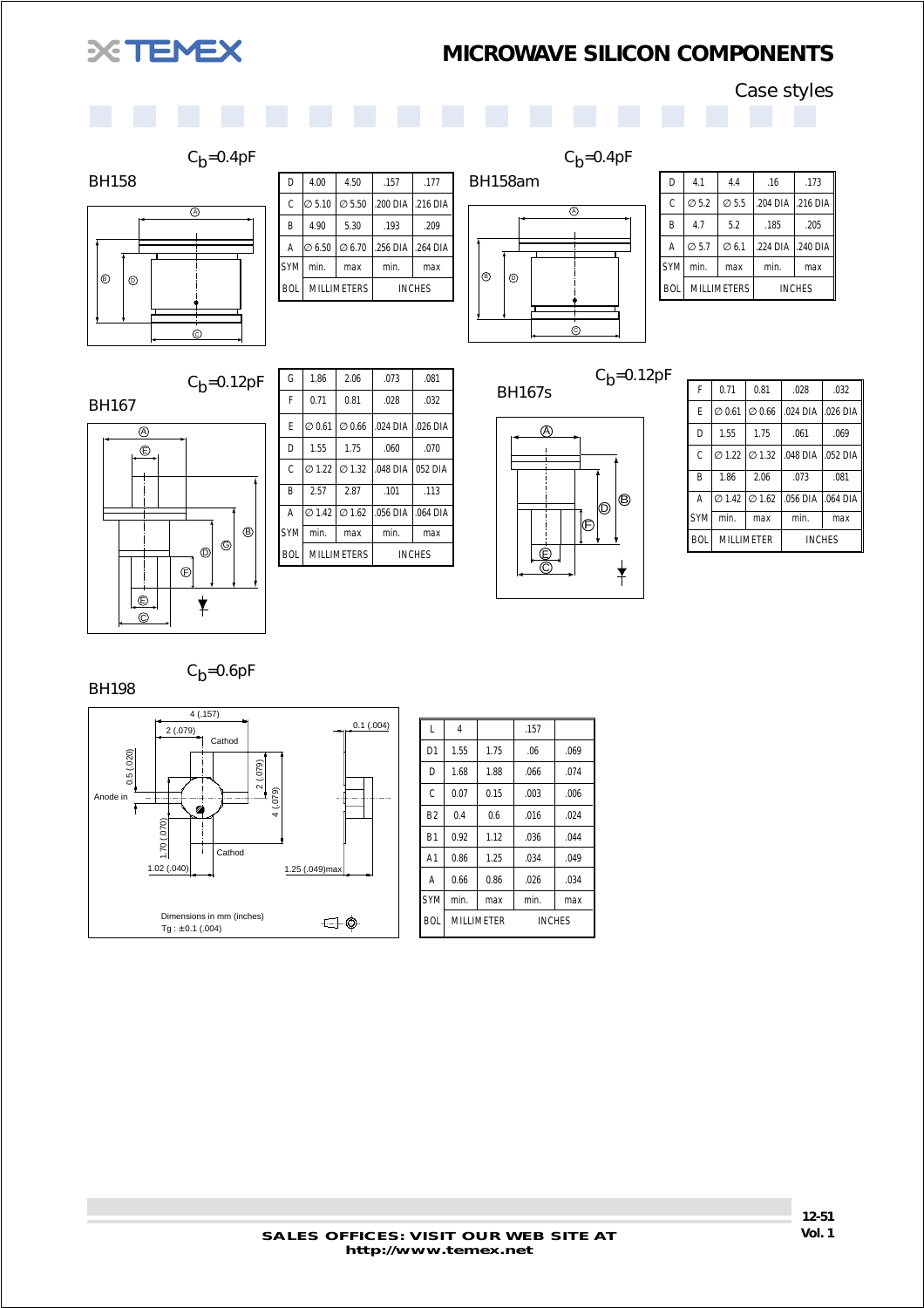<span id="page-49-0"></span>

 $\overline{\circledcirc}$ 

 $C_b = 0.4pF$ 

 $\odot$ 

 $C_b = 0.12pF$ 

## *MICROWAVE SILICON COMPONENTS*

Case styles



 $C_b = 0.4pF$ 



| D          | 4.1                | 4.4               | .16               | .173          |
|------------|--------------------|-------------------|-------------------|---------------|
| Ċ          | $\varnothing$ 5.2  | $\varnothing$ 5.5 | .204 DIA .216 DIA |               |
| B          | 4.7                | 5.2               | .185              | .205          |
| A          | $\varnothing$ 5.7  | $\varnothing$ 6.1 | .224 DIA          | .240 DIA      |
| <b>SYM</b> | min.               | max               | min.              | max           |
| <b>BOI</b> | <b>MILLIMETERS</b> |                   |                   | <b>INCHES</b> |

 $\circ$  0

BH158



| G          | 1.86                                  | 2.06                                  | .073               | .081          |
|------------|---------------------------------------|---------------------------------------|--------------------|---------------|
| F          | 0.71                                  | 0.81                                  | .028               | .032          |
| F          | $\varnothing$ 0.61                    | $\varnothing$ 0.66                    | .024 DIA 1.026 DIA |               |
| D          | 1.55                                  | 1.75                                  | .060               | .070          |
| Ċ.         |                                       | $\varnothing$ 1.22 $\varnothing$ 1.32 | .048 DIA 052 DIA   |               |
| R          | 2.57                                  | 2.87                                  | .101               | .113          |
| A          | $\varnothing$ 1.42 $\varnothing$ 1.62 |                                       | 056 DIA 1.064 DIA  |               |
| <b>SYM</b> | min.                                  | max                                   | min.               | max           |
| <b>BOI</b> | <b>MILLIMETERS</b>                    |                                       |                    | <b>INCHES</b> |

D 4.00 4.50 .157 .177  $C \big| \varnothing 5.10 \big| \varnothing 5.50 \big| .200 \text{ DIA} \big| .216 \text{ DIA}$  $\begin{array}{|c|c|c|c|c|c|c|c|c|} \hline \text{B} & 4.90 & 5.30 & .193 & .209 \hline \end{array}$ A  $\varnothing$  6.50  $\varnothing$  6.70 .256 DIA .264 DIA  $\vert$  SYM $\vert$  min.  $\vert$  max  $\vert$  min.  $\vert$  max BOL MILLIMETERS NICHES

 $C_b = 0.12pF$ 



| F          | 0.71               | 0.81                                  | .028               | .032          |
|------------|--------------------|---------------------------------------|--------------------|---------------|
| F          | $\varnothing$ 0.61 | $\varnothing$ 0.66                    | .024 DIA 1.026 DIA |               |
| D          | 1.55               | 1.75                                  | .061               | .069          |
| Ċ          |                    | Ø 1.22 Ø 1.32                         | .048 DIA .052 DIA  |               |
| B          | 1.86               | 2.06                                  | .073               | .081          |
| A          |                    | $\varnothing$ 1.42 $\varnothing$ 1.62 | .056 DIA .064 DIA  |               |
| <b>SYM</b> | min.               | max                                   | min.               | max           |
| <b>BOI</b> | MILLIMETER         |                                       |                    | <b>INCHES</b> |

 $C_h = 0.6pF$ 

BH198



| L              | 4                 |      | .157 |               |
|----------------|-------------------|------|------|---------------|
| D <sub>1</sub> | 1.55              | 1.75 | .06  | .069          |
| D              | 1.68              | 1.88 | .066 | .074          |
| C              | 0.07              | 0.15 | .003 | .006          |
| B <sub>2</sub> | 0.4               | 0.6  | .016 | .024          |
| B <sub>1</sub> | 0.92              | 1.12 | .036 | .044          |
| A <sub>1</sub> | 0.86              | 1.25 | .034 | .049          |
| Α              | 0.66              | 0.86 | .026 | .034          |
| <b>SYM</b>     | min.              | max  | min. | max           |
| <b>BOL</b>     | <b>MILLIMETER</b> |      |      | <b>INCHES</b> |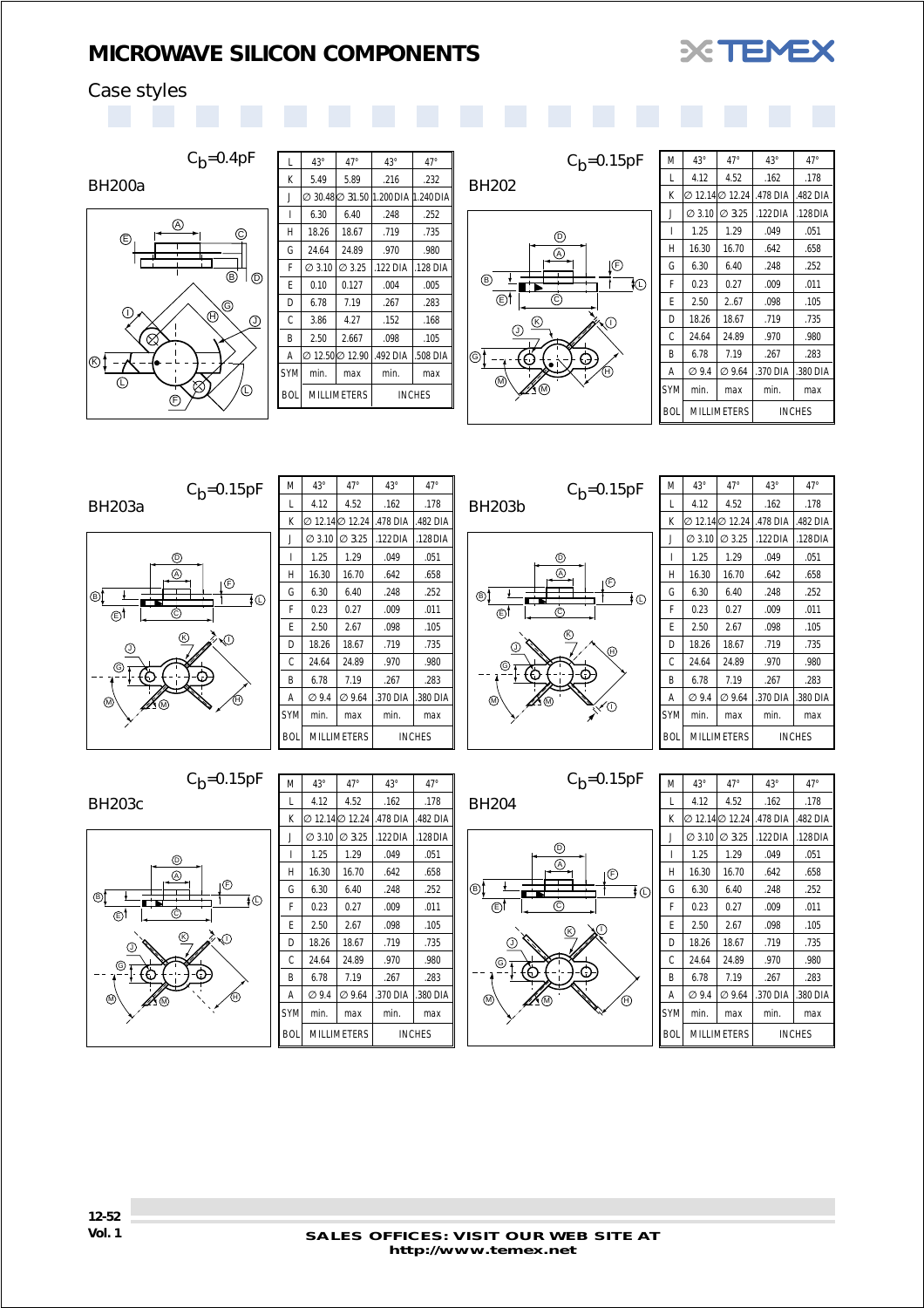

## <span id="page-50-0"></span>Case styles



BH200a



 $C_b = 0.4pF$ 

| L          | $43^\circ$         | $47^\circ$         | $43^{\circ}$                             | $47^\circ$    |
|------------|--------------------|--------------------|------------------------------------------|---------------|
| K          | 5.49               | 5.89               | .216                                     | .232          |
| J          |                    |                    | ∅ 30.48  ∅ 31.50   1.200 DIA   1.240 DIA |               |
| I          | 6.30               | 6.40               | .248                                     | .252          |
| H          | 18.26              | 18.67              | .719                                     | .735          |
| G          | 24.64              | 24.89              | .970                                     | .980          |
| F          | $\varnothing$ 3.10 | Ø 3.25             | .122 DIA                                 | .128 DIA      |
| F          | 0.10               | 0.127              | .004                                     | .005          |
| D          | 6.78               | 7.19               | .267                                     | .283          |
| Ċ          | 3.86               | 4.27               | .152                                     | .168          |
| B          | 2.50               | 2.667              | .098                                     | .105          |
| Α          | 1⊘ 12.501⊘ 12.90   |                    | .492 DIA                                 | .508 DIA      |
| <b>SYM</b> | min.               | max                | min.                                     | max           |
| <b>BOL</b> |                    | <b>MILLIMETERS</b> |                                          | <b>INCHES</b> |



| M          | $43^{\circ}$       | $47^\circ$         | $43^{\circ}$ | $47^\circ$    |
|------------|--------------------|--------------------|--------------|---------------|
| L          | 4.12               | 4.52               | .162         | .178          |
| K          | ⊘ 12.14 ⊘ 12.24    |                    | .478 DIA     | .482 DIA      |
| J          | $\varnothing$ 3.10 | $\varnothing$ 3.25 | $.122$ DIA   | $.128$ DIA    |
| ı          | 1.25               | 1.29               | .049         | .051          |
| Н          | 16.30              | 16.70              | .642         | .658          |
| G          | 6.30               | 6.40               | .248         | .252          |
| F          | 0.23               | 0.27               | .009         | .011          |
| F          | 2.50               | 2.67               | .098         | .105          |
| D          | 18.26              | 18.67              | .719         | .735          |
| C          | 24.64              | 24.89              | .970         | .980          |
| B          | 6.78               | 7.19               | .267         | .283          |
| Α          | Ø 9.4              | Ø 9.64             | .370 DIA     | 380 DIA       |
| <b>SYM</b> | min.               | max                | min.         | max           |
| <b>BOL</b> |                    | <b>MILLIMETERS</b> |              | <b>INCHES</b> |

G M) Am J  $\circledR$ H  $\overline{\mathbb{O}}$  $\circledcirc$  $\odot$ T⊙ D A F BH203a  $C_b = 0.15pF$ 

 $C_b = 0.15pF$ 

| M          | $43^\circ$         | $47^\circ$         | $43^\circ$ | $47^\circ$    |
|------------|--------------------|--------------------|------------|---------------|
| L          | 4.12               | 4.52               | .162       | .178          |
| K          | Ø 12.14Ø 12.24     |                    | .478 DIA   | .482 DIA      |
| J          | $\varnothing$ 3.10 | $\varnothing$ 3.25 | $.122$ DIA | $.128$ DIA    |
| I          | 1.25               | 1.29               | .049       | .051          |
| Н          | 16.30              | 16.70              | .642       | .658          |
| G          | 6.30               | 6.40               | .248       | .252          |
| F          | 0.23               | 0.27               | .009       | .011          |
| F          | 2.50               | 2.67               | .098       | .105          |
| D          | 18.26              | 18.67              | .719       | .735          |
| Ċ          | 24.64              | 24.89              | .970       | .980          |
| B          | 6.78               | 7.19               | .267       | .283          |
| Α          | $\varnothing$ 9.4  | $\varnothing$ 9.64 | .370 DIA   | .380 DIA      |
| <b>SYM</b> | min.               | max                | min.       | max           |
| <b>BOL</b> |                    | <b>MILLIMETERS</b> |            | <b>INCHES</b> |



 $C_h = 0.15pF$ 

| M          | $43^\circ$         | $47^\circ$         | $43^{\circ}$ | $47^\circ$    |
|------------|--------------------|--------------------|--------------|---------------|
| L          | 4.12               | 4.52               | .162         | .178          |
| K          | ⊘ 12.14 ⊘ 12.24    |                    | .478 DIA     | .482 DIA      |
| J          | $\varnothing$ 3.10 | Ø 3.25             | .122 DIA     | .128 DIA      |
| ı          | 1.25               | 1.29               | .049         | .051          |
| Н          | 16.30              | 16.70              | .642         | .658          |
| G          | 6.30               | 6.40               | .248         | .252          |
| F          | 0.23               | 0.27               | .009         | .011          |
| F          | 2.50               | 2.67               | .098         | .105          |
| D          | 18.26              | 18.67              | .719         | .735          |
| С          | 24.64              | 24.89              | .970         | .980          |
| B          | 6.78               | 7.19               | .267         | .283          |
| Α          | ⊘9.4               | $\varnothing$ 9.64 | .370 DIA     | .380 DIA      |
| <b>SYM</b> | min.               | max                | min.         | max           |
| <b>BOL</b> |                    | <b>MILLIMETERS</b> |              | <b>INCHES</b> |

BH203c



| M          | $43^\circ$         | $47^\circ$         | $43^\circ$ | $47^\circ$    |
|------------|--------------------|--------------------|------------|---------------|
| L          | 4.12               | 4.52               | .162       | .178          |
| К          | ⊘ 12.14∣⊘ 12.24    |                    | .478 DIA   | .482 DIA      |
| J          | $\varnothing$ 3.10 | Ø 3.25             | .122 DIA   | .128 DIA      |
| ı          | 1.25               | 1.29               | .049       | .051          |
| H          | 16.30              | 16.70              | .642       | .658          |
| G          | 6.30               | 6.40               | .248       | .252          |
| F          | 0.23               | 0.27               | .009       | .011          |
| F          | 2.50               | 2.67               | .098       | .105          |
| D          | 18.26              | 18.67              | .719       | .735          |
| Ċ          | 24.64              | 24.89              | .970       | .980          |
| B          | 6.78               | 7.19               | .267       | .283          |
| A          | Ø 9.4              | $\varnothing$ 9.64 | .370 DIA   | .380 DIA      |
| <b>SYM</b> | min.               | max                | min.       | max           |
| <b>BOI</b> | <b>MILLIMETERS</b> |                    |            | <b>INCHES</b> |



| M          | $43^\circ$         | $47^\circ$         | $43^{\circ}$ | $47^\circ$    |
|------------|--------------------|--------------------|--------------|---------------|
| L          | 4.12               | 4.52               | .162         | .178          |
| K          | ⊘ 12.14 ⊘ 12.24    |                    | .478 DIA     | .482 DIA      |
| J          | $\varnothing$ 3.10 | $\varnothing$ 3.25 | $.122$ DIA   | .128 DIA      |
| ı          | 1.25               | 1.29               | .049         | .051          |
| Н          | 16.30              | 16.70              | .642         | .658          |
| G          | 6.30               | 6.40               | .248         | .252          |
| F          | 0.23               | 0.27               | .009         | .011          |
| F          | 2.50               | 2.67               | .098         | .105          |
| D          | 18.26              | 18.67              | .719         | .735          |
| C          | 24.64              | 24.89              | .970         | .980          |
| B          | 6.78               | 7.19               | .267         | .283          |
| Α          | Ø 9.4              | Ø 9.64             | .370 DIA     | .380 DIA      |
| <b>SYM</b> | min.               | max                | min.         | max           |
| <b>BOL</b> |                    | MILLIMETERS        |              | <b>INCHES</b> |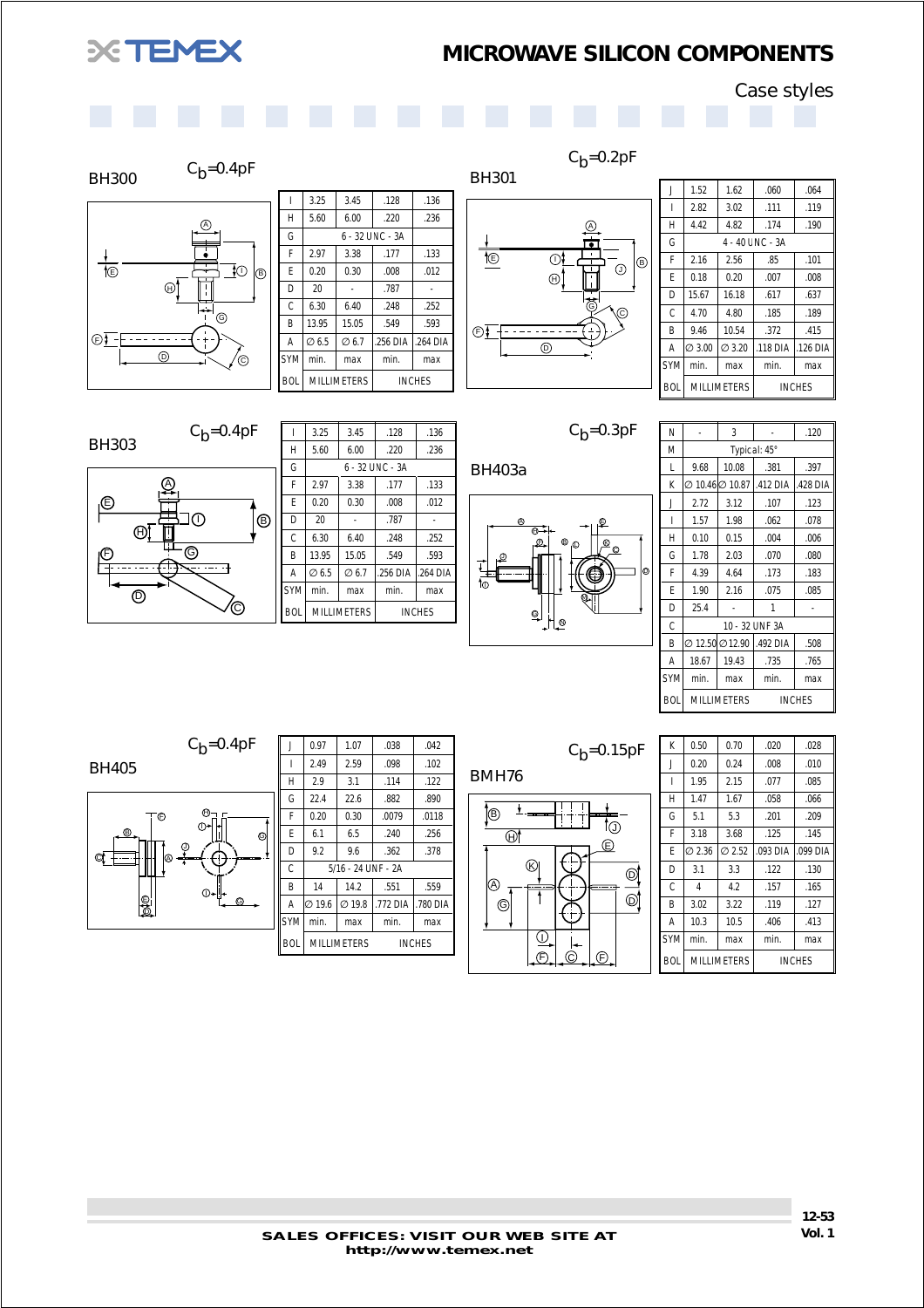<span id="page-51-0"></span>

 $C_b = 0.2pF$ 

Case styles

|  | . |
|--|---|
|  |   |
|  |   |
|  |   |
|  |   |

## BH300  $C_b=0.4pF$ A  $\frac{\frac{1}{\sqrt{2}}}{\sqrt{2}}$  $\exists$ O  $|_{\oplus}$  $\circledcirc$ É  $\overline{\circ}$  $\odot$   $\bar{f}$  –  $E$  $\circ$   $\vee$  / $\circ$

|            | 3.25              | 3.45               | .128            | .136          |
|------------|-------------------|--------------------|-----------------|---------------|
| Н          | 5.60              | 6.00               | .220            | .236          |
| G          |                   |                    | 6 - 32 UNC - 3A |               |
| F          | 2.97              | 3.38               | .177            | .133          |
| F          | 0.20              | 0.30               | .008            | .012          |
| D          | 20                |                    | .787            |               |
| C          | 6.30              | 6.40               | .248            | .252          |
| B          | 13.95             | 15.05              | .549            | .593          |
| A          | $\varnothing$ 6.5 | Ø 6.7              | .256 DIA        | .264 DIA      |
| <b>SYM</b> | min.              | max                | min.            | max           |
| <b>BOL</b> |                   | <b>MILLIMETERS</b> |                 | <b>INCHES</b> |



| J          | 1.52               | 1.62               | .060             | .064          |
|------------|--------------------|--------------------|------------------|---------------|
| ı          | 2.82               | 3.02               | .111             | .119          |
| Н          | 4.42               | 4.82               | .174             | .190          |
| G          |                    |                    | 4 - 40 L NC - 3A |               |
| F          | 2.16               | 2.56               | .85              | .101          |
| F          | 0.18               | 0.20               | .007             | .008          |
| D          | 15.67              | 16.18              | .617             | .637          |
| C          | 4.70               | 4.80               | .185             | .189          |
| B          | 9.46               | 10.54              | .372             | .415          |
| Α          | $\varnothing$ 3.00 | $\varnothing$ 3.20 | $.118$ DIA       | .126 DIA      |
| <b>SYM</b> | min.               | max                | min.             | max           |
| <b>BOL</b> |                    | <b>MILLIMETERS</b> |                  | <b>INCHES</b> |

#### BH303  $C_b = 0.4pF$



|            | 3.25  | 3.45               | .128                | .136          |
|------------|-------|--------------------|---------------------|---------------|
| H          | 5.60  | 6.00               | .220                | .236          |
| G          |       |                    | $6 - 32$ UNC $- 3A$ |               |
| F          | 2.97  | 3.38               | .177                | .133          |
| F          | 0.20  | 0.30               | .008                | .012          |
| D          | 20    |                    | .787                |               |
| C          | 6.30  | 6.40               | .248                | .252          |
| B          | 13.95 | 15.05              | .549                | .593          |
| A          | Ø6.5  | $\varnothing$ 6.7  | .256 DIA            | .264 DIA      |
| <b>SYM</b> | min.  | max                | min.                | max           |
| <b>BOL</b> |       | <b>MILLIMETERS</b> |                     | <b>INCHES</b> |

 $C_b = 0.3pF$ 



| N          |                 | 3                  |                | .120          |
|------------|-----------------|--------------------|----------------|---------------|
| M          |                 |                    | Typical: 45°   |               |
| L          | 9.68            | 10.08              | .381           | .397          |
| K          | Ø 10.46Ø 10.87  |                    | .412 DIA       | .428 DIA      |
| J          | 2.72            | 3.12               | .107           | .123          |
| ı          | 1.57            | 1.98               | .062           | .078          |
| H          | 0.10            | 0.15               | .004           | .006          |
| G          | 1.78            | 2.03               | .070           | .080          |
| F          | 4.39            | 4.64               | .173           | .183          |
| F          | 1.90            | 2.16               | .075           | .085          |
| D          | 25.4            |                    |                |               |
| Ċ          |                 |                    | 10 - 32 UNF 3A |               |
| B          | ⊘ 12.50 ⊘ 12.90 |                    | .492 DIA       | .508          |
| A          | 18.67           | 19.43              | .735           | .765          |
| <b>SYM</b> | min.            | max                | min.           | max           |
| <b>BOL</b> |                 | <b>MILLIMETERS</b> |                | <b>INCHES</b> |

BH405  $C_b = 0.4pF$ 



| J          | 0.97               | 1.07               | .038     | .042          |
|------------|--------------------|--------------------|----------|---------------|
| ı          | 2.49               | 2.59               | .098     | .102          |
| H          | 2.9                | 3.1                | .114     | .122          |
| G          | 22.4               | 22.6               | .882     | .890          |
| F          | 0.20               | 0.30               | .0079    | .0118         |
| F          | 6.1                | 6.5                | .240     | .256          |
| D          | 9.2                | 9.6                | .362     | .378          |
| C          |                    | 5/16 - 24 UNF - 2A |          |               |
| B          | 14                 | 14.2               | .551     | .559          |
| Α          | $\varnothing$ 19.6 | $\varnothing$ 19.8 | .772 DIA | .780 DIA      |
| <b>SYM</b> | min.               | max                | min.     | max           |
| <b>BOL</b> |                    | <b>MILLIMETERS</b> |          | <b>INCHES</b> |

| BMH76  |   |         | $C_b = 0.15pF$ |
|--------|---|---------|----------------|
| B<br>Э | K | --<br>Έ |                |

F C F

| K          | 0.50               | 0.70   | .020       | .028          |
|------------|--------------------|--------|------------|---------------|
| J          | 0.20               | 0.24   | .008       | .010          |
| ı          | 1.95               | 2.15   | .077       | .085          |
| H          | 1.47               | 1.67   | .058       | .066          |
| G          | 5.1                | 5.3    | .201       | .209          |
| F          | 3.18               | 3.68   | .125       | .145          |
| F          | $\varnothing$ 2.36 | Ø 2.52 | $.093$ DIA | .099 DIA      |
| D          | 3.1                | 3.3    | .122       | .130          |
| Ċ          | 4                  | 4.2    | .157       | .165          |
| B          | 3.02               | 3.22   | .119       | .127          |
| Α          | 10.3               | 10.5   | .406       | .413          |
| <b>SYM</b> | min.               | max    | min.       | max           |
| <b>BOL</b> | <b>MILLIMETERS</b> |        |            | <b>INCHES</b> |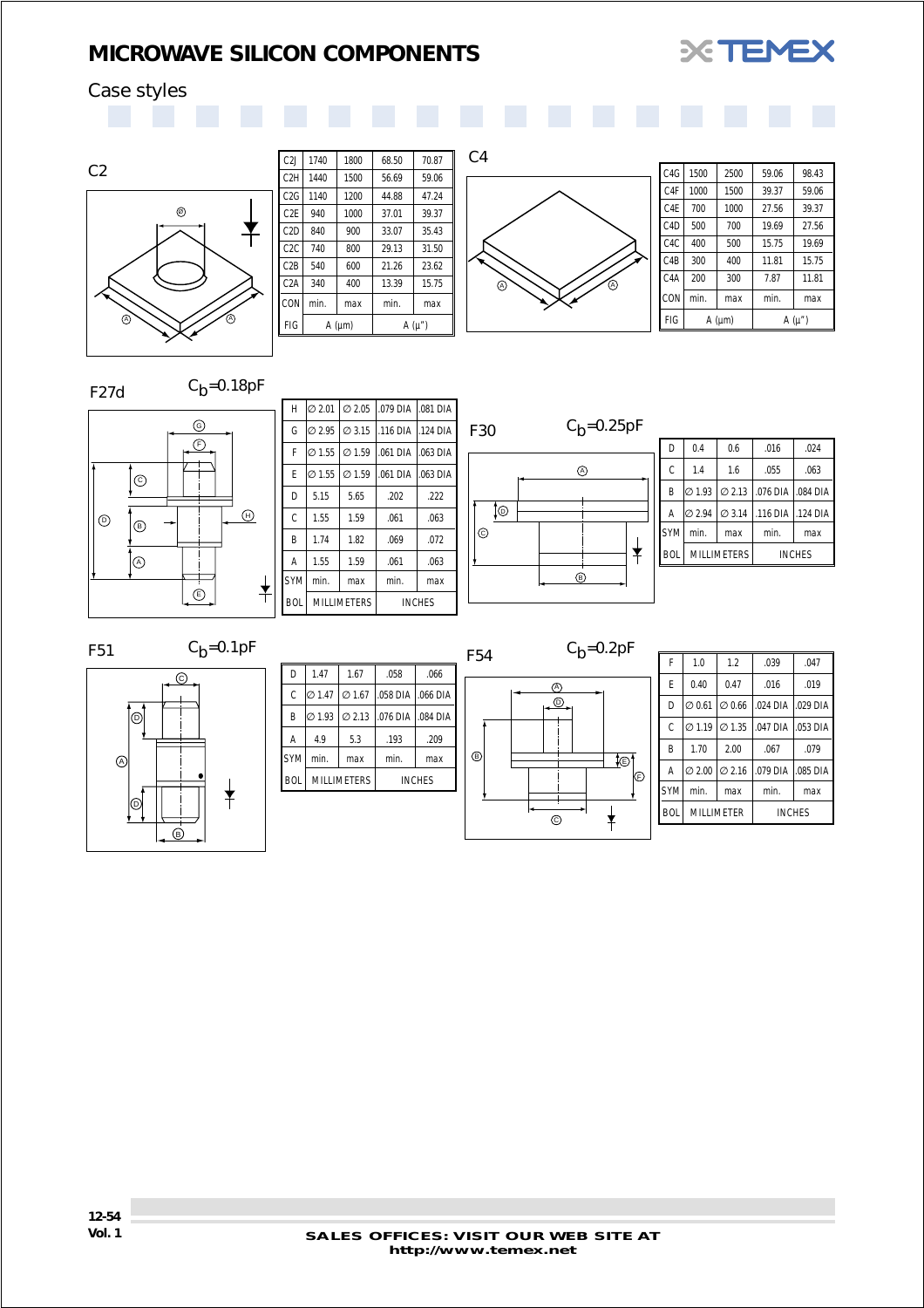

## <span id="page-52-0"></span>Case styles





| C2J              | 1740           | 1800 | 68.50 | 70.87      |
|------------------|----------------|------|-------|------------|
| C <sub>2</sub> H | 1440           | 1500 | 56.69 | 59.06      |
| C <sub>2</sub> G | 1140           | 1200 | 44.88 | 47.24      |
| C <sub>2</sub> E | 940            | 1000 | 37.01 | 39.37      |
| C <sub>2</sub> D | 840            | 900  | 33.07 | 35.43      |
| C <sub>2</sub> C | 740            | 800  | 29.13 | 31.50      |
| C2B              | 540            | 600  | 21.26 | 23.62      |
| C <sub>2</sub> A | 340            | 400  | 13.39 | 15.75      |
| CON              | min.           | max  | min.  | max        |
| FIG              | $A$ ( $\mu$ m) |      |       | $A(\mu'')$ |



| C <sub>4</sub> G | 1500           | 2500 | 59.06 | 98.43      |  |
|------------------|----------------|------|-------|------------|--|
| C <sub>4</sub> F | 1000           | 1500 | 39.37 | 59.06      |  |
| C <sub>4</sub> E | 700            | 1000 | 27.56 | 39.37      |  |
| C4D              | 500            | 700  | 19.69 | 27.56      |  |
| C <sub>4</sub> C | 400            | 500  | 15.75 | 19.69      |  |
| C4B              | 300            | 400  | 11.81 | 15.75      |  |
| C4A              | 200            | 300  | 7.87  | 11.81      |  |
| CON              | min.           | max  | min.  | max        |  |
| FIG              | $A$ ( $\mu$ m) |      |       | $A(\mu'')$ |  |
|                  |                |      |       |            |  |

F27d  $C_b=0.18pF$ 



| H          | 10 2.01 I          |                    | Ø 2.05 .079 DIA 1.081 DIA |               |
|------------|--------------------|--------------------|---------------------------|---------------|
| G          | $\varnothing$ 2.95 | $\varnothing$ 3.15 | .116 DIA 1.124 DIA        |               |
| F          | $\varnothing$ 1.55 | $\varnothing$ 1.59 | $.061$ DIA                | $.063$ DIA    |
| F          | $\varnothing$ 1.55 | $\varnothing$ 1.59 | $.061$ DIA                | .063 DIA      |
| D          | 5.15               | 5.65               | .202                      | .222          |
| C          | 1.55               | 1.59               | .061                      | .063          |
| B          | 1.74               | 1.82               | .069                      | .072          |
| A          | 1.55               | 1.59               | .061                      | .063          |
| <b>SYM</b> | min.               | max                | min.                      | max           |
| BOI        |                    | <b>MILLIMETERS</b> |                           | <b>INCHES</b> |



| D          | 0.4                                   | 0.6                | .016                  | .024          |
|------------|---------------------------------------|--------------------|-----------------------|---------------|
| C          | 1.4                                   | 1.6                | .055                  | .063          |
| B          | $\varnothing$ 1.93 $\varnothing$ 2.13 |                    | 076 DIA 0.084 DIA     |               |
| A          | $\varnothing$ 2.94                    | $\varnothing$ 3.14 | l 116 DIA l 124 DIA l |               |
| <b>SYM</b> | min.                                  | max                | min.                  | max           |
| <b>BOL</b> | <b>MILLIMETERS</b>                    |                    |                       | <b>INCHES</b> |
|            |                                       |                    |                       |               |

F51  $C_b=0.1pF$ 



| D          | 1.47               | 1.67               | .058               | .066          |
|------------|--------------------|--------------------|--------------------|---------------|
| C          | $\varnothing$ 1.47 | $\varnothing$ 1.67 | .058 DIA 1.066 DIA |               |
| B          | 0 1.93             | $\varnothing$ 2.13 | .076 DIA           | .084 DIA      |
| Α          | 4.9                | 5.3                | .193               | .209          |
| <b>SYM</b> | min.               | max                | min.               | max           |
| <b>BOL</b> |                    | <b>MILLIMETERS</b> |                    | <b>INCHES</b> |



 $\odot$ 

 $\frac{1}{\ast}$ 

| F          | 1.0                | 1.2                | .039       | .047          |
|------------|--------------------|--------------------|------------|---------------|
| F          | 0.40               | 0.47               | .016       | .019          |
| D          | $\varnothing$ 0.61 | $\varnothing$ 0.66 | .024 DIA   | $.029$ DIA    |
| C          | $\varnothing$ 1.19 | $\varnothing$ 1.35 | $.047$ DIA | .053 DIA      |
| B          | 1.70               | 2.00               | .067       | .079          |
| A          | $\varnothing$ 2.00 | $\varnothing$ 2.16 | .079 DIA   | .085 DIA      |
| <b>SYM</b> | min.               | max                | min.       | max           |
| <b>BOL</b> |                    | <b>MILLIMETER</b>  |            | <b>INCHES</b> |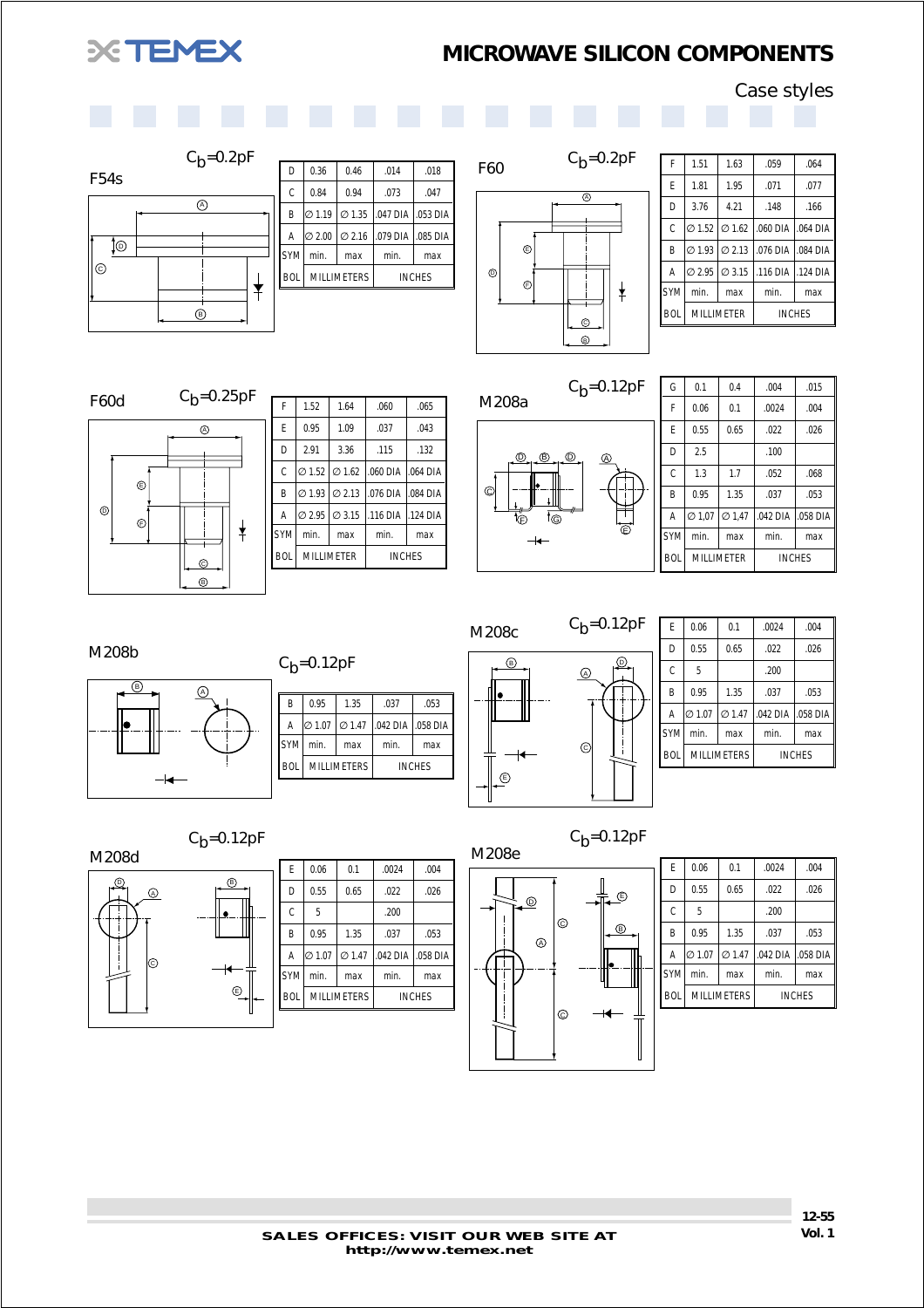# <span id="page-53-0"></span>**XEMEX**

## *MICROWAVE SILICON COMPONENTS*

Case styles





| D          | 0.36               | 0.46               | .014     | .018          |
|------------|--------------------|--------------------|----------|---------------|
| C          | 0.84               | 0.94               | .073     | .047          |
| B          | $\varnothing$ 1.19 | $\varnothing$ 1.35 | .047 DIA | .053 DIA      |
| A          | $\varnothing$ 2.00 | $\varnothing$ 2.16 | .079 DIA | .085 DIA      |
| <b>SYM</b> | min.               | max                | min.     | max           |
| <b>BOL</b> | <b>MILLIMETERS</b> |                    |          | <b>INCHES</b> |



| F          | 1.51                                  | 1.63                                  | .059       | .064          |
|------------|---------------------------------------|---------------------------------------|------------|---------------|
| E          | 1.81                                  | 1.95                                  | .071       | .077          |
| D          | 3.76                                  | 4.21                                  | .148       | .166          |
| Ċ          |                                       | $\varnothing$ 1.52 $\varnothing$ 1.62 | $.060$ DIA | .064 DIA      |
| B          | $\varnothing$ 1.93 $\varnothing$ 2.13 |                                       | .076 DIA   | .084 DIA      |
| Α          | $\varnothing$ 2.95                    | $\varnothing$ 3.15                    | .116 DIA   | .124 DIA I    |
| <b>SYM</b> | min.                                  | max                                   | min.       | max           |
| <b>BOL</b> |                                       | <b>MILLIMETER</b>                     |            | <b>INCHES</b> |
|            |                                       |                                       |            |               |



| F          | 1.52               | 1.64               | .060       | .065          |
|------------|--------------------|--------------------|------------|---------------|
| F          | 0.95               | 1.09               | .037       | .043          |
| D          | 2.91               | 3.36               | .115       | .132          |
| C          | $\varnothing$ 1.52 | $\varnothing$ 1.62 | $.060$ DIA | $.064$ DIA    |
| B          | $\varnothing$ 1.93 | $\varnothing$ 2.13 | .076 DIA   | .084 DIA      |
| A          | $\varnothing$ 2.95 | $\varnothing$ 3.15 | $.116$ DIA | 124 DIA       |
| <b>SYM</b> | min.               | max                | min.       | max           |
| <b>BOL</b> |                    | MILLIMETER         |            | <b>INCHES</b> |
|            |                    |                    |            |               |



 $C_b = 0.12pF$ 

| G          | 0.1                | 0.4                | .004     | .015          |
|------------|--------------------|--------------------|----------|---------------|
| F          | 0.06               | 0.1                | .0024    | .004          |
| F          | 0.55               | 0.65               | .022     | .026          |
| D          | 2.5                |                    | .100     |               |
| Ċ          | 1.3                | 1.7                | .052     | .068          |
| B          | 0.95               | 1.35               | .037     | .053          |
| A          | $\varnothing$ 1.07 | $\varnothing$ 1.47 | .042 DIA | .058 DIA      |
| <b>SYM</b> | min.               | max                | min.     | max           |
| <b>BOL</b> |                    | <b>MILLIMETER</b>  |          | <b>INCHES</b> |



| С <sub>b</sub> =0.12pF |                    |                    |                   |      |  |  |  |  |
|------------------------|--------------------|--------------------|-------------------|------|--|--|--|--|
| B                      | 0.95               | 1.35               | .037              | .053 |  |  |  |  |
| Α                      | $\varnothing$ 1.07 | $\varnothing$ 1.47 | .042 DIA .058 DIA |      |  |  |  |  |
| <b>SYM</b>             | min.               | max                | min.              | max  |  |  |  |  |
| <b>BOL</b>             |                    | <b>MILLIMETERS</b> | <b>INCHES</b>     |      |  |  |  |  |
|                        |                    |                    |                   |      |  |  |  |  |



| F          | 0.06               | 0.1                | .0024         | .004     |  |
|------------|--------------------|--------------------|---------------|----------|--|
| D          | 0.55               | 0.65               | .022          | .026     |  |
| Ċ          | 5                  |                    | .200          |          |  |
| B          | 0.95               | 1.35               | .037          | .053     |  |
| A          | $\varnothing$ 1.07 | $\varnothing$ 1.47 | .042 DIA      | .058 DIA |  |
| <b>SYM</b> | min.               | max                | min.          | max      |  |
| <b>BOL</b> |                    | <b>MILLIMETERS</b> | <b>INCHES</b> |          |  |

 $C_b = 0.12pF$ 

B

 $\copyright$ 

 $\circledcirc$  $\sqrt{D}$ M208d

| F          | 0.06               | 0.1                | .0024         | .004     |  |
|------------|--------------------|--------------------|---------------|----------|--|
| D          | 0.55               | 0.65               | .022          | .026     |  |
| C          | 5                  |                    | .200          |          |  |
| B          | 0.95               | 1.35               | .037          | .053     |  |
| A          | $\varnothing$ 1.07 | $\varnothing$ 1.47 | .042 DIA      | .058 DIA |  |
| <b>SYM</b> | min.               | max                | min.          | max      |  |
| <b>BOL</b> |                    | <b>MILLIMETERS</b> | <b>INCHES</b> |          |  |
|            |                    |                    |               |          |  |

 $C_b = 0.12pF$ 



| E            | 0.06               | 0.1                | .0024         | .004     |  |
|--------------|--------------------|--------------------|---------------|----------|--|
| D            | 0.55               | 0.65               | .022          | .026     |  |
| $\mathsf{C}$ | 5                  |                    | .200          |          |  |
| B            | 0.95               | 1.35               | .037          | .053     |  |
| A            | $\varnothing$ 1.07 | $\varnothing$ 1.47 | .042 DIA      | .058 DIA |  |
| <b>SYM</b>   | min.               | max                | min.          | max      |  |
| <b>BOL</b>   |                    | <b>MILLIMETERS</b> | <b>INCHES</b> |          |  |
|              |                    |                    |               |          |  |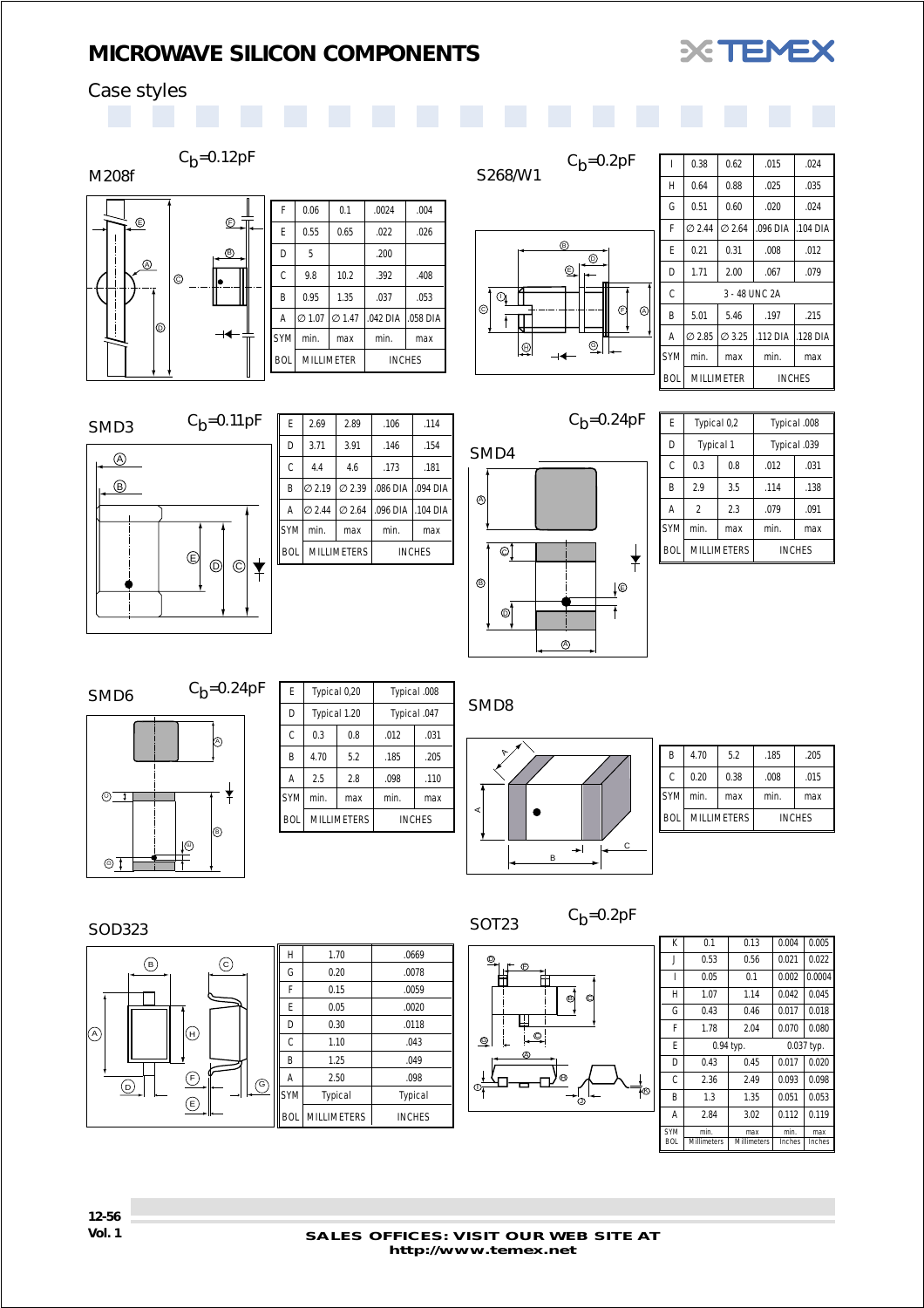

## <span id="page-54-0"></span>Case styles

| $C_b = 0.12pF$                     |              |                    |                    |          |               | S268/W1        | $C_b = 0.2pF$    |              | 0.38               | 0.62               | .015     | .024          |
|------------------------------------|--------------|--------------------|--------------------|----------|---------------|----------------|------------------|--------------|--------------------|--------------------|----------|---------------|
| M208f                              |              |                    |                    |          |               |                |                  | H            | 0.64               | 0.88               | .025     | .035          |
|                                    | F            | 0.06               | 0.1                | .0024    | .004          |                |                  | G            | 0.51               | 0.60               | .020     | .024          |
| $\overline{\mathbb{R}}$<br>⊕       | Ε            | 0.55               | 0.65               | .022     | .026          |                |                  | F            | Ø 2.44             | $\varnothing$ 2.64 | .096 DIA | 104 DIA       |
| $^{\circledR}$                     | D            | 5                  |                    | .200     |               |                | $\circledR$<br>⊚ | Ε            | 0.21               | 0.31               | .008     | .012          |
| $\odot$<br>le                      | $\mathsf{C}$ | 9.8                | 10.2               | .392     | .408          |                | $^{\circledR}$   | D            | 1.71               | 2.00               | .067     | .079          |
|                                    | B            | 0.95               | 1.35               | .037     | .053          | $\odot$        |                  | C            |                    | 3 - 48 UNC 2A      |          |               |
|                                    | A            | $\varnothing$ 1.07 | $\varnothing$ 1.47 | .042 DIA | .058 DIA      | $\odot$        | $\odot$<br>⊛     | B            | 5.01               | 5.46               | .197     | .215          |
| 1©<br>⊣←⋕                          | SYM          | min.               | max                | min.     | max           | $\overline{F}$ | Q                | Α            | $\varnothing$ 2.85 | $\varnothing$ 3.25 | .112 DIA | 128 DIA       |
|                                    | <b>BOL</b>   |                    | MILLIMETER         |          | <b>INCHES</b> | !⊕             | ⊣←               | SYM          | min.               | max                | min.     | max           |
|                                    |              |                    |                    |          |               |                |                  | <b>BOL</b>   |                    | MILLIMETER         |          | <b>INCHES</b> |
|                                    |              |                    |                    |          |               |                |                  |              |                    |                    |          |               |
| $C_h = 0.11pF$<br>SMD <sub>3</sub> | $\mathsf E$  | 2.69               | 2.89               | .106     | .114          |                | $C_b = 0.24pF$   | E            | Typical 0,2        |                    |          | Typical .008  |
|                                    | D            | 3.71               | 3.91               | .146     | .154          | SMD4           |                  | D            | Typical 1          |                    |          | Typical .039  |
| $\circledA$                        | C            | 4.4                | 4.6                | .173     | .181          |                |                  | $\mathsf{C}$ | 0.3                | 0.8                | .012     | .031          |



|            | 2.69               | 2.89               | .106               | .114      |  |
|------------|--------------------|--------------------|--------------------|-----------|--|
| F          |                    |                    |                    |           |  |
| D          | 3.71               | 3.91               | .146               | .154      |  |
| C          | 4.4                | 4.6                | .173               | .181      |  |
| B          | $\varnothing$ 2.19 | Ø2.39              | .086 DIA 1.094 DIA |           |  |
| A          | $\varnothing$ 2.44 | 02.64              | .096 DIA           | 1.104 DIA |  |
| <b>SYM</b> | min.<br>max        |                    | min.               | max       |  |
| <b>BOL</b> |                    | <b>MILLIMETERS</b> | <b>INCHES</b>      |           |  |



| F          | Typical 0,2      |                    | Typical .008 |               |  |
|------------|------------------|--------------------|--------------|---------------|--|
| D          | <b>Typical 1</b> |                    | Typical .039 |               |  |
| Ċ          | 0.3              | 0.8                | .012         | .031          |  |
| B          | 2.9              | 3.5                | .114         | .138          |  |
| A          | $\mathfrak{p}$   | 2.3                | .079         | .091          |  |
| <b>SYM</b> | min.             | max                | min.         | max           |  |
| <b>BOL</b> |                  | <b>MILLIMETERS</b> |              | <b>INCHES</b> |  |

SMD6  $C_b=0.24pF$  $\triangleright$  $\bigstar$  $^{\circ}$  $|\circlearrowright$ шj ĦŦ o)

| F          | Typical 0,20 |                    | Typical .008 |               |  |
|------------|--------------|--------------------|--------------|---------------|--|
| D          | Typical 1.20 |                    | Typical .047 |               |  |
| Ċ          | 0.3          | 0.8                | .012         | .031          |  |
| B          | 4.70         | 5.2                | .185         | .205          |  |
| Α          | 2.5          | 2.8                | .098         | .110          |  |
| <b>SYM</b> | min.         | max                | min.         | max           |  |
| <b>BOI</b> |              | <b>MILLIMETERS</b> |              | <b>INCHES</b> |  |

SMD8



| B          | 4.70       | 5.2                | .185          | .205 |  |
|------------|------------|--------------------|---------------|------|--|
| C          | 0.20       | 0.38               | .008          | .015 |  |
| lsyml      | min<br>max |                    | min.          | max  |  |
| <b>BOL</b> |            | <b>MILLIMETERS</b> | <b>INCHES</b> |      |  |

#### SOD323



| H          | 1.70               | .0669         |
|------------|--------------------|---------------|
| G          | 0.20               | .0078         |
| F          | 0.15               | .0059         |
| E          | 0.05               | .0020         |
| D          | 0.30               | .0118         |
| C          | 1.10               | .043          |
| B          | 1.25               | .049          |
| A          | 2.50               | .098          |
| <b>SYM</b> | Typical            | Typical       |
| <b>BOL</b> | <b>MILLIMETERS</b> | <b>INCHES</b> |

 $Q$  $\bigcirc$ Ħ  $\mathbf{e}$ 4  $\overline{\circ}$  $\mathbf{\Omega}$  $\circledcirc$  $\oplus$  $\overline{\mathbb{Q}}_{\overline{\mathbb{I}}}$ .<br>To .r<br>ச

SOT23  $C_b=0.2pF$ 

| K          | 0.1                | 0.13        | 0.004        | 0.005  |  |
|------------|--------------------|-------------|--------------|--------|--|
| J          | 0.53               | 0.56        | 0.021        | 0.022  |  |
|            | 0.05               | 0.1         | 0.002        | 0.0004 |  |
| Н          | 1.07               | 1.14        | 0.042        | 0.045  |  |
| G          | 0.43               | 0.46        | 0.017        | 0.018  |  |
| F          | 1.78               | 2.04        | 0.070        | 0.080  |  |
| F          |                    | 0.94 typ.   | $0.037$ typ. |        |  |
| D          | 0.43               | 0.45        | 0.017        | 0.020  |  |
| C          | 2.36               | 2.49        | 0.093        | 0.098  |  |
| B          | 1.3                | 1.35        | 0.051        | 0.053  |  |
| A          | 2.84               | 3.02        | 0.112        | 0.119  |  |
| <b>SYM</b> | min.               | max         | min.         | max    |  |
| <b>BOL</b> | <b>Millimeters</b> | Millimeters | Inches       | Inches |  |